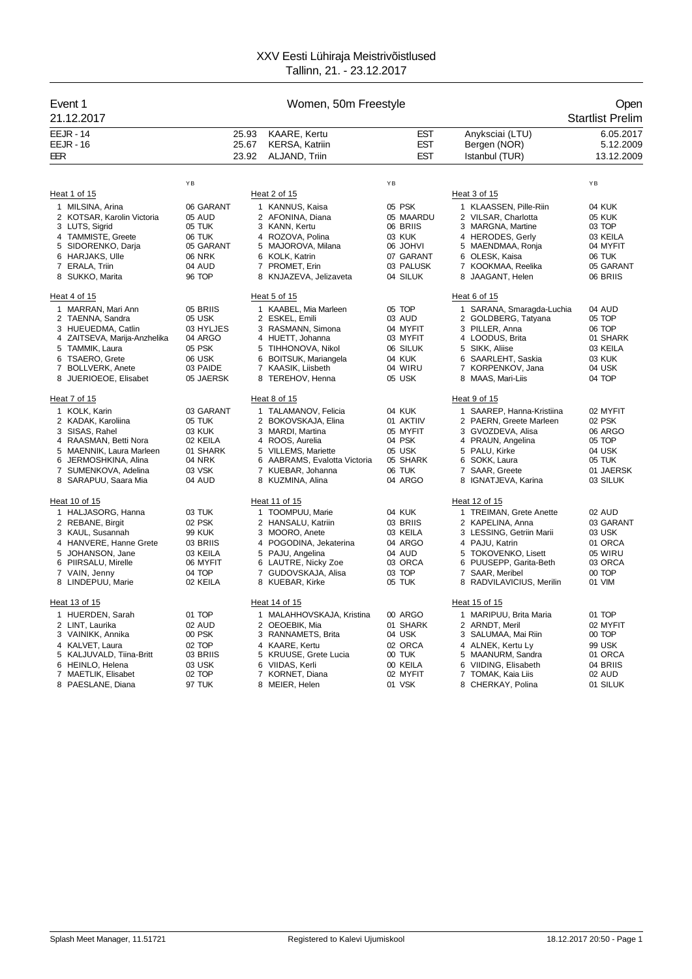| <b>EEJR - 14</b><br>25.93<br><b>KAARE, Kertu</b><br><b>EST</b><br>Anyksciai (LTU)<br>6.05.2017<br><b>EEJR - 16</b><br>25.67<br><b>KERSA, Katriin</b><br><b>EST</b><br>5.12.2009<br>Bergen (NOR)<br>23.92<br><b>EST</b><br>Istanbul (TUR)<br>13.12.2009<br>EER<br>ALJAND, Triin<br>ΥB<br>YB<br>YB<br>Heat 1 of 15<br>Heat 2 of 15<br>Heat 3 of 15<br>05 PSK<br>1 MILSINA, Arina<br>06 GARANT<br>1 KANNUS, Kaisa<br>1 KLAASSEN, Pille-Riin<br>04 KUK<br>2 KOTSAR, Karolin Victoria<br>2 AFONINA, Diana<br>2 VILSAR, Charlotta<br>05 AUD<br>05 MAARDU<br>05 KUK<br>3 LUTS, Sigrid<br>05 TUK<br>3 KANN, Kertu<br>06 BRIIS<br>3<br><b>MARGNA, Martine</b><br>03 TOP<br>4 TAMMISTE, Greete<br>06 TUK<br>03 KUK<br>4 HERODES, Gerly<br>4 ROZOVA, Polina<br>03 KEILA<br>05 GARANT<br><b>IVHOL 30</b><br>5 SIDORENKO, Darja<br>5 MAJOROVA, Milana<br>5 MAENDMAA, Ronja<br>04 MYFIT<br>6 KOLK, Katrin<br>07 GARANT<br>6 HARJAKS, Ulle<br><b>06 NRK</b><br>6 OLESK, Kaisa<br>06 TUK<br>7 ERALA, Triin<br>03 PALUSK<br>7 KOOKMAA, Reelika<br>04 AUD<br>7 PROMET, Erin<br>05 GARANT<br>8 SUKKO, Marita<br>96 TOP<br>8 KNJAZEVA, Jelizaveta<br>04 SILUK<br>8 JAAGANT, Helen<br>06 BRIIS<br>Heat 4 of 15<br>Heat 5 of 15<br>Heat 6 of 15<br>05 TOP<br>1 MARRAN, Mari Ann<br>05 BRIIS<br>1 KAABEL, Mia Marleen<br>1 SARANA, Smaragda-Luchia<br>04 AUD<br>2 TAENNA, Sandra<br>05 USK<br>2 ESKEL, Emili<br>03 AUD<br>2 GOLDBERG, Tatyana<br>05 TOP<br>06 TOP<br>3 HUEUEDMA, Catlin<br>03 HYLJES<br>3 RASMANN, Simona<br>04 MYFIT<br>3 PILLER, Anna<br>4 ZAITSEVA, Marija-Anzhelika<br>04 ARGO<br>4 HUETT, Johanna<br>03 MYFIT<br>4 LOODUS, Brita<br>01 SHARK<br>05 PSK<br>TAMMIK, Laura<br>5<br>TIHHONOVA, Nikol<br>06 SILUK<br>5 SIKK, Aliise<br>03 KEILA<br>5<br><b>TSAERO, Grete</b><br>06 USK<br>6 BOITSUK, Mariangela<br>04 KUK<br>6<br>SAARLEHT, Saskia<br>03 KUK<br>6<br>7 BOLLVERK, Anete<br>03 PAIDE<br>7 KAASIK, Liisbeth<br>04 WIRU<br>KORPENKOV, Jana<br>04 USK<br>7<br>8 TEREHOV, Henna<br>05 USK<br>8 MAAS, Mari-Liis<br>04 TOP<br>8<br>JUERIOEOE, Elisabet<br>05 JAERSK<br>Heat 7 of 15<br>Heat 8 of 15<br>Heat 9 of 15<br>1 KOLK, Karin<br>03 GARANT<br>1 TALAMANOV, Felicia<br>04 KUK<br>1 SAAREP, Hanna-Kristiina<br>02 MYFIT<br>2 KADAK, Karoliina<br>05 TUK<br>2 BOKOVSKAJA, Elina<br>01 AKTIIV<br>2 PAERN, Greete Marleen<br>02 PSK<br>3 SISAS, Rahel<br>03 KUK<br>3 MARDI, Martina<br>05 MYFIT<br>GVOZDEVA, Alisa<br>06 ARGO<br>3<br>04 PSK<br>4 RAASMAN, Betti Nora<br>02 KEILA<br>4 ROOS, Aurelia<br>PRAUN, Angelina<br>05 TOP<br>4<br>5 MAENNIK, Laura Marleen<br>01 SHARK<br>5 VILLEMS, Mariette<br>05 USK<br>PALU, Kirke<br>5<br>04 USK<br>04 NRK<br>6 AABRAMS, Evalotta Victoria<br>05 SHARK<br>6 SOKK, Laura<br>05 TUK<br>6<br>JERMOSHKINA, Alina<br>06 TUK<br>7 SUMENKOVA, Adelina<br>03 VSK<br>7<br>KUEBAR, Johanna<br>$\overline{7}$<br>SAAR, Greete<br>01 JAERSK<br>8 SARAPUU, Saara Mia<br>04 AUD<br>8 KUZMINA, Alina<br>04 ARGO<br>8 IGNATJEVA, Karina<br>03 SILUK<br>Heat 10 of 15<br>Heat 11 of 15<br>Heat 12 of 15<br>04 KUK<br>1 HALJASORG, Hanna<br>03 TUK<br>1 TOOMPUU, Marie<br>1 TREIMAN, Grete Anette<br>02 AUD<br>02 PSK<br>2 HANSALU, Katriin<br>03 BRIIS<br>$\overline{2}$<br>KAPELINA, Anna<br>2 REBANE, Birgit<br>03 GARANT<br>3 KAUL, Susannah<br><b>99 KUK</b><br>3 MOORO, Anete<br>03 KEILA<br>3 LESSING, Getriin Marii<br>03 USK<br>4 HANVERE, Hanne Grete<br>04 ARGO<br>01 ORCA<br>03 BRIIS<br>4 POGODINA, Jekaterina<br>4 PAJU, Katrin<br>5 PAJU, Angelina<br>04 AUD<br>05 WIRU<br>5<br>JOHANSON, Jane<br>03 KEILA<br>5<br><b>TOKOVENKO, Lisett</b><br>6 PIIRSALU, Mirelle<br>06 MYFIT<br>6 LAUTRE, Nicky Zoe<br>03 ORCA<br>PUUSEPP, Garita-Beth<br>03 ORCA<br>6<br>04 TOP<br>GUDOVSKAJA, Alisa<br>03 TOP<br>SAAR, Meribel<br>00 TOP<br>7 VAIN, Jenny<br>$\overline{7}$<br>7<br>8 LINDEPUU, Marie<br>02 KEILA<br>8 KUEBAR, Kirke<br>05 TUK<br>8 RADVILAVICIUS, Merilin<br>01 VIM<br>Heat 14 of 15<br>Heat 13 of 15<br>Heat 15 of 15<br>1 HUERDEN, Sarah<br>01 TOP<br>1 MALAHHOVSKAJA, Kristina<br>00 ARGO<br>1 MARIPUU, Brita Maria<br>01 TOP<br>2 LINT, Laurika<br>02 AUD<br>2 OEOEBIK, Mia<br>01 SHARK<br>2 ARNDT, Meril<br>02 MYFIT<br>00 PSK<br>04 USK<br>00 TOP<br>3 VAINIKK, Annika<br>3 RANNAMETS, Brita<br>3 SALUMAA, Mai Riin<br>02 ORCA<br>4 KALVET, Laura<br>02 TOP<br>4 KAARE, Kertu<br>ALNEK, Kertu Ly<br>99 USK<br>4<br>5 KALJUVALD, Tiina-Britt<br>03 BRIIS<br>5 KRUUSE, Grete Lucia<br>00 TUK<br>5 MAANURM, Sandra<br>01 ORCA<br>6 HEINLO, Helena<br>03 USK<br>6 VIIDAS, Kerli<br>00 KEILA<br>6 VIIDING, Elisabeth<br>04 BRIIS<br>7 MAETLIK, Elisabet<br>02 TOP<br>7 KORNET, Diana<br>02 MYFIT<br>7<br>TOMAK, Kaia Liis<br>02 AUD<br>01 VSK<br>8 PAESLANE, Diana<br>97 TUK<br>8 MEIER, Helen<br>8 CHERKAY, Polina<br>01 SILUK | Event 1<br>21.12.2017 | Women, 50m Freestyle |  | Open<br><b>Startlist Prelim</b> |
|------------------------------------------------------------------------------------------------------------------------------------------------------------------------------------------------------------------------------------------------------------------------------------------------------------------------------------------------------------------------------------------------------------------------------------------------------------------------------------------------------------------------------------------------------------------------------------------------------------------------------------------------------------------------------------------------------------------------------------------------------------------------------------------------------------------------------------------------------------------------------------------------------------------------------------------------------------------------------------------------------------------------------------------------------------------------------------------------------------------------------------------------------------------------------------------------------------------------------------------------------------------------------------------------------------------------------------------------------------------------------------------------------------------------------------------------------------------------------------------------------------------------------------------------------------------------------------------------------------------------------------------------------------------------------------------------------------------------------------------------------------------------------------------------------------------------------------------------------------------------------------------------------------------------------------------------------------------------------------------------------------------------------------------------------------------------------------------------------------------------------------------------------------------------------------------------------------------------------------------------------------------------------------------------------------------------------------------------------------------------------------------------------------------------------------------------------------------------------------------------------------------------------------------------------------------------------------------------------------------------------------------------------------------------------------------------------------------------------------------------------------------------------------------------------------------------------------------------------------------------------------------------------------------------------------------------------------------------------------------------------------------------------------------------------------------------------------------------------------------------------------------------------------------------------------------------------------------------------------------------------------------------------------------------------------------------------------------------------------------------------------------------------------------------------------------------------------------------------------------------------------------------------------------------------------------------------------------------------------------------------------------------------------------------------------------------------------------------------------------------------------------------------------------------------------------------------------------------------------------------------------------------------------------------------------------------------------------------------------------------------------------------------------------------------------------------------------------------------------------------------------------------------------------------------------------------------------------------------------------------------------------------------------------------------------------------------------------------------------------------------------------------------------------------------------------------------------------------------------------------------------------------------------------------------------------------------------------------------------------------------------------------------------------------------------------------------------------------------------------------------------------------------------|-----------------------|----------------------|--|---------------------------------|
|                                                                                                                                                                                                                                                                                                                                                                                                                                                                                                                                                                                                                                                                                                                                                                                                                                                                                                                                                                                                                                                                                                                                                                                                                                                                                                                                                                                                                                                                                                                                                                                                                                                                                                                                                                                                                                                                                                                                                                                                                                                                                                                                                                                                                                                                                                                                                                                                                                                                                                                                                                                                                                                                                                                                                                                                                                                                                                                                                                                                                                                                                                                                                                                                                                                                                                                                                                                                                                                                                                                                                                                                                                                                                                                                                                                                                                                                                                                                                                                                                                                                                                                                                                                                                                                                                                                                                                                                                                                                                                                                                                                                                                                                                                                                                                                    |                       |                      |  |                                 |
|                                                                                                                                                                                                                                                                                                                                                                                                                                                                                                                                                                                                                                                                                                                                                                                                                                                                                                                                                                                                                                                                                                                                                                                                                                                                                                                                                                                                                                                                                                                                                                                                                                                                                                                                                                                                                                                                                                                                                                                                                                                                                                                                                                                                                                                                                                                                                                                                                                                                                                                                                                                                                                                                                                                                                                                                                                                                                                                                                                                                                                                                                                                                                                                                                                                                                                                                                                                                                                                                                                                                                                                                                                                                                                                                                                                                                                                                                                                                                                                                                                                                                                                                                                                                                                                                                                                                                                                                                                                                                                                                                                                                                                                                                                                                                                                    |                       |                      |  |                                 |
|                                                                                                                                                                                                                                                                                                                                                                                                                                                                                                                                                                                                                                                                                                                                                                                                                                                                                                                                                                                                                                                                                                                                                                                                                                                                                                                                                                                                                                                                                                                                                                                                                                                                                                                                                                                                                                                                                                                                                                                                                                                                                                                                                                                                                                                                                                                                                                                                                                                                                                                                                                                                                                                                                                                                                                                                                                                                                                                                                                                                                                                                                                                                                                                                                                                                                                                                                                                                                                                                                                                                                                                                                                                                                                                                                                                                                                                                                                                                                                                                                                                                                                                                                                                                                                                                                                                                                                                                                                                                                                                                                                                                                                                                                                                                                                                    |                       |                      |  |                                 |
|                                                                                                                                                                                                                                                                                                                                                                                                                                                                                                                                                                                                                                                                                                                                                                                                                                                                                                                                                                                                                                                                                                                                                                                                                                                                                                                                                                                                                                                                                                                                                                                                                                                                                                                                                                                                                                                                                                                                                                                                                                                                                                                                                                                                                                                                                                                                                                                                                                                                                                                                                                                                                                                                                                                                                                                                                                                                                                                                                                                                                                                                                                                                                                                                                                                                                                                                                                                                                                                                                                                                                                                                                                                                                                                                                                                                                                                                                                                                                                                                                                                                                                                                                                                                                                                                                                                                                                                                                                                                                                                                                                                                                                                                                                                                                                                    |                       |                      |  |                                 |
|                                                                                                                                                                                                                                                                                                                                                                                                                                                                                                                                                                                                                                                                                                                                                                                                                                                                                                                                                                                                                                                                                                                                                                                                                                                                                                                                                                                                                                                                                                                                                                                                                                                                                                                                                                                                                                                                                                                                                                                                                                                                                                                                                                                                                                                                                                                                                                                                                                                                                                                                                                                                                                                                                                                                                                                                                                                                                                                                                                                                                                                                                                                                                                                                                                                                                                                                                                                                                                                                                                                                                                                                                                                                                                                                                                                                                                                                                                                                                                                                                                                                                                                                                                                                                                                                                                                                                                                                                                                                                                                                                                                                                                                                                                                                                                                    |                       |                      |  |                                 |
|                                                                                                                                                                                                                                                                                                                                                                                                                                                                                                                                                                                                                                                                                                                                                                                                                                                                                                                                                                                                                                                                                                                                                                                                                                                                                                                                                                                                                                                                                                                                                                                                                                                                                                                                                                                                                                                                                                                                                                                                                                                                                                                                                                                                                                                                                                                                                                                                                                                                                                                                                                                                                                                                                                                                                                                                                                                                                                                                                                                                                                                                                                                                                                                                                                                                                                                                                                                                                                                                                                                                                                                                                                                                                                                                                                                                                                                                                                                                                                                                                                                                                                                                                                                                                                                                                                                                                                                                                                                                                                                                                                                                                                                                                                                                                                                    |                       |                      |  |                                 |
|                                                                                                                                                                                                                                                                                                                                                                                                                                                                                                                                                                                                                                                                                                                                                                                                                                                                                                                                                                                                                                                                                                                                                                                                                                                                                                                                                                                                                                                                                                                                                                                                                                                                                                                                                                                                                                                                                                                                                                                                                                                                                                                                                                                                                                                                                                                                                                                                                                                                                                                                                                                                                                                                                                                                                                                                                                                                                                                                                                                                                                                                                                                                                                                                                                                                                                                                                                                                                                                                                                                                                                                                                                                                                                                                                                                                                                                                                                                                                                                                                                                                                                                                                                                                                                                                                                                                                                                                                                                                                                                                                                                                                                                                                                                                                                                    |                       |                      |  |                                 |
|                                                                                                                                                                                                                                                                                                                                                                                                                                                                                                                                                                                                                                                                                                                                                                                                                                                                                                                                                                                                                                                                                                                                                                                                                                                                                                                                                                                                                                                                                                                                                                                                                                                                                                                                                                                                                                                                                                                                                                                                                                                                                                                                                                                                                                                                                                                                                                                                                                                                                                                                                                                                                                                                                                                                                                                                                                                                                                                                                                                                                                                                                                                                                                                                                                                                                                                                                                                                                                                                                                                                                                                                                                                                                                                                                                                                                                                                                                                                                                                                                                                                                                                                                                                                                                                                                                                                                                                                                                                                                                                                                                                                                                                                                                                                                                                    |                       |                      |  |                                 |
|                                                                                                                                                                                                                                                                                                                                                                                                                                                                                                                                                                                                                                                                                                                                                                                                                                                                                                                                                                                                                                                                                                                                                                                                                                                                                                                                                                                                                                                                                                                                                                                                                                                                                                                                                                                                                                                                                                                                                                                                                                                                                                                                                                                                                                                                                                                                                                                                                                                                                                                                                                                                                                                                                                                                                                                                                                                                                                                                                                                                                                                                                                                                                                                                                                                                                                                                                                                                                                                                                                                                                                                                                                                                                                                                                                                                                                                                                                                                                                                                                                                                                                                                                                                                                                                                                                                                                                                                                                                                                                                                                                                                                                                                                                                                                                                    |                       |                      |  |                                 |
|                                                                                                                                                                                                                                                                                                                                                                                                                                                                                                                                                                                                                                                                                                                                                                                                                                                                                                                                                                                                                                                                                                                                                                                                                                                                                                                                                                                                                                                                                                                                                                                                                                                                                                                                                                                                                                                                                                                                                                                                                                                                                                                                                                                                                                                                                                                                                                                                                                                                                                                                                                                                                                                                                                                                                                                                                                                                                                                                                                                                                                                                                                                                                                                                                                                                                                                                                                                                                                                                                                                                                                                                                                                                                                                                                                                                                                                                                                                                                                                                                                                                                                                                                                                                                                                                                                                                                                                                                                                                                                                                                                                                                                                                                                                                                                                    |                       |                      |  |                                 |
|                                                                                                                                                                                                                                                                                                                                                                                                                                                                                                                                                                                                                                                                                                                                                                                                                                                                                                                                                                                                                                                                                                                                                                                                                                                                                                                                                                                                                                                                                                                                                                                                                                                                                                                                                                                                                                                                                                                                                                                                                                                                                                                                                                                                                                                                                                                                                                                                                                                                                                                                                                                                                                                                                                                                                                                                                                                                                                                                                                                                                                                                                                                                                                                                                                                                                                                                                                                                                                                                                                                                                                                                                                                                                                                                                                                                                                                                                                                                                                                                                                                                                                                                                                                                                                                                                                                                                                                                                                                                                                                                                                                                                                                                                                                                                                                    |                       |                      |  |                                 |
|                                                                                                                                                                                                                                                                                                                                                                                                                                                                                                                                                                                                                                                                                                                                                                                                                                                                                                                                                                                                                                                                                                                                                                                                                                                                                                                                                                                                                                                                                                                                                                                                                                                                                                                                                                                                                                                                                                                                                                                                                                                                                                                                                                                                                                                                                                                                                                                                                                                                                                                                                                                                                                                                                                                                                                                                                                                                                                                                                                                                                                                                                                                                                                                                                                                                                                                                                                                                                                                                                                                                                                                                                                                                                                                                                                                                                                                                                                                                                                                                                                                                                                                                                                                                                                                                                                                                                                                                                                                                                                                                                                                                                                                                                                                                                                                    |                       |                      |  |                                 |
|                                                                                                                                                                                                                                                                                                                                                                                                                                                                                                                                                                                                                                                                                                                                                                                                                                                                                                                                                                                                                                                                                                                                                                                                                                                                                                                                                                                                                                                                                                                                                                                                                                                                                                                                                                                                                                                                                                                                                                                                                                                                                                                                                                                                                                                                                                                                                                                                                                                                                                                                                                                                                                                                                                                                                                                                                                                                                                                                                                                                                                                                                                                                                                                                                                                                                                                                                                                                                                                                                                                                                                                                                                                                                                                                                                                                                                                                                                                                                                                                                                                                                                                                                                                                                                                                                                                                                                                                                                                                                                                                                                                                                                                                                                                                                                                    |                       |                      |  |                                 |
|                                                                                                                                                                                                                                                                                                                                                                                                                                                                                                                                                                                                                                                                                                                                                                                                                                                                                                                                                                                                                                                                                                                                                                                                                                                                                                                                                                                                                                                                                                                                                                                                                                                                                                                                                                                                                                                                                                                                                                                                                                                                                                                                                                                                                                                                                                                                                                                                                                                                                                                                                                                                                                                                                                                                                                                                                                                                                                                                                                                                                                                                                                                                                                                                                                                                                                                                                                                                                                                                                                                                                                                                                                                                                                                                                                                                                                                                                                                                                                                                                                                                                                                                                                                                                                                                                                                                                                                                                                                                                                                                                                                                                                                                                                                                                                                    |                       |                      |  |                                 |
|                                                                                                                                                                                                                                                                                                                                                                                                                                                                                                                                                                                                                                                                                                                                                                                                                                                                                                                                                                                                                                                                                                                                                                                                                                                                                                                                                                                                                                                                                                                                                                                                                                                                                                                                                                                                                                                                                                                                                                                                                                                                                                                                                                                                                                                                                                                                                                                                                                                                                                                                                                                                                                                                                                                                                                                                                                                                                                                                                                                                                                                                                                                                                                                                                                                                                                                                                                                                                                                                                                                                                                                                                                                                                                                                                                                                                                                                                                                                                                                                                                                                                                                                                                                                                                                                                                                                                                                                                                                                                                                                                                                                                                                                                                                                                                                    |                       |                      |  |                                 |
|                                                                                                                                                                                                                                                                                                                                                                                                                                                                                                                                                                                                                                                                                                                                                                                                                                                                                                                                                                                                                                                                                                                                                                                                                                                                                                                                                                                                                                                                                                                                                                                                                                                                                                                                                                                                                                                                                                                                                                                                                                                                                                                                                                                                                                                                                                                                                                                                                                                                                                                                                                                                                                                                                                                                                                                                                                                                                                                                                                                                                                                                                                                                                                                                                                                                                                                                                                                                                                                                                                                                                                                                                                                                                                                                                                                                                                                                                                                                                                                                                                                                                                                                                                                                                                                                                                                                                                                                                                                                                                                                                                                                                                                                                                                                                                                    |                       |                      |  |                                 |
|                                                                                                                                                                                                                                                                                                                                                                                                                                                                                                                                                                                                                                                                                                                                                                                                                                                                                                                                                                                                                                                                                                                                                                                                                                                                                                                                                                                                                                                                                                                                                                                                                                                                                                                                                                                                                                                                                                                                                                                                                                                                                                                                                                                                                                                                                                                                                                                                                                                                                                                                                                                                                                                                                                                                                                                                                                                                                                                                                                                                                                                                                                                                                                                                                                                                                                                                                                                                                                                                                                                                                                                                                                                                                                                                                                                                                                                                                                                                                                                                                                                                                                                                                                                                                                                                                                                                                                                                                                                                                                                                                                                                                                                                                                                                                                                    |                       |                      |  |                                 |
|                                                                                                                                                                                                                                                                                                                                                                                                                                                                                                                                                                                                                                                                                                                                                                                                                                                                                                                                                                                                                                                                                                                                                                                                                                                                                                                                                                                                                                                                                                                                                                                                                                                                                                                                                                                                                                                                                                                                                                                                                                                                                                                                                                                                                                                                                                                                                                                                                                                                                                                                                                                                                                                                                                                                                                                                                                                                                                                                                                                                                                                                                                                                                                                                                                                                                                                                                                                                                                                                                                                                                                                                                                                                                                                                                                                                                                                                                                                                                                                                                                                                                                                                                                                                                                                                                                                                                                                                                                                                                                                                                                                                                                                                                                                                                                                    |                       |                      |  |                                 |
|                                                                                                                                                                                                                                                                                                                                                                                                                                                                                                                                                                                                                                                                                                                                                                                                                                                                                                                                                                                                                                                                                                                                                                                                                                                                                                                                                                                                                                                                                                                                                                                                                                                                                                                                                                                                                                                                                                                                                                                                                                                                                                                                                                                                                                                                                                                                                                                                                                                                                                                                                                                                                                                                                                                                                                                                                                                                                                                                                                                                                                                                                                                                                                                                                                                                                                                                                                                                                                                                                                                                                                                                                                                                                                                                                                                                                                                                                                                                                                                                                                                                                                                                                                                                                                                                                                                                                                                                                                                                                                                                                                                                                                                                                                                                                                                    |                       |                      |  |                                 |
|                                                                                                                                                                                                                                                                                                                                                                                                                                                                                                                                                                                                                                                                                                                                                                                                                                                                                                                                                                                                                                                                                                                                                                                                                                                                                                                                                                                                                                                                                                                                                                                                                                                                                                                                                                                                                                                                                                                                                                                                                                                                                                                                                                                                                                                                                                                                                                                                                                                                                                                                                                                                                                                                                                                                                                                                                                                                                                                                                                                                                                                                                                                                                                                                                                                                                                                                                                                                                                                                                                                                                                                                                                                                                                                                                                                                                                                                                                                                                                                                                                                                                                                                                                                                                                                                                                                                                                                                                                                                                                                                                                                                                                                                                                                                                                                    |                       |                      |  |                                 |
|                                                                                                                                                                                                                                                                                                                                                                                                                                                                                                                                                                                                                                                                                                                                                                                                                                                                                                                                                                                                                                                                                                                                                                                                                                                                                                                                                                                                                                                                                                                                                                                                                                                                                                                                                                                                                                                                                                                                                                                                                                                                                                                                                                                                                                                                                                                                                                                                                                                                                                                                                                                                                                                                                                                                                                                                                                                                                                                                                                                                                                                                                                                                                                                                                                                                                                                                                                                                                                                                                                                                                                                                                                                                                                                                                                                                                                                                                                                                                                                                                                                                                                                                                                                                                                                                                                                                                                                                                                                                                                                                                                                                                                                                                                                                                                                    |                       |                      |  |                                 |
|                                                                                                                                                                                                                                                                                                                                                                                                                                                                                                                                                                                                                                                                                                                                                                                                                                                                                                                                                                                                                                                                                                                                                                                                                                                                                                                                                                                                                                                                                                                                                                                                                                                                                                                                                                                                                                                                                                                                                                                                                                                                                                                                                                                                                                                                                                                                                                                                                                                                                                                                                                                                                                                                                                                                                                                                                                                                                                                                                                                                                                                                                                                                                                                                                                                                                                                                                                                                                                                                                                                                                                                                                                                                                                                                                                                                                                                                                                                                                                                                                                                                                                                                                                                                                                                                                                                                                                                                                                                                                                                                                                                                                                                                                                                                                                                    |                       |                      |  |                                 |
|                                                                                                                                                                                                                                                                                                                                                                                                                                                                                                                                                                                                                                                                                                                                                                                                                                                                                                                                                                                                                                                                                                                                                                                                                                                                                                                                                                                                                                                                                                                                                                                                                                                                                                                                                                                                                                                                                                                                                                                                                                                                                                                                                                                                                                                                                                                                                                                                                                                                                                                                                                                                                                                                                                                                                                                                                                                                                                                                                                                                                                                                                                                                                                                                                                                                                                                                                                                                                                                                                                                                                                                                                                                                                                                                                                                                                                                                                                                                                                                                                                                                                                                                                                                                                                                                                                                                                                                                                                                                                                                                                                                                                                                                                                                                                                                    |                       |                      |  |                                 |
|                                                                                                                                                                                                                                                                                                                                                                                                                                                                                                                                                                                                                                                                                                                                                                                                                                                                                                                                                                                                                                                                                                                                                                                                                                                                                                                                                                                                                                                                                                                                                                                                                                                                                                                                                                                                                                                                                                                                                                                                                                                                                                                                                                                                                                                                                                                                                                                                                                                                                                                                                                                                                                                                                                                                                                                                                                                                                                                                                                                                                                                                                                                                                                                                                                                                                                                                                                                                                                                                                                                                                                                                                                                                                                                                                                                                                                                                                                                                                                                                                                                                                                                                                                                                                                                                                                                                                                                                                                                                                                                                                                                                                                                                                                                                                                                    |                       |                      |  |                                 |
|                                                                                                                                                                                                                                                                                                                                                                                                                                                                                                                                                                                                                                                                                                                                                                                                                                                                                                                                                                                                                                                                                                                                                                                                                                                                                                                                                                                                                                                                                                                                                                                                                                                                                                                                                                                                                                                                                                                                                                                                                                                                                                                                                                                                                                                                                                                                                                                                                                                                                                                                                                                                                                                                                                                                                                                                                                                                                                                                                                                                                                                                                                                                                                                                                                                                                                                                                                                                                                                                                                                                                                                                                                                                                                                                                                                                                                                                                                                                                                                                                                                                                                                                                                                                                                                                                                                                                                                                                                                                                                                                                                                                                                                                                                                                                                                    |                       |                      |  |                                 |
|                                                                                                                                                                                                                                                                                                                                                                                                                                                                                                                                                                                                                                                                                                                                                                                                                                                                                                                                                                                                                                                                                                                                                                                                                                                                                                                                                                                                                                                                                                                                                                                                                                                                                                                                                                                                                                                                                                                                                                                                                                                                                                                                                                                                                                                                                                                                                                                                                                                                                                                                                                                                                                                                                                                                                                                                                                                                                                                                                                                                                                                                                                                                                                                                                                                                                                                                                                                                                                                                                                                                                                                                                                                                                                                                                                                                                                                                                                                                                                                                                                                                                                                                                                                                                                                                                                                                                                                                                                                                                                                                                                                                                                                                                                                                                                                    |                       |                      |  |                                 |
|                                                                                                                                                                                                                                                                                                                                                                                                                                                                                                                                                                                                                                                                                                                                                                                                                                                                                                                                                                                                                                                                                                                                                                                                                                                                                                                                                                                                                                                                                                                                                                                                                                                                                                                                                                                                                                                                                                                                                                                                                                                                                                                                                                                                                                                                                                                                                                                                                                                                                                                                                                                                                                                                                                                                                                                                                                                                                                                                                                                                                                                                                                                                                                                                                                                                                                                                                                                                                                                                                                                                                                                                                                                                                                                                                                                                                                                                                                                                                                                                                                                                                                                                                                                                                                                                                                                                                                                                                                                                                                                                                                                                                                                                                                                                                                                    |                       |                      |  |                                 |
|                                                                                                                                                                                                                                                                                                                                                                                                                                                                                                                                                                                                                                                                                                                                                                                                                                                                                                                                                                                                                                                                                                                                                                                                                                                                                                                                                                                                                                                                                                                                                                                                                                                                                                                                                                                                                                                                                                                                                                                                                                                                                                                                                                                                                                                                                                                                                                                                                                                                                                                                                                                                                                                                                                                                                                                                                                                                                                                                                                                                                                                                                                                                                                                                                                                                                                                                                                                                                                                                                                                                                                                                                                                                                                                                                                                                                                                                                                                                                                                                                                                                                                                                                                                                                                                                                                                                                                                                                                                                                                                                                                                                                                                                                                                                                                                    |                       |                      |  |                                 |
|                                                                                                                                                                                                                                                                                                                                                                                                                                                                                                                                                                                                                                                                                                                                                                                                                                                                                                                                                                                                                                                                                                                                                                                                                                                                                                                                                                                                                                                                                                                                                                                                                                                                                                                                                                                                                                                                                                                                                                                                                                                                                                                                                                                                                                                                                                                                                                                                                                                                                                                                                                                                                                                                                                                                                                                                                                                                                                                                                                                                                                                                                                                                                                                                                                                                                                                                                                                                                                                                                                                                                                                                                                                                                                                                                                                                                                                                                                                                                                                                                                                                                                                                                                                                                                                                                                                                                                                                                                                                                                                                                                                                                                                                                                                                                                                    |                       |                      |  |                                 |
|                                                                                                                                                                                                                                                                                                                                                                                                                                                                                                                                                                                                                                                                                                                                                                                                                                                                                                                                                                                                                                                                                                                                                                                                                                                                                                                                                                                                                                                                                                                                                                                                                                                                                                                                                                                                                                                                                                                                                                                                                                                                                                                                                                                                                                                                                                                                                                                                                                                                                                                                                                                                                                                                                                                                                                                                                                                                                                                                                                                                                                                                                                                                                                                                                                                                                                                                                                                                                                                                                                                                                                                                                                                                                                                                                                                                                                                                                                                                                                                                                                                                                                                                                                                                                                                                                                                                                                                                                                                                                                                                                                                                                                                                                                                                                                                    |                       |                      |  |                                 |
|                                                                                                                                                                                                                                                                                                                                                                                                                                                                                                                                                                                                                                                                                                                                                                                                                                                                                                                                                                                                                                                                                                                                                                                                                                                                                                                                                                                                                                                                                                                                                                                                                                                                                                                                                                                                                                                                                                                                                                                                                                                                                                                                                                                                                                                                                                                                                                                                                                                                                                                                                                                                                                                                                                                                                                                                                                                                                                                                                                                                                                                                                                                                                                                                                                                                                                                                                                                                                                                                                                                                                                                                                                                                                                                                                                                                                                                                                                                                                                                                                                                                                                                                                                                                                                                                                                                                                                                                                                                                                                                                                                                                                                                                                                                                                                                    |                       |                      |  |                                 |
|                                                                                                                                                                                                                                                                                                                                                                                                                                                                                                                                                                                                                                                                                                                                                                                                                                                                                                                                                                                                                                                                                                                                                                                                                                                                                                                                                                                                                                                                                                                                                                                                                                                                                                                                                                                                                                                                                                                                                                                                                                                                                                                                                                                                                                                                                                                                                                                                                                                                                                                                                                                                                                                                                                                                                                                                                                                                                                                                                                                                                                                                                                                                                                                                                                                                                                                                                                                                                                                                                                                                                                                                                                                                                                                                                                                                                                                                                                                                                                                                                                                                                                                                                                                                                                                                                                                                                                                                                                                                                                                                                                                                                                                                                                                                                                                    |                       |                      |  |                                 |
|                                                                                                                                                                                                                                                                                                                                                                                                                                                                                                                                                                                                                                                                                                                                                                                                                                                                                                                                                                                                                                                                                                                                                                                                                                                                                                                                                                                                                                                                                                                                                                                                                                                                                                                                                                                                                                                                                                                                                                                                                                                                                                                                                                                                                                                                                                                                                                                                                                                                                                                                                                                                                                                                                                                                                                                                                                                                                                                                                                                                                                                                                                                                                                                                                                                                                                                                                                                                                                                                                                                                                                                                                                                                                                                                                                                                                                                                                                                                                                                                                                                                                                                                                                                                                                                                                                                                                                                                                                                                                                                                                                                                                                                                                                                                                                                    |                       |                      |  |                                 |
|                                                                                                                                                                                                                                                                                                                                                                                                                                                                                                                                                                                                                                                                                                                                                                                                                                                                                                                                                                                                                                                                                                                                                                                                                                                                                                                                                                                                                                                                                                                                                                                                                                                                                                                                                                                                                                                                                                                                                                                                                                                                                                                                                                                                                                                                                                                                                                                                                                                                                                                                                                                                                                                                                                                                                                                                                                                                                                                                                                                                                                                                                                                                                                                                                                                                                                                                                                                                                                                                                                                                                                                                                                                                                                                                                                                                                                                                                                                                                                                                                                                                                                                                                                                                                                                                                                                                                                                                                                                                                                                                                                                                                                                                                                                                                                                    |                       |                      |  |                                 |
|                                                                                                                                                                                                                                                                                                                                                                                                                                                                                                                                                                                                                                                                                                                                                                                                                                                                                                                                                                                                                                                                                                                                                                                                                                                                                                                                                                                                                                                                                                                                                                                                                                                                                                                                                                                                                                                                                                                                                                                                                                                                                                                                                                                                                                                                                                                                                                                                                                                                                                                                                                                                                                                                                                                                                                                                                                                                                                                                                                                                                                                                                                                                                                                                                                                                                                                                                                                                                                                                                                                                                                                                                                                                                                                                                                                                                                                                                                                                                                                                                                                                                                                                                                                                                                                                                                                                                                                                                                                                                                                                                                                                                                                                                                                                                                                    |                       |                      |  |                                 |
|                                                                                                                                                                                                                                                                                                                                                                                                                                                                                                                                                                                                                                                                                                                                                                                                                                                                                                                                                                                                                                                                                                                                                                                                                                                                                                                                                                                                                                                                                                                                                                                                                                                                                                                                                                                                                                                                                                                                                                                                                                                                                                                                                                                                                                                                                                                                                                                                                                                                                                                                                                                                                                                                                                                                                                                                                                                                                                                                                                                                                                                                                                                                                                                                                                                                                                                                                                                                                                                                                                                                                                                                                                                                                                                                                                                                                                                                                                                                                                                                                                                                                                                                                                                                                                                                                                                                                                                                                                                                                                                                                                                                                                                                                                                                                                                    |                       |                      |  |                                 |
|                                                                                                                                                                                                                                                                                                                                                                                                                                                                                                                                                                                                                                                                                                                                                                                                                                                                                                                                                                                                                                                                                                                                                                                                                                                                                                                                                                                                                                                                                                                                                                                                                                                                                                                                                                                                                                                                                                                                                                                                                                                                                                                                                                                                                                                                                                                                                                                                                                                                                                                                                                                                                                                                                                                                                                                                                                                                                                                                                                                                                                                                                                                                                                                                                                                                                                                                                                                                                                                                                                                                                                                                                                                                                                                                                                                                                                                                                                                                                                                                                                                                                                                                                                                                                                                                                                                                                                                                                                                                                                                                                                                                                                                                                                                                                                                    |                       |                      |  |                                 |
|                                                                                                                                                                                                                                                                                                                                                                                                                                                                                                                                                                                                                                                                                                                                                                                                                                                                                                                                                                                                                                                                                                                                                                                                                                                                                                                                                                                                                                                                                                                                                                                                                                                                                                                                                                                                                                                                                                                                                                                                                                                                                                                                                                                                                                                                                                                                                                                                                                                                                                                                                                                                                                                                                                                                                                                                                                                                                                                                                                                                                                                                                                                                                                                                                                                                                                                                                                                                                                                                                                                                                                                                                                                                                                                                                                                                                                                                                                                                                                                                                                                                                                                                                                                                                                                                                                                                                                                                                                                                                                                                                                                                                                                                                                                                                                                    |                       |                      |  |                                 |
|                                                                                                                                                                                                                                                                                                                                                                                                                                                                                                                                                                                                                                                                                                                                                                                                                                                                                                                                                                                                                                                                                                                                                                                                                                                                                                                                                                                                                                                                                                                                                                                                                                                                                                                                                                                                                                                                                                                                                                                                                                                                                                                                                                                                                                                                                                                                                                                                                                                                                                                                                                                                                                                                                                                                                                                                                                                                                                                                                                                                                                                                                                                                                                                                                                                                                                                                                                                                                                                                                                                                                                                                                                                                                                                                                                                                                                                                                                                                                                                                                                                                                                                                                                                                                                                                                                                                                                                                                                                                                                                                                                                                                                                                                                                                                                                    |                       |                      |  |                                 |
|                                                                                                                                                                                                                                                                                                                                                                                                                                                                                                                                                                                                                                                                                                                                                                                                                                                                                                                                                                                                                                                                                                                                                                                                                                                                                                                                                                                                                                                                                                                                                                                                                                                                                                                                                                                                                                                                                                                                                                                                                                                                                                                                                                                                                                                                                                                                                                                                                                                                                                                                                                                                                                                                                                                                                                                                                                                                                                                                                                                                                                                                                                                                                                                                                                                                                                                                                                                                                                                                                                                                                                                                                                                                                                                                                                                                                                                                                                                                                                                                                                                                                                                                                                                                                                                                                                                                                                                                                                                                                                                                                                                                                                                                                                                                                                                    |                       |                      |  |                                 |
|                                                                                                                                                                                                                                                                                                                                                                                                                                                                                                                                                                                                                                                                                                                                                                                                                                                                                                                                                                                                                                                                                                                                                                                                                                                                                                                                                                                                                                                                                                                                                                                                                                                                                                                                                                                                                                                                                                                                                                                                                                                                                                                                                                                                                                                                                                                                                                                                                                                                                                                                                                                                                                                                                                                                                                                                                                                                                                                                                                                                                                                                                                                                                                                                                                                                                                                                                                                                                                                                                                                                                                                                                                                                                                                                                                                                                                                                                                                                                                                                                                                                                                                                                                                                                                                                                                                                                                                                                                                                                                                                                                                                                                                                                                                                                                                    |                       |                      |  |                                 |
|                                                                                                                                                                                                                                                                                                                                                                                                                                                                                                                                                                                                                                                                                                                                                                                                                                                                                                                                                                                                                                                                                                                                                                                                                                                                                                                                                                                                                                                                                                                                                                                                                                                                                                                                                                                                                                                                                                                                                                                                                                                                                                                                                                                                                                                                                                                                                                                                                                                                                                                                                                                                                                                                                                                                                                                                                                                                                                                                                                                                                                                                                                                                                                                                                                                                                                                                                                                                                                                                                                                                                                                                                                                                                                                                                                                                                                                                                                                                                                                                                                                                                                                                                                                                                                                                                                                                                                                                                                                                                                                                                                                                                                                                                                                                                                                    |                       |                      |  |                                 |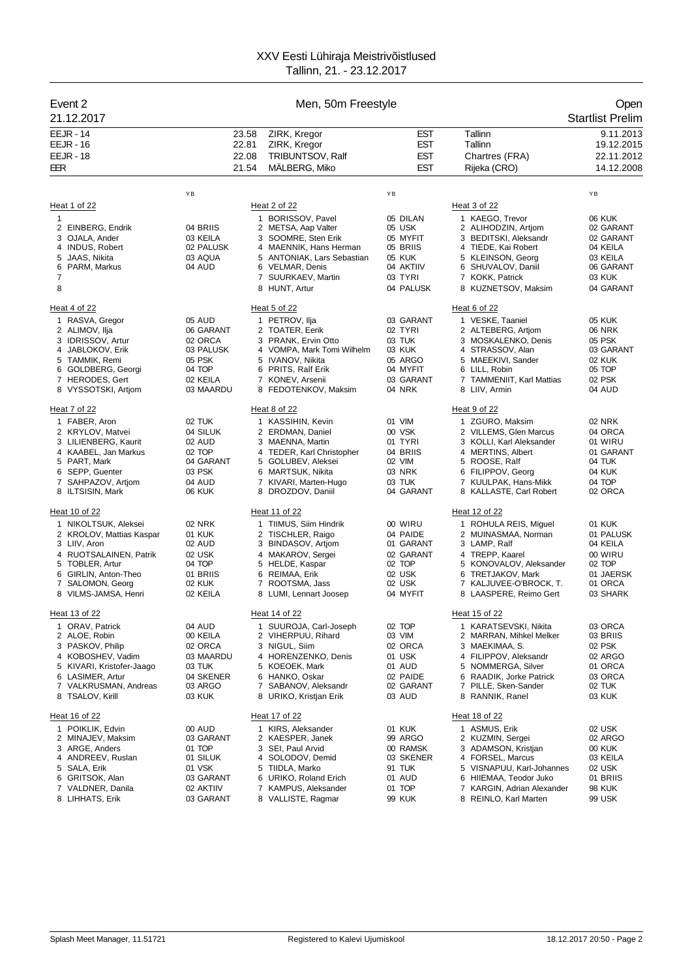| Event 2                                           |                      |       | Men, 50m Freestyle                                   |                     |                                                     | Open                    |
|---------------------------------------------------|----------------------|-------|------------------------------------------------------|---------------------|-----------------------------------------------------|-------------------------|
| 21.12.2017                                        |                      |       |                                                      |                     |                                                     | <b>Startlist Prelim</b> |
| <b>EEJR - 14</b>                                  |                      | 23.58 | ZIRK, Kregor                                         | <b>EST</b>          | Tallinn                                             | 9.11.2013               |
| <b>EEJR - 16</b>                                  |                      | 22.81 | ZIRK, Kregor                                         | <b>EST</b>          | Tallinn                                             | 19.12.2015              |
| <b>EEJR - 18</b>                                  |                      | 22.08 | TRIBUNTSOV, Ralf                                     | <b>EST</b>          | Chartres (FRA)                                      | 22.11.2012              |
| EER                                               |                      | 21.54 | MALBERG, Miko                                        | <b>EST</b>          | Rijeka (CRO)                                        | 14.12.2008              |
|                                                   | YB                   |       |                                                      | YB                  |                                                     | ΥB                      |
| Heat 1 of 22                                      |                      |       | Heat 2 of 22                                         |                     | Heat 3 of 22                                        |                         |
| 1                                                 |                      |       | 1 BORISSOV, Pavel                                    | 05 DILAN            | 1 KAEGO, Trevor                                     | <b>06 KUK</b>           |
| 2 EINBERG, Endrik                                 | 04 BRIIS             |       | 2 METSA, Aap Valter                                  | 05 USK              | 2 ALIHODZIN, Artjom                                 | 02 GARANT               |
| 3 OJALA, Ander                                    | 03 KEILA             |       | 3 SOOMRE, Sten Erik                                  | 05 MYFIT            | 3 BEDITSKI, Aleksandr                               | 02 GARANT               |
| 4 INDUS, Robert<br>5 JAAS, Nikita                 | 02 PALUSK<br>03 AQUA |       | 4 MAENNIK, Hans Herman<br>5 ANTONIAK, Lars Sebastian | 05 BRIIS<br>05 KUK  | 4 TIEDE, Kai Robert<br>5 KLEINSON, Georg            | 04 KEILA<br>03 KEILA    |
| 6 PARM, Markus                                    | 04 AUD               |       | 6 VELMAR, Denis                                      | 04 AKTIIV           | 6 SHUVALOV, Daniil                                  | 06 GARANT               |
| 7                                                 |                      |       | 7 SUURKAEV, Martin                                   | 03 TYRI             | 7 KOKK, Patrick                                     | 03 KUK                  |
| 8                                                 |                      |       | 8 HUNT, Artur                                        | 04 PALUSK           | 8 KUZNETSOV, Maksim                                 | 04 GARANT               |
| Heat 4 of 22                                      |                      |       | Heat 5 of 22                                         |                     | Heat 6 of 22                                        |                         |
| 1 RASVA, Gregor                                   | 05 AUD               |       | 1 PETROV, Ilja                                       | 03 GARANT           | 1 VESKE, Taaniel                                    | <b>05 KUK</b>           |
| 2 ALIMOV, Ilja                                    | 06 GARANT            |       | 2 TOATER, Eerik                                      | 02 TYRI             | 2 ALTEBERG, Artiom                                  | <b>06 NRK</b>           |
| 3 IDRISSOV, Artur                                 | 02 ORCA              |       | 3 PRANK, Ervin Otto                                  | 03 TUK              | 3 MOSKALENKO, Denis                                 | 05 PSK                  |
| 4 JABLOKOV, Erik                                  | 03 PALUSK            |       | 4 VOMPA, Mark Tomi Wilhelm                           | 03 KUK              | 4 STRASSOV, Alan                                    | 03 GARANT               |
| 5 TAMMIK, Remi<br>6 GOLDBERG, Georgi              | 05 PSK<br>04 TOP     |       | 5 IVANOV, Nikita<br>6 PRITS, Ralf Erik               | 05 ARGO<br>04 MYFIT | 5 MAEEKIVI, Sander<br>6 LILL, Robin                 | <b>02 KUK</b><br>05 TOP |
| 7 HERODES, Gert                                   | 02 KEILA             |       | 7 KONEV, Arsenii                                     | 03 GARANT           | 7 TAMMENIIT, Karl Mattias                           | 02 PSK                  |
| 8 VYSSOTSKI, Artjom                               | 03 MAARDU            |       | 8 FEDOTENKOV, Maksim                                 | 04 NRK              | 8 LIIV, Armin                                       | 04 AUD                  |
| Heat 7 of 22                                      |                      |       | Heat 8 of 22                                         |                     | Heat 9 of 22                                        |                         |
| 1 FABER, Aron                                     | 02 TUK               |       | 1 KASSIHIN, Kevin                                    | 01 VIM              | 1 ZGURO, Maksim                                     | 02 NRK                  |
| 2 KRYLOV, Matvei                                  | 04 SILUK             |       | 2 ERDMAN, Daniel                                     | 00 VSK              | 2 VILLEMS, Glen Marcus                              | 04 ORCA                 |
| 3 LILIENBERG, Kaurit                              | 02 AUD               |       | 3 MAENNA, Martin                                     | 01 TYRI             | 3 KOLLI, Karl Aleksander                            | 01 WIRU                 |
| 4 KAABEL, Jan Markus<br>5 PART, Mark              | 02 TOP               |       | 4 TEDER, Karl Christopher                            | 04 BRIIS<br>02 VIM  | 4 MERTINS, Albert                                   | 01 GARANT<br>04 TUK     |
| 6 SEPP, Guenter                                   | 04 GARANT<br>03 PSK  |       | 5 GOLUBEV, Aleksei<br>6 MARTSUK, Nikita              | 03 NRK              | 5 ROOSE, Ralf<br>6 FILIPPOV, Georg                  | 04 KUK                  |
| 7 SAHPAZOV, Artjom                                | 04 AUD               |       | 7 KIVARI, Marten-Hugo                                | 03 TUK              | 7 KUULPAK, Hans-Mikk                                | 04 TOP                  |
| 8 ILTSISIN, Mark                                  | 06 KUK               |       | 8 DROZDOV, Daniil                                    | 04 GARANT           | 8 KALLASTE, Carl Robert                             | 02 ORCA                 |
| Heat 10 of 22                                     |                      |       | Heat 11 of 22                                        |                     | Heat 12 of 22                                       |                         |
| 1 NIKOLTSUK, Aleksei                              | 02 NRK               |       | 1 TIIMUS, Siim Hindrik                               | 00 WIRU             | 1 ROHULA REIS, Miguel                               | <b>01 KUK</b>           |
| 2 KROLOV, Mattias Kaspar                          | 01 KUK               |       | 2 TISCHLER, Raigo                                    | 04 PAIDE            | 2 MUINASMAA, Norman                                 | 01 PALUSK               |
| 3 LIIV, Aron                                      | 02 AUD               |       | 3 BINDASOV, Artjom                                   | 01 GARANT           | 3 LAMP, Ralf                                        | 04 KEILA                |
| 4 RUOTSALAINEN, Patrik<br>5 TOBLER, Artur         | 02 USK<br>04 TOP     |       | 4 MAKAROV, Sergei<br>5 HELDE, Kaspar                 | 02 GARANT<br>02 TOP | 4 TREPP, Kaarel<br>5 KONOVALOV, Aleksander          | 00 WIRU<br>02 TOP       |
| 6 GIRLIN, Anton-Theo                              | 01 BRIIS             |       | 6 REIMAA, Erik                                       | 02 USK              | 6 TRETJAKOV, Mark                                   | 01 JAERSK               |
| 7 SALOMON, Georg                                  | 02 KUK               |       | 7 ROOTSMA, Jass                                      | 02 USK              | 7 KALJUVEE-O'BROCK, T.                              | 01 ORCA                 |
| 8 VILMS-JAMSA, Henri                              | 02 KEILA             |       | 8 LUMI, Lennart Joosep                               | 04 MYFIT            | 8 LAASPERE, Reimo Gert                              | 03 SHARK                |
| Heat 13 of 22                                     |                      |       | Heat 14 of 22                                        |                     | Heat 15 of 22                                       |                         |
| 1 ORAV, Patrick                                   | 04 AUD               |       | 1 SUUROJA, Carl-Joseph                               | 02 TOP              | 1 KARATSEVSKI, Nikita                               | 03 ORCA                 |
| 2 ALOE, Robin                                     | 00 KEILA             |       | 2 VIHERPUU, Rihard                                   | 03 VIM              | 2 MARRAN, Mihkel Melker                             | 03 BRIIS                |
| 3 PASKOV, Philip                                  | 02 ORCA              |       | 3 NIGUL, Siim                                        | 02 ORCA             | 3 MAEKIMAA, S.                                      | 02 PSK                  |
| KOBOSHEV, Vadim<br>4<br>5 KIVARI, Kristofer-Jaago | 03 MAARDU<br>03 TUK  |       | 4 HORENZENKO, Denis<br>5 KOEOEK, Mark                | 01 USK<br>01 AUD    | FILIPPOV, Aleksandr<br>4<br>5 NOMMERGA, Silver      | 02 ARGO<br>01 ORCA      |
| 6 LASIMER, Artur                                  | 04 SKENER            |       | 6 HANKO, Oskar                                       | 02 PAIDE            | 6 RAADIK, Jorke Patrick                             | 03 ORCA                 |
| 7 VALKRUSMAN, Andreas                             | 03 ARGO              |       | 7 SABANOV, Aleksandr                                 | 02 GARANT           | 7 PILLE, Sken-Sander                                | 02 TUK                  |
| 8 TSALOV, Kirill                                  | 03 KUK               |       | 8 URIKO, Kristjan Erik                               | 03 AUD              | 8 RANNIK, Ranel                                     | 03 KUK                  |
| Heat 16 of 22                                     |                      |       | Heat 17 of 22                                        |                     | Heat 18 of 22                                       |                         |
| 1 POIKLIK, Edvin                                  | 00 AUD               |       | 1 KIRS, Aleksander                                   | 01 KUK              | 1 ASMUS, Erik                                       | 02 USK                  |
| 2 MINAJEV, Maksim                                 | 03 GARANT            |       | 2 KAESPER, Janek                                     | 99 ARGO             | 2 KUZMIN, Sergei                                    | 02 ARGO                 |
| 3 ARGE, Anders                                    | 01 TOP               |       | 3 SEI, Paul Arvid                                    | 00 RAMSK            | 3 ADAMSON, Kristjan                                 | 00 KUK                  |
| 4 ANDREEV, Ruslan                                 | 01 SILUK             |       | 4 SOLODOV, Demid                                     | 03 SKENER           | 4 FORSEL, Marcus                                    | 03 KEILA                |
| 5 SALA, Erik<br>6 GRITSOK, Alan                   | 01 VSK<br>03 GARANT  | 5     | TIIDLA, Marko<br>6 URIKO, Roland Erich               | 91 TUK<br>01 AUD    | 5 VISNAPUU, Karl-Johannes<br>6 HIIEMAA, Teodor Juko | 02 USK<br>01 BRIIS      |
| 7 VALDNER, Danila                                 | 02 AKTIIV            |       | 7 KAMPUS, Aleksander                                 | 01 TOP              | 7 KARGIN, Adrian Alexander                          | 98 KUK                  |
| 8 LIHHATS, Erik                                   | 03 GARANT            |       | 8 VALLISTE, Ragmar                                   | 99 KUK              | 8 REINLO, Karl Marten                               | 99 USK                  |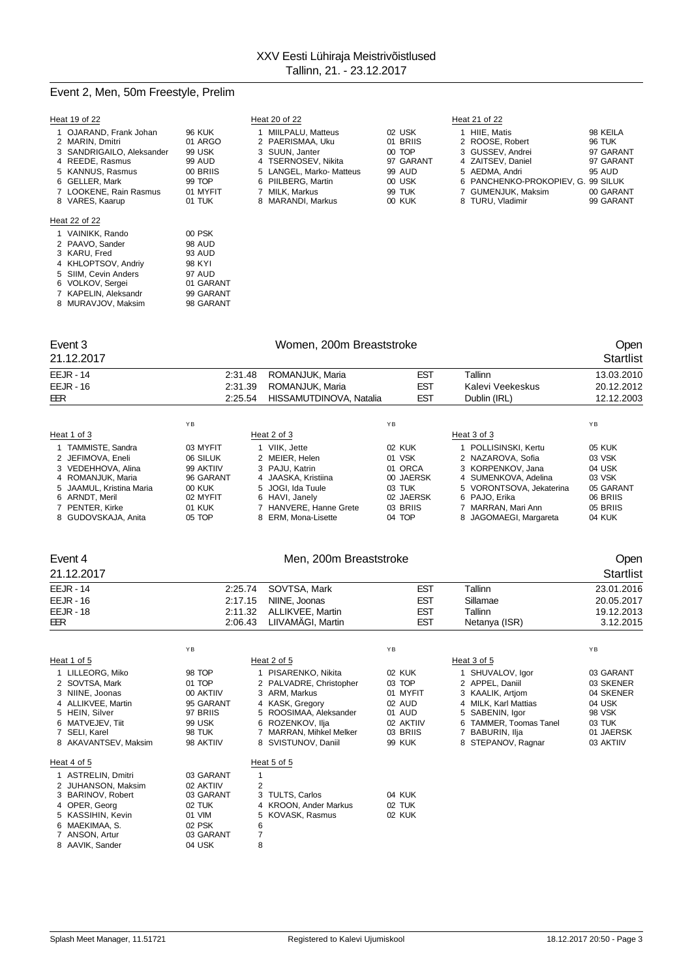## Event 2, Men, 50m Freestyle, Prelim

| Heat 19 of 22                                                                                                                                                                |                                                                                          | Heat 20 of 22                                                                                                                                                           |                                                                                   | Heat 21 of 22                                                                                                                                                             |                                                                                         |
|------------------------------------------------------------------------------------------------------------------------------------------------------------------------------|------------------------------------------------------------------------------------------|-------------------------------------------------------------------------------------------------------------------------------------------------------------------------|-----------------------------------------------------------------------------------|---------------------------------------------------------------------------------------------------------------------------------------------------------------------------|-----------------------------------------------------------------------------------------|
| 1 OJARAND, Frank Johan<br>2 MARIN, Dmitri<br>3 SANDRIGAILO, Aleksander<br>4 REEDE, Rasmus<br>5 KANNUS, Rasmus<br>6 GELLER, Mark<br>7 LOOKENE, Rain Rasmus<br>8 VARES, Kaarup | <b>96 KUK</b><br>01 ARGO<br>99 USK<br>99 AUD<br>00 BRIIS<br>99 TOP<br>01 MYFIT<br>01 TUK | MIILPALU, Matteus<br>2 PAERISMAA, Uku<br>3 SUUN. Janter<br>4 TSERNOSEV, Nikita<br>5 LANGEL, Marko- Matteus<br>6 PIILBERG, Martin<br>7 MILK, Markus<br>8 MARANDI, Markus | 02 USK<br>01 BRIIS<br>00 TOP<br>97 GARANT<br>99 AUD<br>00 USK<br>99 TUK<br>00 KUK | HIIE. Matis<br>2 ROOSE, Robert<br>3 GUSSEV. Andrei<br>4 ZAITSEV, Daniel<br>5 AEDMA, Andri<br>6 PANCHENKO-PROKOPIEV, G. 99 SILUK<br>7 GUMENJUK, Maksim<br>8 TURU, Vladimir | 98 KEILA<br><b>96 TUK</b><br>97 GARANT<br>97 GARANT<br>95 AUD<br>00 GARANT<br>99 GARANT |
| Heat 22 of 22<br>1 VAINIKK, Rando<br>2 PAAVO, Sander<br>3 KARU, Fred                                                                                                         | 00 PSK<br>98 AUD<br>93 AUD                                                               |                                                                                                                                                                         |                                                                                   |                                                                                                                                                                           |                                                                                         |

| Event 3 | Women, 200m Breaststroke | Open |
|---------|--------------------------|------|

3 KARU, Fred

## 21.12.2017 Startlist EEJR - 14 2:31.48 ROMANJUK, Maria EST Tallinn 13.03.2010

4 KHLOPTSOV, Andriy 98 KYI<br>5 SIIM, Cevin Anders 97 AUD 5 SIIM, Cevin Anders 97 AUD<br>6 VOLKOV, Sergei 01 GARANT 6 VOLKOV, Sergei 01 GARANT<br>7 KAPELIN, Aleksandr 99 GARANT<br>8 MURAVJOV, Maksim 98 GARANT 7 KAPELIN, Aleksandr 99 GARANT 8 MURAVJOV, Maksim 98 GARANT

| EEJR - 16                | 2:31.39   | ROMANJUK, Maria         | <b>EST</b> | Kalevi Veekeskus         | 20.12.2012 |
|--------------------------|-----------|-------------------------|------------|--------------------------|------------|
| EER                      | 2:25.54   | HISSAMUTDINOVA, Natalia | <b>EST</b> | Dublin (IRL)             | 12.12.2003 |
|                          |           |                         |            |                          |            |
|                          | YB.       |                         | <b>YB</b>  |                          | YB         |
| Heat 1 of 3              |           | Heat 2 of 3             |            | Heat 3 of 3              |            |
| 1 TAMMISTE, Sandra       | 03 MYFIT  | 1 VIIK. Jette           | 02 KUK     | 1 POLLISINSKI, Kertu     | 05 KUK     |
| 2 JEFIMOVA, Eneli        | 06 SILUK  | 2 MEIER, Helen          | 01 VSK     | 2 NAZAROVA, Sofia        | 03 VSK     |
| 3 VEDEHHOVA, Alina       | 99 AKTIIV | 3 PAJU, Katrin          | 01 ORCA    | 3 KORPENKOV, Jana        | 04 USK     |
| 4 ROMANJUK, Maria        | 96 GARANT | 4 JAASKA, Kristiina     | 00 JAERSK  | 4 SUMENKOVA, Adelina     | 03 VSK     |
| 5 JAAMUL, Kristina Maria | 00 KUK    | 5 JOGI, Ida Tuule       | 03 TUK     | 5 VORONTSOVA, Jekaterina | 05 GARANT  |
| 6 ARNDT. Meril           | 02 MYFIT  | 6 HAVI, Janely          | 02 JAERSK  | 6 PAJO, Erika            | 06 BRIIS   |
| 7 PENTER, Kirke          | 01 KUK    | 7 HANVERE, Hanne Grete  | 03 BRIIS   | 7 MARRAN, Mari Ann       | 05 BRIIS   |
| 8 GUDOVSKAJA, Anita      | 05 TOP    | 8 ERM. Mona-Lisette     | 04 TOP     | 8 JAGOMAEGI, Margareta   | 04 KUK     |
|                          |           |                         |            |                          |            |

## Event 4 Communication of Men, 200m Breaststroke Communication of the Open

| 21.12.2017  |         |                          |            |               | Startlist  |
|-------------|---------|--------------------------|------------|---------------|------------|
| $EEJR - 14$ |         | 2:25.74 SOVTSA, Mark     | <b>EST</b> | Tallinn       | 23.01.2016 |
| $EEJR - 16$ | 2:17.15 | NIINE, Joonas            | <b>EST</b> | Sillamae      | 20.05.2017 |
| $EEJR - 18$ |         | 2:11.32 ALLIKVEE, Martin | <b>EST</b> | Tallinn       | 19.12.2013 |
| EER         | 2:06.43 | LIIVAMÄGI, Martin        | <b>EST</b> | Netanya (ISR) | 3.12.2015  |

|                                                                                                                                                            | YB                                                                                       |                                                                                                                                                           | YB                                                                        |                                                                                                                                                         | YB                                                                             |
|------------------------------------------------------------------------------------------------------------------------------------------------------------|------------------------------------------------------------------------------------------|-----------------------------------------------------------------------------------------------------------------------------------------------------------|---------------------------------------------------------------------------|---------------------------------------------------------------------------------------------------------------------------------------------------------|--------------------------------------------------------------------------------|
| Heat 1 of 5                                                                                                                                                |                                                                                          | Heat 2 of 5                                                                                                                                               |                                                                           | Heat 3 of 5                                                                                                                                             |                                                                                |
| 1 LILLEORG, Miko<br>2 SOVTSA, Mark<br>3 NIINE, Joonas<br>4 ALLIKVEE, Martin<br>5 HEIN, Silver<br>6 MATVEJEV, Tiit<br>7 SELI, Karel                         | 98 TOP<br>01 TOP<br>00 AKTIIV<br>95 GARANT<br>97 BRIIS<br>99 USK<br><b>98 TUK</b>        | PISARENKO, Nikita<br>2 PALVADRE, Christopher<br>3 ARM, Markus<br>4 KASK, Gregory<br>5 ROOSIMAA, Aleksander<br>6 ROZENKOV, Ilja<br>7 MARRAN, Mihkel Melker | 02 KUK<br>03 TOP<br>01 MYFIT<br>02 AUD<br>01 AUD<br>02 AKTIIV<br>03 BRIIS | 1 SHUVALOV, Igor<br>2 APPEL, Daniil<br>3 KAALIK, Artjom<br>4 MILK. Karl Mattias<br>5 SABENIN, Igor<br><b>TAMMER, Toomas Tanel</b><br>6<br>BABURIN, Ilja | 03 GARANT<br>03 SKENER<br>04 SKENER<br>04 USK<br>98 VSK<br>03 TUK<br>01 JAERSK |
| 8 AKAVANTSEV, Maksim<br>Heat 4 of 5                                                                                                                        | 98 AKTIIV                                                                                | 8 SVISTUNOV, Daniil<br>Heat 5 of 5                                                                                                                        | <b>99 KUK</b>                                                             | 8 STEPANOV, Ragnar                                                                                                                                      | 03 AKTIIV                                                                      |
| 1 ASTRELIN, Dmitri<br>2 JUHANSON, Maksim<br>3 BARINOV, Robert<br>4 OPER, Georg<br>5 KASSIHIN, Kevin<br>6 MAEKIMAA, S.<br>7 ANSON, Artur<br>8 AAVIK, Sander | 03 GARANT<br>02 AKTIIV<br>03 GARANT<br>02 TUK<br>01 VIM<br>02 PSK<br>03 GARANT<br>04 USK | 2<br>3 TULTS, Carlos<br>4 KROON, Ander Markus<br>5 KOVASK, Rasmus<br>6<br>7<br>8                                                                          | 04 KUK<br>02 TUK<br>02 KUK                                                |                                                                                                                                                         |                                                                                |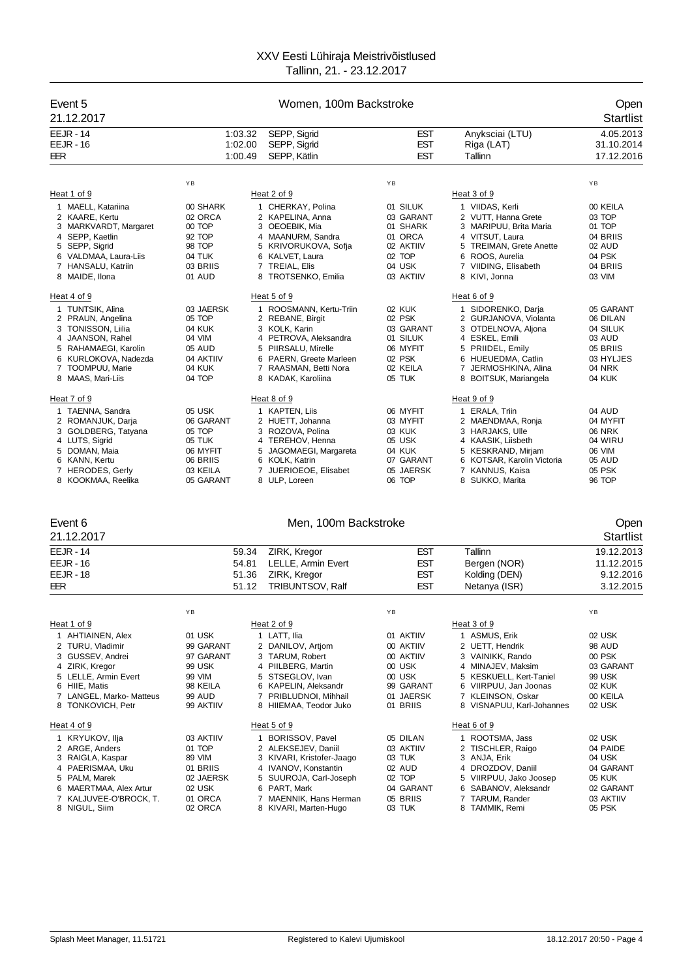| Event 5<br>21.12.2017                       |                               | Women, 100m Backstroke                       |                          |                                                  | Open<br><b>Startlist</b>              |  |
|---------------------------------------------|-------------------------------|----------------------------------------------|--------------------------|--------------------------------------------------|---------------------------------------|--|
| <b>EEJR - 14</b><br><b>EEJR - 16</b><br>EER | 1:03.32<br>1:02.00<br>1:00.49 | SEPP, Sigrid<br>SEPP, Sigrid<br>SEPP, Kätlin | EST<br>EST<br><b>EST</b> | Anyksciai (LTU)<br>Riga (LAT)<br>Tallinn         | 4.05.2013<br>31.10.2014<br>17.12.2016 |  |
|                                             | YB                            |                                              | YB                       |                                                  | YB                                    |  |
| Heat 1 of 9                                 |                               | Heat 2 of 9                                  |                          | Heat 3 of 9                                      |                                       |  |
| 1 MAELL, Katariina                          | 00 SHARK                      | 1 CHERKAY, Polina                            | 01 SILUK                 | 1 VIIDAS, Kerli                                  | 00 KEILA                              |  |
| 2 KAARE, Kertu                              | 02 ORCA                       | 2 KAPELINA, Anna                             | 03 GARANT                | 2 VUTT, Hanna Grete                              | 03 TOP                                |  |
| 3 MARKVARDT, Margaret<br>4 SEPP, Kaetlin    | 00 TOP<br>92 TOP              | 3 OEOEBIK, Mia<br>4 MAANURM, Sandra          | 01 SHARK<br>01 ORCA      | 3 MARIPUU, Brita Maria<br>4 VITSUT, Laura        | 01 TOP<br>04 BRIIS                    |  |
| 5 SEPP, Sigrid                              | 98 TOP                        | 5 KRIVORUKOVA, Sofja                         | 02 AKTIIV                | 5 TREIMAN, Grete Anette                          | 02 AUD                                |  |
| 6 VALDMAA, Laura-Liis                       | 04 TUK                        | 6 KALVET, Laura                              | 02 TOP                   | 6 ROOS, Aurelia                                  | 04 PSK                                |  |
| 7 HANSALU, Katriin                          | 03 BRIIS                      | 7 TREIAL, Elis                               | 04 USK                   | 7 VIIDING, Elisabeth                             | 04 BRIIS                              |  |
| 8 MAIDE, Ilona                              | 01 AUD                        | 8 TROTSENKO, Emilia                          | 03 AKTIIV                | 8 KIVI, Jonna                                    | 03 VIM                                |  |
| Heat 4 of 9                                 |                               | Heat 5 of 9                                  |                          | Heat 6 of 9                                      |                                       |  |
| 1 TUNTSIK, Alina                            | 03 JAERSK                     | 1 ROOSMANN, Kertu-Triin                      | 02 KUK                   | 1 SIDORENKO, Darja                               | 05 GARANT                             |  |
| 2 PRAUN, Angelina                           | 05 TOP                        | 2 REBANE, Birgit                             | 02 PSK                   | 2 GURJANOVA, Violanta                            | 06 DILAN                              |  |
| 3 TONISSON, Liilia<br>4 JAANSON, Rahel      | 04 KUK<br>04 VIM              | 3 KOLK, Karin<br>4 PETROVA, Aleksandra       | 03 GARANT<br>01 SILUK    | 3 OTDELNOVA, Aljona<br>4 ESKEL, Emili            | 04 SILUK<br>03 AUD                    |  |
| 5 RAHAMAEGI, Karolin                        | 05 AUD                        | 5 PIIRSALU, Mirelle                          | 06 MYFIT                 | 5 PRIIDEL, Emily                                 | 05 BRIIS                              |  |
| 6 KURLOKOVA, Nadezda                        | 04 AKTIIV                     | 6 PAERN, Greete Marleen                      | 02 PSK                   | 6 HUEUEDMA, Catlin                               | 03 HYLJES                             |  |
| 7 TOOMPUU, Marie                            | 04 KUK                        | 7 RAASMAN, Betti Nora                        | 02 KEILA                 | 7 JERMOSHKINA, Alina                             | <b>04 NRK</b>                         |  |
| 8 MAAS, Mari-Liis                           | 04 TOP                        | 8 KADAK, Karoliina                           | 05 TUK                   | 8 BOITSUK, Mariangela                            | 04 KUK                                |  |
| Heat 7 of 9                                 |                               | Heat 8 of 9                                  |                          | Heat 9 of 9                                      |                                       |  |
| 1 TAENNA, Sandra                            | 05 USK                        | 1 KAPTEN, Liis                               | 06 MYFIT                 | 1 ERALA, Triin                                   | 04 AUD                                |  |
| 2 ROMANJUK, Darja<br>3 GOLDBERG, Tatyana    | 06 GARANT<br>05 TOP           | 2 HUETT, Johanna<br>3 ROZOVA, Polina         | 03 MYFIT<br>03 KUK       | 2 MAENDMAA, Ronja<br>3 HARJAKS, Ulle             | 04 MYFIT<br><b>06 NRK</b>             |  |
| 4 LUTS, Sigrid                              | 05 TUK                        | 4 TEREHOV, Henna                             | 05 USK                   | 4 KAASIK, Liisbeth                               | 04 WIRU                               |  |
| 5 DOMAN, Maia                               | 06 MYFIT                      | 5 JAGOMAEGI, Margareta                       | 04 KUK                   | 5 KESKRAND, Mirjam                               | 06 VIM                                |  |
| 6 KANN, Kertu                               | 06 BRIIS                      | 6 KOLK, Katrin                               | 07 GARANT                | 6 KOTSAR, Karolin Victoria                       | 05 AUD                                |  |
| 7 HERODES, Gerly<br>8 KOOKMAA, Reelika      | 03 KEILA<br>05 GARANT         | 7 JUERIOEOE, Elisabet<br>8 ULP, Loreen       | 05 JAERSK<br>06 TOP      | 7 KANNUS, Kaisa<br>8 SUKKO, Marita               | 05 PSK<br>96 TOP                      |  |
|                                             |                               |                                              |                          |                                                  |                                       |  |
| Event 6                                     |                               | Men, 100m Backstroke                         |                          |                                                  | Open                                  |  |
| 21.12.2017                                  |                               |                                              |                          |                                                  | <b>Startlist</b>                      |  |
| $EEJR - 14$                                 | 59.34                         | ZIRK, Kregor                                 | EST                      | Tallinn                                          | 19.12.2013                            |  |
| $EEJR - 16$                                 | 54.81                         | LELLE, Armin Evert                           | EST                      | Bergen (NOR)                                     | 11.12.2015                            |  |
| <b>EEJR - 18</b>                            | 51.36                         | ZIRK, Kregor                                 | EST                      | Kolding (DEN)                                    | 9.12.2016                             |  |
| EER                                         | 51.12                         | <b>TRIBUNTSOV, Ralf</b>                      | <b>EST</b>               | Netanya (ISR)                                    | 3.12.2015                             |  |
|                                             |                               |                                              |                          |                                                  |                                       |  |
|                                             | ΥB                            |                                              | ΥB                       |                                                  | ΥB                                    |  |
| Heat 1 of 9<br>1 AHTIAINEN, Alex            | 01 USK                        | Heat 2 of 9<br>1 LATT, Ilia                  | 01 AKTIIV                | Heat 3 of 9<br>1 ASMUS, Erik                     | 02 USK                                |  |
| 2 TURU, Vladimir                            | 99 GARANT                     | 2 DANILOV, Artjom                            | 00 AKTIIV                | 2 UETT, Hendrik                                  | <b>98 AUD</b>                         |  |
| 3 GUSSEV, Andrei                            | 97 GARANT                     | 3 TARUM, Robert                              | 00 AKTIIV                | 3 VAINIKK, Rando                                 | 00 PSK                                |  |
| 4 ZIRK, Kregor                              | 99 USK                        | 4 PIILBERG, Martin                           | 00 USK                   | 4 MINAJEV, Maksim                                | 03 GARANT                             |  |
| 5 LELLE, Armin Evert<br>6 HIIE, Matis       | 99 VIM<br>98 KEILA            | 5 STSEGLOV. Ivan<br>6 KAPELIN, Aleksandr     | 00 USK<br>99 GARANT      | 5 KESKUELL, Kert-Taniel<br>6 VIIRPUU, Jan Joonas | 99 USK<br><b>02 KUK</b>               |  |
| 7 LANGEL, Marko- Matteus                    | <b>99 AUD</b>                 | 7 PRIBLUDNOI, Mihhail                        | 01 JAERSK                | 7 KLEINSON, Oskar                                | 00 KEILA                              |  |
| 8 TONKOVICH, Petr                           | 99 AKTIIV                     | 8 HIIEMAA, Teodor Juko                       | 01 BRIIS                 | 8 VISNAPUU, Karl-Johannes                        | 02 USK                                |  |

| ⊶<br>ш | 4 |  |
|--------|---|--|
|        |   |  |

| Heat 4 of 9            |           | Heat 5 of 9               |           | Heat 6 of 9            |           |
|------------------------|-----------|---------------------------|-----------|------------------------|-----------|
| 1 KRYUKOV, Ilja        | 03 AKTIIV | BORISSOV, Pavel           | 05 DILAN  | I ROOTSMA. Jass        | 02 USK    |
| 2 ARGE, Anders         | 01 TOP    | 2 ALEKSEJEV, Daniil       | 03 AKTIIV | 2 TISCHLER, Raigo      | 04 PAIDE  |
| 3 RAIGLA, Kaspar       | 89 VIM    | 3 KIVARI, Kristofer-Jaago | 03 TUK    | 3 ANJA, Erik           | 04 USK    |
| 4 PAERISMAA, Uku       | 01 BRIIS  | 4 IVANOV. Konstantin      | 02 AUD    | 4 DROZDOV, Daniil      | 04 GARANT |
| 5 PALM, Marek          | 02 JAERSK | 5 SUUROJA, Carl-Joseph    | 02 TOP    | 5 VIIRPUU, Jako Joosep | 05 KUK    |
| 6 MAERTMAA, Alex Artur | 02 USK    | 6 PART, Mark              | 04 GARANT | 6 SABANOV. Aleksandr   | 02 GARANT |
| 7 KALJUVEE-O'BROCK. T. | 01 ORCA   | 7 MAENNIK, Hans Herman    | 05 BRIIS  | 7 TARUM. Rander        | 03 AKTIIV |
| 8 NIGUL, Siim          | 02 ORCA   | 8 KIVARI, Marten-Hugo     | 03 TUK    | 8 TAMMIK, Remi         | 05 PSK    |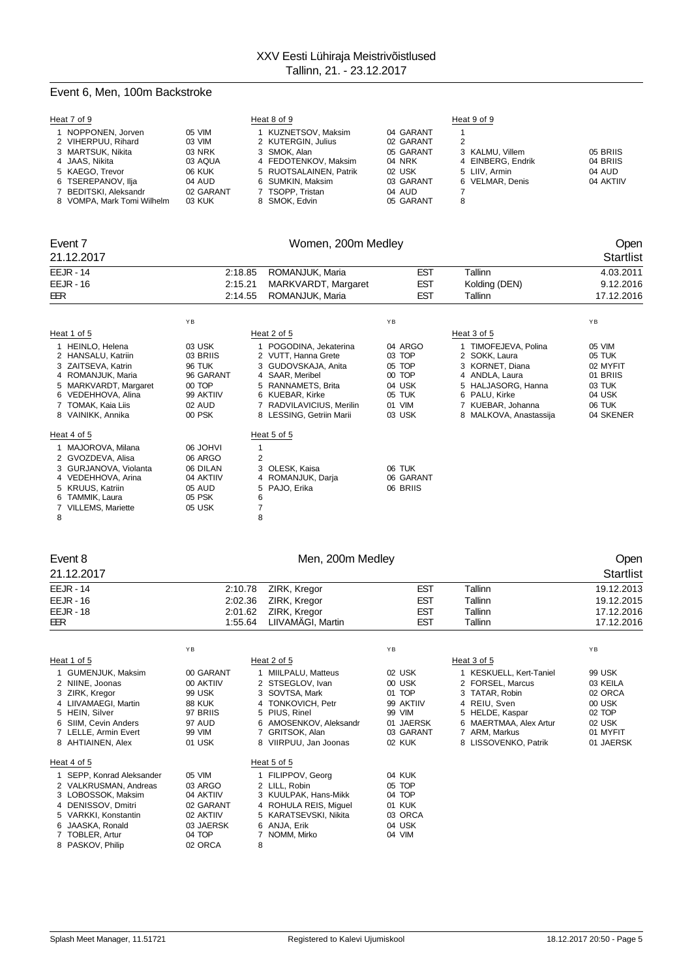## Event 6, Men, 100m Backstroke

| Heat 7 of 9                |           | Heat 8 of 9            |           | Heat 9 of 9       |           |
|----------------------------|-----------|------------------------|-----------|-------------------|-----------|
| 1 NOPPONEN, Jorven         | 05 VIM    | KUZNETSOV, Maksim      | 04 GARANT |                   |           |
| 2 VIHERPUU, Rihard         | 03 VIM    | 2 KUTERGIN, Julius     | 02 GARANT | 2                 |           |
| 3 MARTSUK, Nikita          | 03 NRK    | 3 SMOK, Alan           | 05 GARANT | 3 KALMU, Villem   | 05 BRIIS  |
| 4 JAAS, Nikita             | 03 AQUA   | 4 FEDOTENKOV, Maksim   | 04 NRK    | 4 EINBERG, Endrik | 04 BRIIS  |
| 5 KAEGO. Trevor            | 06 KUK    | 5 RUOTSALAINEN, Patrik | 02 USK    | 5 LIIV. Armin     | 04 AUD    |
| 6 TSEREPANOV, Ilja         | 04 AUD    | 6 SUMKIN, Maksim       | 03 GARANT | 6 VELMAR, Denis   | 04 AKTIIV |
| 7 BEDITSKI, Aleksandr      | 02 GARANT | 7 TSOPP. Tristan       | 04 AUD    |                   |           |
| 8 VOMPA, Mark Tomi Wilhelm | 03 KUK    | 8 SMOK, Edvin          | 05 GARANT | 8                 |           |

## Event 7 Women, 200m Medley Open

| 21.12.2017                                                                                                                                                                  |                                                                                             |                                    |                                                                                                                                                                                          |                                                                               |                                                                                                                                                                  | Startlist                                                                           |
|-----------------------------------------------------------------------------------------------------------------------------------------------------------------------------|---------------------------------------------------------------------------------------------|------------------------------------|------------------------------------------------------------------------------------------------------------------------------------------------------------------------------------------|-------------------------------------------------------------------------------|------------------------------------------------------------------------------------------------------------------------------------------------------------------|-------------------------------------------------------------------------------------|
| <b>EEJR - 14</b>                                                                                                                                                            |                                                                                             | 2:18.85                            | ROMANJUK, Maria                                                                                                                                                                          | <b>EST</b>                                                                    | Tallinn                                                                                                                                                          | 4.03.2011                                                                           |
| $EEJR - 16$                                                                                                                                                                 | 2:15.21                                                                                     |                                    | MARKVARDT, Margaret                                                                                                                                                                      | <b>EST</b>                                                                    | Kolding (DEN)                                                                                                                                                    | 9.12.2016                                                                           |
| EER                                                                                                                                                                         |                                                                                             | 2:14.55                            | ROMANJUK, Maria                                                                                                                                                                          | <b>EST</b>                                                                    | Tallinn                                                                                                                                                          | 17.12.2016                                                                          |
|                                                                                                                                                                             | YB                                                                                          |                                    |                                                                                                                                                                                          | YB                                                                            |                                                                                                                                                                  | YB                                                                                  |
| Heat 1 of 5                                                                                                                                                                 |                                                                                             |                                    | Heat 2 of 5                                                                                                                                                                              |                                                                               | Heat 3 of 5                                                                                                                                                      |                                                                                     |
| 1 HEINLO, Helena<br>2 HANSALU, Katriin<br>3 ZAITSEVA, Katrin<br>4 ROMANJUK, Maria<br>5 MARKVARDT, Margaret<br>6 VEDEHHOVA, Alina<br>7 TOMAK, Kaia Liis<br>8 VAINIKK, Annika | 03 USK<br>03 BRIIS<br><b>96 TUK</b><br>96 GARANT<br>00 TOP<br>99 AKTIIV<br>02 AUD<br>00 PSK |                                    | 1 POGODINA, Jekaterina<br>2 VUTT, Hanna Grete<br>3 GUDOVSKAJA, Anita<br>4 SAAR, Meribel<br>5 RANNAMETS, Brita<br>6 KUEBAR, Kirke<br>7 RADVILAVICIUS, Merilin<br>8 LESSING, Getriin Marii | 04 ARGO<br>03 TOP<br>05 TOP<br>00 TOP<br>04 USK<br>05 TUK<br>01 VIM<br>03 USK | 1 TIMOFEJEVA, Polina<br>2 SOKK, Laura<br>3 KORNET, Diana<br>4 ANDLA, Laura<br>5 HALJASORG, Hanna<br>6 PALU, Kirke<br>7 KUEBAR, Johanna<br>8 MALKOVA, Anastassija | 05 VIM<br>05 TUK<br>02 MYFIT<br>01 BRIIS<br>03 TUK<br>04 USK<br>06 TUK<br>04 SKENER |
| Heat 4 of 5                                                                                                                                                                 |                                                                                             |                                    | Heat 5 of 5                                                                                                                                                                              |                                                                               |                                                                                                                                                                  |                                                                                     |
| 1 MAJOROVA, Milana<br>2 GVOZDEVA, Alisa<br>3 GURJANOVA, Violanta<br>4 VEDEHHOVA, Arina<br>5 KRUUS, Katriin<br>6 TAMMIK, Laura<br>7 VILLEMS, Mariette<br>8                   | 06 JOHVI<br>06 ARGO<br>06 DILAN<br>04 AKTIIV<br>05 AUD<br>05 PSK<br>05 USK                  | 1<br>$\overline{2}$<br>6<br>7<br>8 | 3 OLESK, Kaisa<br>4 ROMANJUK, Darja<br>5 PAJO, Erika                                                                                                                                     | 06 TUK<br>06 GARANT<br>06 BRIIS                                               |                                                                                                                                                                  |                                                                                     |

## Event 8 Communication of Men, 200m Medley Communication of the Communication of Men, 200m Medley

### 21.12.2017 Startlist EEJR - 14 2:10.78 ZIRK, Kregor EST Tallinn 19.12.2013 EEJR - 16 2:02.36 ZIRK, Kregor EST Tallinn 19.12.2015 EEJR - 18 2:01.62 ZIRK, Kregor EST Tallinn 17.12.2016 EER 1:55.64 LIIVAMÄGI, Martin EST Tallinn 17.12.2016

|                                                                                                                                                                                   | YB                                                                                          |                                                                                                                                                                       | YB                                                                                                        |                                                                                                                                                                     | YB                                                                                   |
|-----------------------------------------------------------------------------------------------------------------------------------------------------------------------------------|---------------------------------------------------------------------------------------------|-----------------------------------------------------------------------------------------------------------------------------------------------------------------------|-----------------------------------------------------------------------------------------------------------|---------------------------------------------------------------------------------------------------------------------------------------------------------------------|--------------------------------------------------------------------------------------|
| Heat 1 of 5                                                                                                                                                                       |                                                                                             | Heat 2 of 5                                                                                                                                                           |                                                                                                           | Heat 3 of 5                                                                                                                                                         |                                                                                      |
| 1 GUMENJUK, Maksim<br>2 NIINE, Joonas<br>3 ZIRK, Kregor<br>4 LIIVAMAEGI, Martin<br>5 HEIN, Silver<br>6 SIIM. Cevin Anders<br>7 LELLE, Armin Evert<br>8 AHTIAINEN, Alex            | 00 GARANT<br>00 AKTIIV<br>99 USK<br><b>88 KUK</b><br>97 BRIIS<br>97 AUD<br>99 VIM<br>01 USK | 1 MIILPALU, Matteus<br>2 STSEGLOV, Ivan<br>3 SOVTSA, Mark<br>4 TONKOVICH, Petr<br>5 PIUS, Rinel<br>6 AMOSENKOV, Aleksandr<br>7 GRITSOK, Alan<br>8 VIIRPUU, Jan Joonas | 02 USK<br>00 USK<br><b>TOP</b><br>01<br>99 AKTIIV<br>99<br><b>VIM</b><br>01 JAERSK<br>03 GARANT<br>02 KUK | 1 KESKUELL, Kert-Taniel<br>2 FORSEL, Marcus<br>3 TATAR, Robin<br>4 REIU, Sven<br>5 HELDE, Kaspar<br>6 MAERTMAA, Alex Artur<br>7 ARM, Markus<br>8 LISSOVENKO, Patrik | 99 USK<br>03 KEILA<br>02 ORCA<br>00 USK<br>02 TOP<br>02 USK<br>01 MYFIT<br>01 JAERSK |
| Heat 4 of 5                                                                                                                                                                       |                                                                                             | Heat 5 of 5                                                                                                                                                           |                                                                                                           |                                                                                                                                                                     |                                                                                      |
| 1 SEPP, Konrad Aleksander<br>2 VALKRUSMAN, Andreas<br>3 LOBOSSOK, Maksim<br>4 DENISSOV, Dmitri<br>5 VARKKI, Konstantin<br>6 JAASKA, Ronald<br>7 TOBLER, Artur<br>8 PASKOV, Philip | 05 VIM<br>03 ARGO<br>04 AKTIIV<br>02 GARANT<br>02 AKTIIV<br>03 JAERSK<br>04 TOP<br>02 ORCA  | 1 FILIPPOV, Georg<br>2 LILL. Robin<br>3 KUULPAK, Hans-Mikk<br>4 ROHULA REIS, Miquel<br>5 KARATSEVSKI, Nikita<br>6 ANJA, Erik<br>7 NOMM, Mirko<br>8                    | 04 KUK<br>05 TOP<br>04 TOP<br>01 KUK<br>03 ORCA<br>04 USK<br>04 VIM                                       |                                                                                                                                                                     |                                                                                      |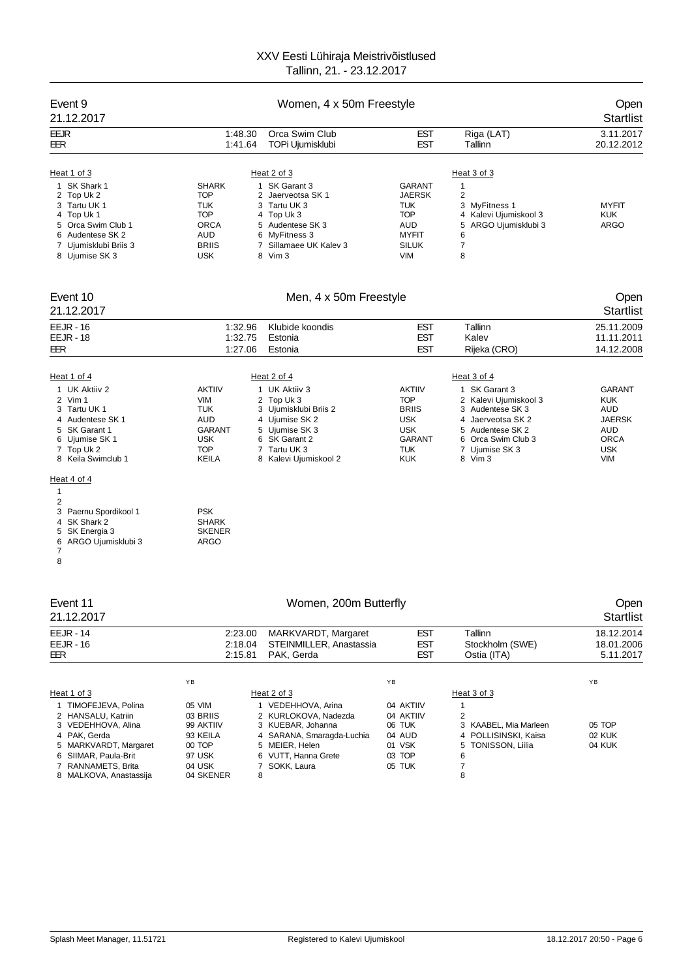| Event 9<br>21.12.2017                                                                                                                                                       |                                                                                                     | Open<br><b>Startlist</b>                                                                                                                                          |                                                                                                          |                                                                                                                                                                                |                                                                                                       |
|-----------------------------------------------------------------------------------------------------------------------------------------------------------------------------|-----------------------------------------------------------------------------------------------------|-------------------------------------------------------------------------------------------------------------------------------------------------------------------|----------------------------------------------------------------------------------------------------------|--------------------------------------------------------------------------------------------------------------------------------------------------------------------------------|-------------------------------------------------------------------------------------------------------|
| <b>EEJR</b><br>EER                                                                                                                                                          | 1:48.30<br>1:41.64                                                                                  | Orca Swim Club<br>TOPi Ujumisklubi                                                                                                                                | EST<br><b>EST</b>                                                                                        | Riga (LAT)<br>Tallinn                                                                                                                                                          | 3.11.2017<br>20.12.2012                                                                               |
| Heat 1 of 3<br>1 SK Shark 1<br>2 Top Uk 2<br>3 Tartu UK 1<br>4 Top Uk 1<br>5 Orca Swim Club 1<br>6 Audentese SK 2<br>7 Ujumisklubi Briis 3<br>8 Ujumise SK 3                | <b>SHARK</b><br><b>TOP</b><br>TUK<br><b>TOP</b><br><b>ORCA</b><br>AUD<br><b>BRIIS</b><br><b>USK</b> | Heat 2 of 3<br>1 SK Garant 3<br>2 Jaerveotsa SK 1<br>3 Tartu UK 3<br>4 Top Uk 3<br>5 Audentese SK 3<br>6 MyFitness 3<br>7 Sillamaee UK Kalev 3<br>8 Vim 3         | <b>GARANT</b><br><b>JAERSK</b><br>TUK<br><b>TOP</b><br>AUD<br><b>MYFIT</b><br><b>SILUK</b><br><b>VIM</b> | Heat 3 of 3<br>$\mathbf{1}$<br>$\overline{\mathbf{c}}$<br>3 MyFitness 1<br>4 Kalevi Ujumiskool 3<br>5<br>ARGO Ujumisklubi 3<br>6<br>$\overline{7}$<br>8                        | <b>MYFIT</b><br><b>KUK</b><br>ARGO                                                                    |
| Event 10<br>21.12.2017                                                                                                                                                      |                                                                                                     | Men, 4 x 50m Freestyle                                                                                                                                            |                                                                                                          |                                                                                                                                                                                | Open<br><b>Startlist</b>                                                                              |
| <b>EEJR - 16</b><br><b>EEJR - 18</b><br>EER                                                                                                                                 | 1:32.96<br>1:32.75<br>1:27.06                                                                       | Klubide koondis<br>Estonia<br>Estonia                                                                                                                             | EST<br><b>EST</b><br><b>EST</b>                                                                          | Tallinn<br>Kalev<br>Rijeka (CRO)                                                                                                                                               | 25.11.2009<br>11.11.2011<br>14.12.2008                                                                |
| Heat 1 of 4<br>1 UK Aktiiv 2<br>2 Vim 1<br>3 Tartu UK 1<br>4 Audentese SK 1<br>5 SK Garant 1<br>6 Ujumise SK 1<br>7 Top Uk 2<br>8 Keila Swimclub 1<br>Heat 4 of 4<br>1<br>2 | <b>AKTIIV</b><br><b>VIM</b><br>TUK<br>AUD<br><b>GARANT</b><br>USK<br><b>TOP</b><br><b>KEILA</b>     | Heat 2 of 4<br>1 UK Aktiiv 3<br>2 Top Uk 3<br>3 Ujumisklubi Briis 2<br>4 Ujumise SK 2<br>5 Ujumise SK 3<br>6 SK Garant 2<br>7 Tartu UK 3<br>8 Kalevi Ujumiskool 2 | <b>AKTIIV</b><br><b>TOP</b><br><b>BRIIS</b><br><b>USK</b><br><b>USK</b><br>GARANT<br><b>TUK</b><br>KUK   | Heat 3 of 4<br>1 SK Garant 3<br>2 Kalevi Ujumiskool 3<br>Audentese SK 3<br>3<br>4 Jaerveotsa SK 2<br>Audentese SK 2<br>5<br>6 Orca Swim Club 3<br>7<br>Ujumise SK 3<br>8 Vim 3 | <b>GARANT</b><br><b>KUK</b><br>AUD<br><b>JAERSK</b><br>AUD<br><b>ORCA</b><br><b>USK</b><br><b>VIM</b> |
| 3 Paernu Spordikool 1<br>SK Shark 2<br>4<br>5 SK Energia 3<br>6<br>ARGO Ujumisklubi 3<br>7<br>8                                                                             | <b>PSK</b><br><b>SHARK</b><br><b>SKENER</b><br>ARGO                                                 |                                                                                                                                                                   |                                                                                                          |                                                                                                                                                                                |                                                                                                       |
| Event 11<br>21.12.2017                                                                                                                                                      |                                                                                                     | Women, 200m Butterfly                                                                                                                                             |                                                                                                          |                                                                                                                                                                                | Open<br><b>Startlist</b>                                                                              |
| <b>EEJR - 14</b><br><b>EEJR - 16</b><br>EER                                                                                                                                 | 2:23.00<br>2:18.04<br>2:15.81                                                                       | MARKVARDT, Margaret<br>STEINMILLER, Anastassia<br>PAK, Gerda                                                                                                      | <b>EST</b><br><b>EST</b><br>EST                                                                          | Tallinn<br>Stockholm (SWE)<br>Ostia (ITA)                                                                                                                                      | 18.12.2014<br>18.01.2006<br>5.11.2017                                                                 |
| Heat 1 of 3<br>1 TIMOFEJEVA, Polina<br>2 HANSALU, Katriin<br>3 VEDEHHOVA, Alina<br>4 PAK. Gerda<br>5 MARKVARDT, Margaret                                                    | ΥB<br>05 VIM<br>03 BRIIS<br>99 AKTIIV<br>93 KEILA<br>00 TOP                                         | Heat 2 of 3<br>1 VEDEHHOVA, Arina<br>2 KURLOKOVA, Nadezda<br>3 KUEBAR, Johanna<br>4 SARANA, Smaragda-Luchia<br>5 MEIER, Helen                                     | YB<br>04 AKTIIV<br>04 AKTIIV<br>06 TUK<br>04 AUD<br>01 VSK                                               | Heat 3 of 3<br>$\mathbf{1}$<br>$\overline{2}$<br>3 KAABEL, Mia Marleen<br>4 POLLISINSKI, Kaisa<br>5 TONISSON, Liilia                                                           | ΥB<br>05 TOP<br><b>02 KUK</b><br>04 KUK                                                               |

8 MALKOVA, Anastassija

4 PAK, Gerda 93 KEILA 4 SARANA, Smaragda-Luchia 04 AUD 4 POLLISINSKI, Kaisa 02 KUK 5 MARKVARDT, Margaret 00 TOP 5 MEIER, Helen 01 VSK 5 TONISSON, Liilia 04 KUK 97 USK 6 VUTT, Hanna Grete 03 TOP 6<br>04 USK 7 SOKK, Laura 05 TUK 7<br>04 SKENER 8

6 SIIMAR, Paula-Britannic Computer of the contract of the contract of the contract of the contract of the contract of the contract of the contract of the contract of the contract of the contract of the contract of the cont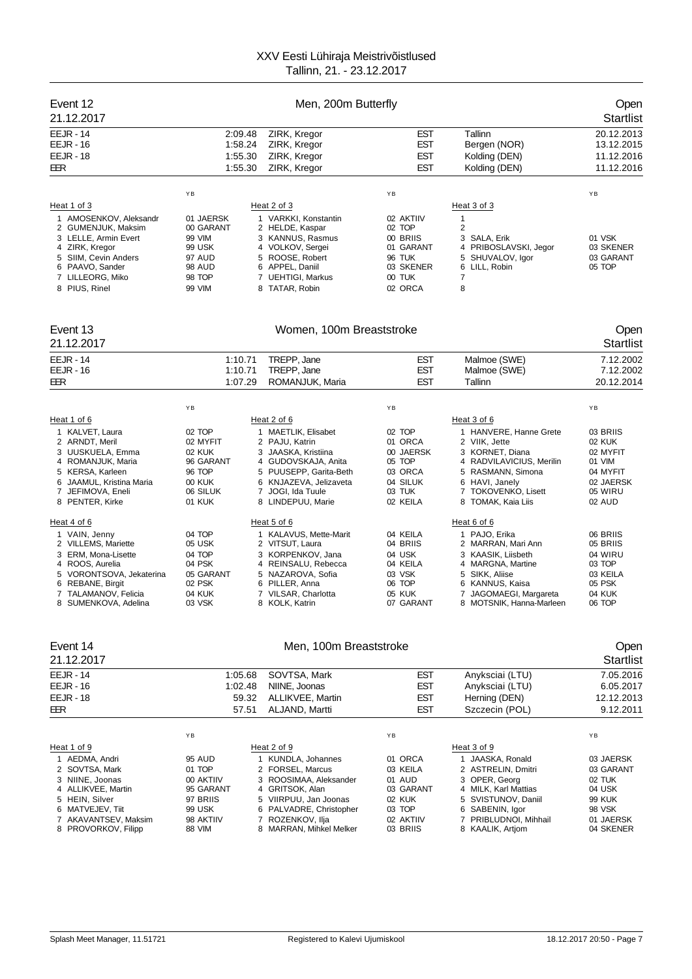| Event 12<br>21.12.2017                                                                                |                                                                                                          |                                                                                                | Men, 200m Butterfly                                  |                                                           |                                                      |
|-------------------------------------------------------------------------------------------------------|----------------------------------------------------------------------------------------------------------|------------------------------------------------------------------------------------------------|------------------------------------------------------|-----------------------------------------------------------|------------------------------------------------------|
| $EEJR - 14$<br>$EEJR - 16$<br>$EEJR - 18$<br>EER                                                      | ZIRK, Kregor<br>2:09.48<br>1:58.24<br>ZIRK, Kregor<br>1:55.30<br>ZIRK, Kregor<br>1:55.30<br>ZIRK, Kregor |                                                                                                | <b>EST</b><br><b>EST</b><br><b>EST</b><br><b>EST</b> | Tallinn<br>Bergen (NOR)<br>Kolding (DEN)<br>Kolding (DEN) | 20.12.2013<br>13.12.2015<br>11.12.2016<br>11.12.2016 |
| Heat 1 of 3<br>1 AMOSENKOV, Aleksandr<br>2 GUMENJUK, Maksim<br>3 LELLE, Armin Evert<br>4 ZIRK, Kregor | YB<br>01 JAERSK<br>00 GARANT<br>99 VIM<br>99 USK                                                         | Heat 2 of 3<br>1 VARKKI, Konstantin<br>2 HELDE, Kaspar<br>3 KANNUS, Rasmus<br>4 VOLKOV, Sergei | YB<br>02 AKTIIV<br>02 TOP<br>00 BRIIS<br>01 GARANT   | Heat 3 of 3<br>2<br>3 SALA, Erik<br>4 PRIBOSLAVSKI, Jegor | YB<br>01 VSK<br>03 SKENER                            |
| 5 SIIM. Cevin Anders<br>6 PAAVO, Sander<br>7 LILLEORG, Miko<br>8 PIUS, Rinel                          | 97 AUD<br><b>98 AUD</b><br>98 TOP<br>99 VIM                                                              | 5 ROOSE, Robert<br>6 APPEL, Daniil<br>7 UEHTIGI, Markus<br>TATAR, Robin<br>8                   | <b>96 TUK</b><br>03 SKENER<br>$00$ TUK<br>02 ORCA    | 5 SHUVALOV, Igor<br>6 LILL, Robin<br>7<br>8               | 03 GARANT<br>05 TOP                                  |

## Event 13 Communication of the UV Women, 100m Breaststroke Communication of the UV Open

| 21.12.2017                                                                                                                                                                     |                                                                                                   |                                                                                                                                                                                      |                                                                                       |                                                                                                                                                                            | <b>Startlist</b>                                                                       |
|--------------------------------------------------------------------------------------------------------------------------------------------------------------------------------|---------------------------------------------------------------------------------------------------|--------------------------------------------------------------------------------------------------------------------------------------------------------------------------------------|---------------------------------------------------------------------------------------|----------------------------------------------------------------------------------------------------------------------------------------------------------------------------|----------------------------------------------------------------------------------------|
| $EEJR - 14$<br><b>EEJR - 16</b><br>EER                                                                                                                                         |                                                                                                   | 1:10.71<br>TREPP, Jane<br>1:10.71<br>TREPP, Jane<br>1:07.29<br>ROMANJUK, Maria                                                                                                       | <b>EST</b><br><b>EST</b><br><b>EST</b>                                                | Malmoe (SWE)<br>Malmoe (SWE)<br>Tallinn                                                                                                                                    | 7.12.2002<br>7.12.2002<br>20.12.2014                                                   |
|                                                                                                                                                                                | YB                                                                                                |                                                                                                                                                                                      | YB                                                                                    |                                                                                                                                                                            | YB                                                                                     |
| Heat 1 of 6                                                                                                                                                                    |                                                                                                   | Heat 2 of 6                                                                                                                                                                          |                                                                                       | Heat 3 of 6                                                                                                                                                                |                                                                                        |
| 1 KALVET, Laura<br>2 ARNDT, Meril<br>3 UUSKUELA, Emma<br>4 ROMANJUK, Maria<br>5 KERSA, Karleen<br>6 JAAMUL, Kristina Maria<br>7 JEFIMOVA, Eneli<br>8 PENTER, Kirke             | 02 TOP<br>02 MYFIT<br>02 KUK<br>96 GARANT<br>96 TOP<br><b>00 KUK</b><br>06 SILUK<br><b>01 KUK</b> | 1 MAETLIK, Elisabet<br>2 PAJU, Katrin<br>3 JAASKA, Kristiina<br>4 GUDOVSKAJA, Anita<br>5 PUUSEPP, Garita-Beth<br>6 KNJAZEVA, Jelizaveta<br>JOGI, Ida Tuule<br>7<br>8 LINDEPUU, Marie | 02 TOP<br>01 ORCA<br>00 JAERSK<br>05 TOP<br>03 ORCA<br>04 SILUK<br>03 TUK<br>02 KEILA | 1 HANVERE, Hanne Grete<br>2 VIIK, Jette<br>3 KORNET, Diana<br>4 RADVILAVICIUS, Merilin<br>5 RASMANN, Simona<br>6 HAVI, Janely<br>7 TOKOVENKO, Lisett<br>8 TOMAK, Kaia Liis | 03 BRIIS<br>02 KUK<br>02 MYFIT<br>01 VIM<br>04 MYFIT<br>02 JAERSK<br>05 WIRU<br>02 AUD |
| Heat 4 of 6                                                                                                                                                                    |                                                                                                   | Heat 5 of 6                                                                                                                                                                          |                                                                                       | Heat 6 of 6                                                                                                                                                                |                                                                                        |
| 1 VAIN, Jenny<br>2 VILLEMS, Mariette<br>3 ERM. Mona-Lisette<br>4 ROOS, Aurelia<br>5 VORONTSOVA, Jekaterina<br>6 REBANE, Birgit<br>7 TALAMANOV, Felicia<br>8 SUMENKOVA, Adelina | 04 TOP<br>05 USK<br>04 TOP<br>04 PSK<br>05 GARANT<br>02 PSK<br>04 KUK<br>03 VSK                   | 1 KALAVUS, Mette-Marit<br>2 VITSUT, Laura<br>3 KORPENKOV, Jana<br>4 REINSALU, Rebecca<br>5 NAZAROVA, Sofia<br>6 PILLER, Anna<br>7 VILSAR, Charlotta<br>8 KOLK, Katrin                | 04 KEILA<br>04 BRIIS<br>04 USK<br>04 KEILA<br>03 VSK<br>06 TOP<br>05 KUK<br>07 GARANT | 1 PAJO, Erika<br>2 MARRAN, Mari Ann<br>3 KAASIK. Liisbeth<br>4 MARGNA, Martine<br>5 SIKK, Aliise<br>6 KANNUS, Kaisa<br>7 JAGOMAEGI, Margareta<br>8 MOTSNIK, Hanna-Marleen  | 06 BRIIS<br>05 BRIIS<br>04 WIRU<br>03 TOP<br>03 KEILA<br>05 PSK<br>04 KUK<br>06 TOP    |

| Event 14             |           |                           | Open       |                       |                  |
|----------------------|-----------|---------------------------|------------|-----------------------|------------------|
| 21.12.2017           |           |                           |            |                       | <b>Startlist</b> |
| <b>EEJR - 14</b>     | 1:05.68   | SOVTSA, Mark              | <b>EST</b> | Anyksciai (LTU)       | 7.05.2016        |
| <b>EEJR - 16</b>     | 1:02.48   | NIINE, Joonas             | <b>EST</b> | Anyksciai (LTU)       | 6.05.2017        |
| <b>EEJR - 18</b>     |           | ALLIKVEE, Martin<br>59.32 | <b>EST</b> | Herning (DEN)         | 12.12.2013       |
| EER                  |           | ALJAND, Martti<br>57.51   | <b>EST</b> | Szczecin (POL)        | 9.12.2011        |
|                      | YB        |                           | YB         |                       | YB               |
| Heat 1 of 9          |           | Heat 2 of 9               |            | Heat 3 of 9           |                  |
| 1 AEDMA, Andri       | 95 AUD    | 1 KUNDLA, Johannes        | 01 ORCA    | JAASKA, Ronald        | 03 JAERSK        |
| 2 SOVTSA, Mark       | 01 TOP    | 2 FORSEL, Marcus          | 03 KEILA   | 2 ASTRELIN, Dmitri    | 03 GARANT        |
| 3 NIINE, Joonas      | 00 AKTIIV | 3 ROOSIMAA, Aleksander    | 01 AUD     | 3 OPER, Georg         | 02 TUK           |
| 4 ALLIKVEE, Martin   | 95 GARANT | 4 GRITSOK, Alan           | 03 GARANT  | 4 MILK, Karl Mattias  | 04 USK           |
| 5 HEIN, Silver       | 97 BRIIS  | 5 VIIRPUU, Jan Joonas     | 02 KUK     | 5 SVISTUNOV, Daniil   | <b>99 KUK</b>    |
| 6 MATVEJEV, Tiit     | 99 USK    | 6 PALVADRE, Christopher   | 03 TOP     | 6 SABENIN, Igor       | 98 VSK           |
| 7 AKAVANTSEV, Maksim | 98 AKTIIV | 7 ROZENKOV, Ilja          | 02 AKTIIV  | 7 PRIBLUDNOI, Mihhail | 01 JAERSK        |
| 8 PROVORKOV, Filipp  | 88 VIM    | 8 MARRAN, Mihkel Melker   | 03 BRIIS   | 8 KAALIK, Artiom      | 04 SKENER        |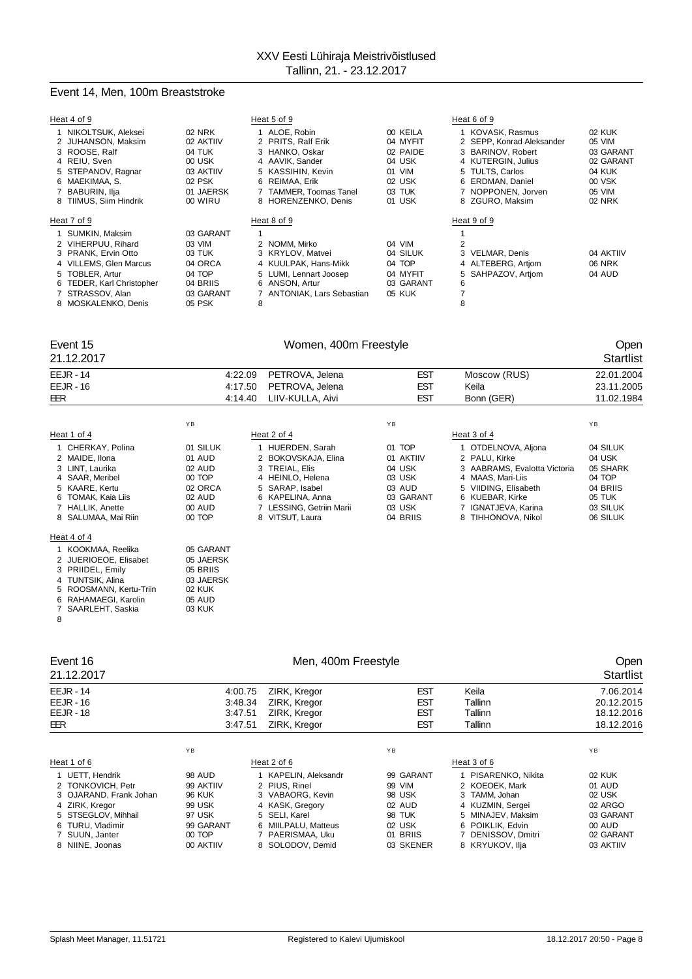## Event 14, Men, 100m Breaststroke

| Heat 4 of 9               |           | Heat 5 of 9                |           | Heat 6 of 9               |           |
|---------------------------|-----------|----------------------------|-----------|---------------------------|-----------|
| 1 NIKOLTSUK, Aleksei      | 02 NRK    | 1 ALOE, Robin              | 00 KEILA  | 1 KOVASK, Rasmus          | 02 KUK    |
| 2 JUHANSON, Maksim        | 02 AKTIIV | 2 PRITS, Ralf Erik         | 04 MYFIT  | 2 SEPP, Konrad Aleksander | 05 VIM    |
| 3 ROOSE, Ralf             | 04 TUK    | 3 HANKO, Oskar             | 02 PAIDE  | 3 BARINOV. Robert         | 03 GARANT |
| 4 REIU, Sven              | 00 USK    | 4 AAVIK, Sander            | 04 USK    | 4 KUTERGIN, Julius        | 02 GARANT |
| 5 STEPANOV, Ragnar        | 03 AKTIIV | 5 KASSIHIN, Kevin          | 01 VIM    | 5 TULTS, Carlos           | 04 KUK    |
| 6 MAEKIMAA, S.            | 02 PSK    | 6 REIMAA, Erik             | 02 USK    | 6 ERDMAN, Daniel          | 00 VSK    |
| 7 BABURIN, Ilja           | 01 JAERSK | 7 TAMMER, Toomas Tanel     | 03 TUK    | 7 NOPPONEN, Jorven        | 05 VIM    |
| 8 TIIMUS, Siim Hindrik    | 00 WIRU   | 8 HORENZENKO, Denis        | 01 USK    | 8 ZGURO, Maksim           | 02 NRK    |
| Heat 7 of 9               |           | Heat 8 of 9                |           | Heat 9 of 9               |           |
| 1 SUMKIN, Maksim          | 03 GARANT |                            |           |                           |           |
| 2 VIHERPUU, Rihard        | 03 VIM    | 2 NOMM. Mirko              | 04 VIM    | 2                         |           |
| 3 PRANK, Ervin Otto       | 03 TUK    | 3 KRYLOV, Matvei           | 04 SILUK  | 3 VELMAR, Denis           | 04 AKTIIV |
| 4 VILLEMS, Glen Marcus    | 04 ORCA   | 4 KUULPAK, Hans-Mikk       | 04 TOP    | 4 ALTEBERG, Artiom        | 06 NRK    |
| 5 TOBLER, Artur           | 04 TOP    | 5 LUMI, Lennart Joosep     | 04 MYFIT  | 5 SAHPAZOV, Artiom        | 04 AUD    |
| 6 TEDER, Karl Christopher | 04 BRIIS  | 6 ANSON, Artur             | 03 GARANT | 6                         |           |
| 7 STRASSOV, Alan          | 03 GARANT | 7 ANTONIAK, Lars Sebastian | 05 KUK    |                           |           |
| 8 MOSKALENKO, Denis       | 05 PSK    | 8                          |           |                           |           |

# Event 15 Communication of the UV Communication of the UV Communication of the UV Communication of the UV Communication of the Open Communication of the UV Communication of the Open Communication of the UV Communication of

## 21.12.2017 Startlist EEJR - 14 4:22.09 PETROVA, Jelena EST Moscow (RUS) 22.01.2004<br>EEJR - 16 4:17.50 PETROVA, Jelena EST Keila 23.11.2005 PETROVA, Jelena EST Keila EER 4:14.40 LIIV-KULLA, Aivi EST Bonn (GER) 11.02.1984

|                       | YB        |                          | YB        |                              | YB       |
|-----------------------|-----------|--------------------------|-----------|------------------------------|----------|
| Heat 1 of 4           |           | Heat 2 of 4              |           | Heat 3 of 4                  |          |
| 1 CHERKAY, Polina     | 01 SILUK  | 1 HUERDEN, Sarah         | 01 TOP    | 1 OTDELNOVA, Aljona          | 04 SILUK |
| 2 MAIDE, Ilona        | 01 AUD    | 2 BOKOVSKAJA, Elina      | 01 AKTIIV | 2 PALU, Kirke                | 04 USK   |
| 3 LINT. Laurika       | 02 AUD    | 3 TREIAL, Elis           | 04 USK    | 3 AABRAMS, Evalotta Victoria | 05 SHARK |
| 4 SAAR, Meribel       | 00 TOP    | 4 HEINLO, Helena         | 03 USK    | 4 MAAS, Mari-Liis            | 04 TOP   |
| 5 KAARE, Kertu        | 02 ORCA   | 5 SARAP. Isabel          | 03 AUD    | 5 VIIDING, Elisabeth         | 04 BRIIS |
| 6 TOMAK, Kaia Liis    | 02 AUD    | 6 KAPELINA, Anna         | 03 GARANT | 6 KUEBAR, Kirke              | 05 TUK   |
| 7 HALLIK, Anette      | 00 AUD    | 7 LESSING, Getriin Marii | 03 USK    | 7 IGNATJEVA, Karina          | 03 SILUK |
| 8 SALUMAA, Mai Riin   | 00 TOP    | 8 VITSUT, Laura          | 04 BRIIS  | 8 TIHHONOVA, Nikol           | 06 SILUK |
| Heat 4 of 4           |           |                          |           |                              |          |
| 1 KOOKMAA, Reelika    | 05 GARANT |                          |           |                              |          |
| 2 JUERIOEOE, Elisabet | 05 JAERSK |                          |           |                              |          |
| 3 PRIIDEL, Emily      | 05 BRIIS  |                          |           |                              |          |
| 4 TUNTSIK, Alina      | 03 JAERSK |                          |           |                              |          |

|   | 2 JUERIOEOE, Elisabet   | 05 JAER  |
|---|-------------------------|----------|
|   | 3 PRIIDEL, Emily        | 05 BRIIS |
|   | 4 TUNTSIK, Alina        | 03 JAER  |
|   | 5 ROOSMANN, Kertu-Triin | 02 KUK   |
|   | 6 RAHAMAEGI, Karolin    | 05 AUD   |
|   | 7 SAARLEHT, Saskia      | 03 KUK   |
| 8 |                         |          |

## Event 16 Communication of the Men, 400m Freestyle Communication of the Open

| 21.12.2017             |           |                      |               |                     | Startlist  |
|------------------------|-----------|----------------------|---------------|---------------------|------------|
| <b>EEJR - 14</b>       | 4:00.75   | ZIRK, Kregor         | <b>EST</b>    | Keila               | 7.06.2014  |
| $EEJR - 16$            | 3:48.34   | ZIRK, Kregor         | <b>EST</b>    | Tallinn             | 20.12.2015 |
| $EEJR - 18$            | 3:47.51   | ZIRK, Kregor         | <b>EST</b>    | Tallinn             | 18.12.2016 |
| EER                    | 3:47.51   | ZIRK, Kregor         | <b>EST</b>    | Tallinn             | 18.12.2016 |
|                        | YB        |                      | YB            |                     | YB         |
| Heat 1 of 6            |           | Heat 2 of 6          |               | Heat 3 of 6         |            |
| 1 UETT, Hendrik        | 98 AUD    | 1 KAPELIN, Aleksandr | 99 GARANT     | 1 PISARENKO, Nikita | 02 KUK     |
| 2 TONKOVICH, Petr      | 99 AKTIIV | 2 PIUS, Rinel        | 99 VIM        | 2 KOEOEK, Mark      | 01 AUD     |
| 3 OJARAND, Frank Johan | 96 KUK    | 3 VABAORG, Kevin     | 98 USK        | 3 TAMM, Johan       | 02 USK     |
| 4 ZIRK, Kregor         | 99 USK    | 4 KASK, Gregory      | $02$ AUD      | 4 KUZMIN, Sergei    | 02 ARGO    |
| 5 STSEGLOV, Mihhail    | 97 USK    | 5 SELI, Karel        | <b>98 TUK</b> | 5 MINAJEV, Maksim   | 03 GARANT  |
| 6 TURU. Vladimir       | 99 GARANT | 6 MIILPALU, Matteus  | 02 USK        | 6 POIKLIK, Edvin    | 00 AUD     |
| 7 SUUN, Janter         | 00 TOP    | 7 PAERISMAA, Uku     | 01 BRIIS      | 7 DENISSOV, Dmitri  | 02 GARANT  |
| 8 NIINE, Joonas        | 00 AKTIIV | 8 SOLODOV, Demid     | 03 SKENER     | 8 KRYUKOV. Ilia     | 03 AKTIIV  |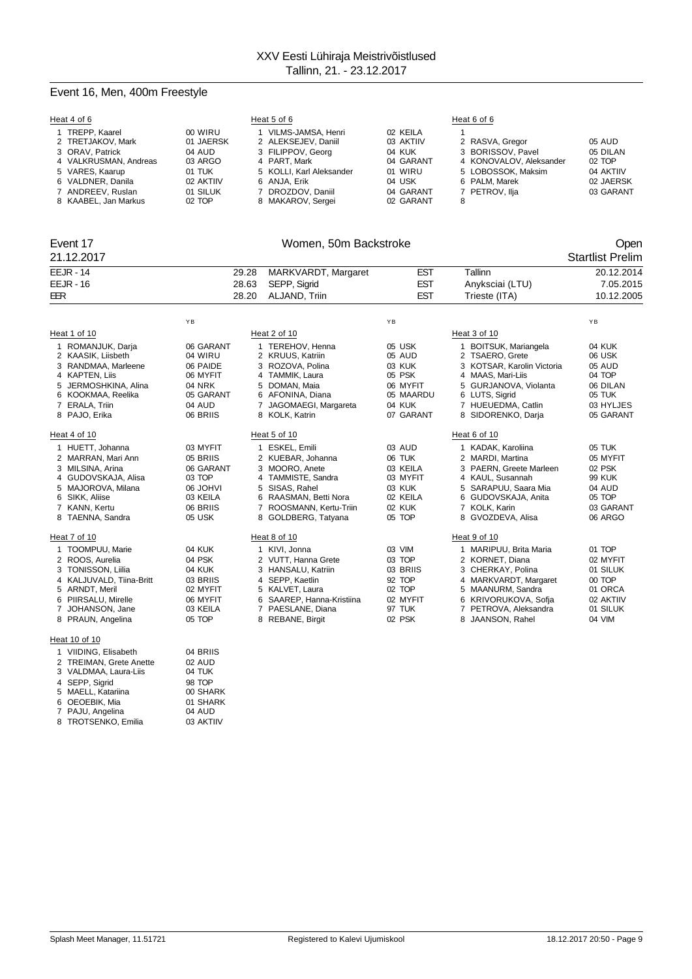## Event 16, Men, 400m Freestyle

|                | Heat 4 of 6                                                                                                                                                                                                                                   |                                                                                                                                |                         | Heat 5 of 6                                                                                                                                                                                                                           |                                                                                                                      | Heat 6 of 6                                                                                                                                                                                                                                                             |                                                                                                                      |
|----------------|-----------------------------------------------------------------------------------------------------------------------------------------------------------------------------------------------------------------------------------------------|--------------------------------------------------------------------------------------------------------------------------------|-------------------------|---------------------------------------------------------------------------------------------------------------------------------------------------------------------------------------------------------------------------------------|----------------------------------------------------------------------------------------------------------------------|-------------------------------------------------------------------------------------------------------------------------------------------------------------------------------------------------------------------------------------------------------------------------|----------------------------------------------------------------------------------------------------------------------|
|                | 1 TREPP, Kaarel<br>2 TRETJAKOV, Mark<br>3 ORAV, Patrick<br>4 VALKRUSMAN, Andreas<br>5 VARES, Kaarup<br>6 VALDNER, Danila<br>7 ANDREEV, Ruslan<br>8 KAABEL, Jan Markus                                                                         | 00 WIRU<br>01 JAERSK<br>04 AUD<br>03 ARGO<br>01 TUK<br>02 AKTIIV<br>01 SILUK<br>02 TOP                                         |                         | 1 VILMS-JAMSA, Henri<br>2 ALEKSEJEV, Daniil<br>3 FILIPPOV, Georg<br>4 PART, Mark<br>5 KOLLI, Karl Aleksander<br>6 ANJA, Erik<br>7 DROZDOV, Daniil<br>8 MAKAROV, Sergei                                                                | 02 KEILA<br>03 AKTIIV<br>04 KUK<br>04 GARANT<br>01 WIRU<br>04 USK<br>04 GARANT<br>02 GARANT                          | $\mathbf{1}$<br>2 RASVA, Gregor<br>3 BORISSOV, Pavel<br>4 KONOVALOV, Aleksander<br>5 LOBOSSOK, Maksim<br>6 PALM, Marek<br>7 PETROV, Ilja<br>8                                                                                                                           | 05 AUD<br>05 DILAN<br>02 TOP<br>04 AKTIIV<br>02 JAERSK<br>03 GARANT                                                  |
|                | Event 17                                                                                                                                                                                                                                      |                                                                                                                                |                         | Women, 50m Backstroke                                                                                                                                                                                                                 |                                                                                                                      |                                                                                                                                                                                                                                                                         | Open                                                                                                                 |
|                | 21.12.2017                                                                                                                                                                                                                                    |                                                                                                                                |                         |                                                                                                                                                                                                                                       |                                                                                                                      |                                                                                                                                                                                                                                                                         | <b>Startlist Prelim</b>                                                                                              |
| EER            | <b>EEJR - 14</b><br><b>EEJR - 16</b>                                                                                                                                                                                                          |                                                                                                                                | 29.28<br>28.63<br>28.20 | MARKVARDT, Margaret<br>SEPP, Sigrid<br>ALJAND, Triin                                                                                                                                                                                  | <b>EST</b><br><b>EST</b><br><b>EST</b>                                                                               | Tallinn<br>Anyksciai (LTU)<br>Trieste (ITA)                                                                                                                                                                                                                             | 20.12.2014<br>7.05.2015<br>10.12.2005                                                                                |
|                |                                                                                                                                                                                                                                               | YB                                                                                                                             |                         |                                                                                                                                                                                                                                       | YB                                                                                                                   |                                                                                                                                                                                                                                                                         | YB                                                                                                                   |
|                | Heat 1 of 10                                                                                                                                                                                                                                  |                                                                                                                                |                         | Heat 2 of 10                                                                                                                                                                                                                          |                                                                                                                      | Heat 3 of 10                                                                                                                                                                                                                                                            |                                                                                                                      |
| $\overline{7}$ | 1 ROMANJUK, Darja<br>2 KAASIK, Liisbeth<br>3 RANDMAA, Marleene<br>4 KAPTEN, Liis<br>5 JERMOSHKINA, Alina<br>6 KOOKMAA, Reelika<br>ERALA, Triin<br>8 PAJO, Erika<br>Heat 4 of 10<br>1 HUETT, Johanna<br>2 MARRAN, Mari Ann<br>3 MILSINA, Arina | 06 GARANT<br>04 WIRU<br>06 PAIDE<br>06 MYFIT<br>04 NRK<br>05 GARANT<br>04 AUD<br>06 BRIIS<br>03 MYFIT<br>05 BRIIS<br>06 GARANT |                         | 1 TEREHOV, Henna<br>2 KRUUS, Katriin<br>3 ROZOVA, Polina<br>4 TAMMIK, Laura<br>5 DOMAN, Maia<br>6 AFONINA, Diana<br>7 JAGOMAEGI, Margareta<br>8 KOLK, Katrin<br>Heat 5 of 10<br>1 ESKEL, Emili<br>2 KUEBAR, Johanna<br>3 MOORO, Anete | 05 USK<br>05 AUD<br>03 KUK<br>05 PSK<br>06 MYFIT<br>05 MAARDU<br>04 KUK<br>07 GARANT<br>03 AUD<br>06 TUK<br>03 KEILA | 1 BOITSUK, Mariangela<br>2 TSAERO, Grete<br>3 KOTSAR, Karolin Victoria<br>4 MAAS, Mari-Liis<br>5 GURJANOVA, Violanta<br>6 LUTS, Sigrid<br>7 HUEUEDMA, Catlin<br>8 SIDORENKO, Darja<br>Heat 6 of 10<br>1 KADAK, Karoliina<br>2 MARDI, Martina<br>3 PAERN, Greete Marleen | 04 KUK<br>06 USK<br>05 AUD<br>04 TOP<br>06 DILAN<br>05 TUK<br>03 HYLJES<br>05 GARANT<br>05 TUK<br>05 MYFIT<br>02 PSK |
| 7              | 4 GUDOVSKAJA, Alisa<br>5 MAJOROVA, Milana<br>6 SIKK, Aliise<br>KANN, Kertu                                                                                                                                                                    | 03 TOP<br><b>IVHOL 80</b><br>03 KEILA<br>06 BRIIS                                                                              | 4<br>6                  | TAMMISTE, Sandra<br>5 SISAS, Rahel<br>RAASMAN, Betti Nora<br>7 ROOSMANN, Kertu-Triin                                                                                                                                                  | 03 MYFIT<br>03 KUK<br>02 KEILA<br>02 KUK                                                                             | 4 KAUL, Susannah<br>5 SARAPUU, Saara Mia<br>GUDOVSKAJA, Anita<br>6<br>7 KOLK, Karin                                                                                                                                                                                     | <b>99 KUK</b><br>04 AUD<br>05 TOP<br>03 GARANT                                                                       |
|                | 8 TAENNA, Sandra                                                                                                                                                                                                                              | 05 USK                                                                                                                         |                         | 8 GOLDBERG, Tatyana                                                                                                                                                                                                                   | 05 TOP                                                                                                               | 8 GVOZDEVA, Alisa                                                                                                                                                                                                                                                       | 06 ARGO                                                                                                              |
| 7              | Heat 7 of 10<br>1 TOOMPUU, Marie<br>2 ROOS, Aurelia<br>3 TONISSON, Liilia<br>4 KALJUVALD, Tiina-Britt<br>5 ARNDT, Meril<br>6 PIIRSALU, Mirelle<br>JOHANSON, Jane<br>8 PRAUN, Angelina<br>Heat 10 of 10                                        | 04 KUK<br>04 PSK<br>04 KUK<br>03 BRIIS<br>02 MYFIT<br>06 MYFIT<br>03 KEILA<br>05 TOP                                           |                         | Heat 8 of 10<br>1 KIVI, Jonna<br>2 VUTT, Hanna Grete<br>3 HANSALU, Katriin<br>4 SEPP, Kaetlin<br>5 KALVET, Laura<br>6 SAAREP, Hanna-Kristiina<br>7 PAESLANE, Diana<br>8 REBANE, Birgit                                                | 03 VIM<br>03 TOP<br>03 BRIIS<br>92 TOP<br>02 TOP<br>02 MYFIT<br>97 TUK<br>02 PSK                                     | Heat 9 of 10<br>1 MARIPUU, Brita Maria<br>2 KORNET, Diana<br>3 CHERKAY, Polina<br>4 MARKVARDT, Margaret<br>5 MAANURM, Sandra<br>6 KRIVORUKOVA, Sofja<br>7 PETROVA, Aleksandra<br>8 JAANSON, Rahel                                                                       | 01 TOP<br>02 MYFIT<br>01 SILUK<br>00 TOP<br>01 ORCA<br>02 AKTIIV<br>01 SILUK<br>04 VIM                               |
|                | 1 VIIDING, Elisabeth                                                                                                                                                                                                                          | 04 BRIIS                                                                                                                       |                         |                                                                                                                                                                                                                                       |                                                                                                                      |                                                                                                                                                                                                                                                                         |                                                                                                                      |

| 2 TREIMAN, Grete Anette | 02 AUD    |
|-------------------------|-----------|
| 3 VALDMAA, Laura-Liis   | 04 TUK    |
| 4 SEPP, Sigrid          | 98 TOP    |
| 5 MAELL, Katariina      | 00 SHARK  |
| 6 OEOEBIK, Mia          | 01 SHARK  |
| 7 PAJU, Angelina        | 04 AUD    |
| 8 TROTSENKO, Emilia     | 03 AKTIIV |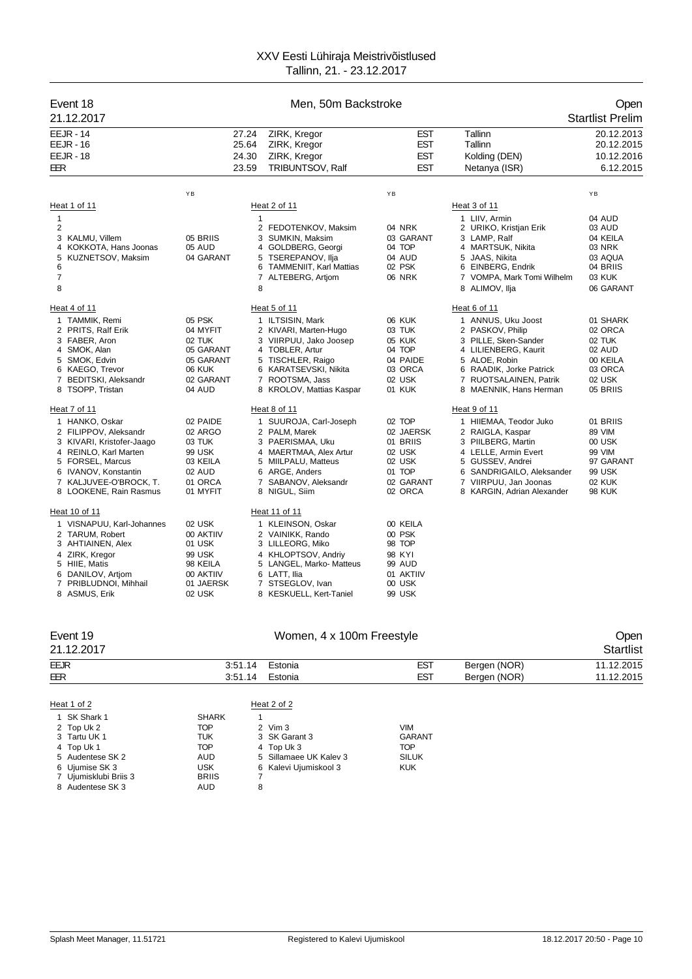| Event 18<br>21.12.2017                                                                                                                                                                        |                                                                                                | Men, 50m Backstroke                                                                                                                                                                 |                                                                                       |                                                                                                                                                                                                  | Open<br><b>Startlist Prelim</b>                                                          |
|-----------------------------------------------------------------------------------------------------------------------------------------------------------------------------------------------|------------------------------------------------------------------------------------------------|-------------------------------------------------------------------------------------------------------------------------------------------------------------------------------------|---------------------------------------------------------------------------------------|--------------------------------------------------------------------------------------------------------------------------------------------------------------------------------------------------|------------------------------------------------------------------------------------------|
| <b>EEJR - 14</b><br><b>EEJR - 16</b><br><b>EEJR - 18</b><br>EER                                                                                                                               | 27.24<br>25.64<br>24.30<br>23.59                                                               | ZIRK, Kregor<br>ZIRK, Kregor<br>ZIRK, Kregor<br>TRIBUNTSOV, Ralf                                                                                                                    | <b>EST</b><br><b>EST</b><br><b>EST</b><br><b>EST</b>                                  | Tallinn<br>Tallinn<br>Kolding (DEN)<br>Netanya (ISR)                                                                                                                                             | 20.12.2013<br>20.12.2015<br>10.12.2016<br>6.12.2015                                      |
|                                                                                                                                                                                               | YB                                                                                             |                                                                                                                                                                                     | ΥB                                                                                    |                                                                                                                                                                                                  | YB                                                                                       |
| Heat 1 of 11                                                                                                                                                                                  |                                                                                                | Heat 2 of 11                                                                                                                                                                        |                                                                                       | Heat 3 of 11                                                                                                                                                                                     |                                                                                          |
| 1<br>2<br>KALMU, Villem<br>3<br>4 KOKKOTA, Hans Joonas<br>KUZNETSOV, Maksim<br>5<br>6<br>7<br>8                                                                                               | 05 BRIIS<br>05 AUD<br>04 GARANT                                                                | $\mathbf{1}$<br>2 FEDOTENKOV, Maksim<br>3 SUMKIN, Maksim<br>4 GOLDBERG, Georgi<br>5 TSEREPANOV, Ilja<br>6 TAMMENIIT, Karl Mattias<br>7 ALTEBERG, Artiom<br>8                        | 04 NRK<br>03 GARANT<br>04 TOP<br>04 AUD<br>02 PSK<br><b>06 NRK</b>                    | 1 LIIV, Armin<br>2 URIKO, Kristjan Erik<br>3 LAMP, Ralf<br>4 MARTSUK, Nikita<br>5 JAAS, Nikita<br>6 EINBERG, Endrik<br>7 VOMPA, Mark Tomi Wilhelm<br>8 ALIMOV, Ilja                              | 04 AUD<br>03 AUD<br>04 KEILA<br>03 NRK<br>03 AQUA<br>04 BRIIS<br>03 KUK<br>06 GARANT     |
| Heat 4 of 11                                                                                                                                                                                  |                                                                                                | Heat 5 of 11                                                                                                                                                                        |                                                                                       | Heat 6 of 11                                                                                                                                                                                     |                                                                                          |
| 1 TAMMIK, Remi<br>2 PRITS, Ralf Erik<br>3 FABER, Aron<br>4 SMOK, Alan<br>5 SMOK, Edvin<br>6 KAEGO, Trevor<br>7 BEDITSKI, Aleksandr<br>8 TSOPP, Tristan                                        | 05 PSK<br>04 MYFIT<br>02 TUK<br>05 GARANT<br>05 GARANT<br><b>06 KUK</b><br>02 GARANT<br>04 AUD | 1 ILTSISIN, Mark<br>2 KIVARI, Marten-Hugo<br>3 VIIRPUU, Jako Joosep<br>4 TOBLER, Artur<br>5 TISCHLER, Raigo<br>6 KARATSEVSKI, Nikita<br>7 ROOTSMA, Jass<br>8 KROLOV, Mattias Kaspar | 06 KUK<br>03 TUK<br>05 KUK<br>04 TOP<br>04 PAIDE<br>03 ORCA<br>02 USK<br>01 KUK       | 1 ANNUS, Uku Joost<br>2 PASKOV, Philip<br>3 PILLE, Sken-Sander<br>4 LILIENBERG, Kaurit<br>5 ALOE, Robin<br>6 RAADIK, Jorke Patrick<br>7 RUOTSALAINEN, Patrik<br>8 MAENNIK, Hans Herman           | 01 SHARK<br>02 ORCA<br>02 TUK<br>02 AUD<br>00 KEILA<br>03 ORCA<br>02 USK<br>05 BRIIS     |
| Heat 7 of 11                                                                                                                                                                                  |                                                                                                | Heat 8 of 11                                                                                                                                                                        |                                                                                       | Heat 9 of 11                                                                                                                                                                                     |                                                                                          |
| 1 HANKO, Oskar<br>2 FILIPPOV, Aleksandr<br>3 KIVARI, Kristofer-Jaago<br>4 REINLO, Karl Marten<br>5 FORSEL, Marcus<br>6 IVANOV, Konstantin<br>7 KALJUVEE-O'BROCK, T.<br>8 LOOKENE, Rain Rasmus | 02 PAIDE<br>02 ARGO<br>03 TUK<br>99 USK<br>03 KEILA<br>02 AUD<br>01 ORCA<br>01 MYFIT           | 1 SUUROJA, Carl-Joseph<br>2 PALM, Marek<br>3 PAERISMAA, Uku<br>4 MAERTMAA, Alex Artur<br>5 MIILPALU, Matteus<br>6 ARGE, Anders<br>7 SABANOV, Aleksandr<br>8 NIGUL, Siim             | 02 TOP<br>02 JAERSK<br>01 BRIIS<br>02 USK<br>02 USK<br>01 TOP<br>02 GARANT<br>02 ORCA | 1 HIIEMAA, Teodor Juko<br>2 RAIGLA, Kaspar<br>3 PIILBERG, Martin<br>4 LELLE, Armin Evert<br>5 GUSSEV, Andrei<br>6 SANDRIGAILO, Aleksander<br>7 VIIRPUU, Jan Joonas<br>8 KARGIN, Adrian Alexander | 01 BRIIS<br>89 VIM<br>00 USK<br>99 VIM<br>97 GARANT<br>99 USK<br>02 KUK<br><b>98 KUK</b> |
| Heat 10 of 11                                                                                                                                                                                 |                                                                                                | Heat 11 of 11                                                                                                                                                                       |                                                                                       |                                                                                                                                                                                                  |                                                                                          |
| 1 VISNAPUU, Karl-Johannes<br>2 TARUM, Robert<br>3 AHTIAINEN, Alex<br>4 ZIRK, Kregor<br>5 HIIE, Matis<br>6 DANILOV, Artjom<br>7 PRIBLUDNOI, Mihhail<br>8 ASMUS, Erik                           | 02 USK<br>00 AKTIIV<br>01 USK<br>99 USK<br>98 KEILA<br>00 AKTIIV<br>01 JAERSK<br>02 USK        | 1 KLEINSON, Oskar<br>2 VAINIKK, Rando<br>3 LILLEORG, Miko<br>4 KHLOPTSOV, Andriv<br>5 LANGEL, Marko- Matteus<br>6 LATT, Ilia<br>7 STSEGLOV, Ivan<br>8 KESKUELL, Kert-Taniel         | 00 KEILA<br>00 PSK<br>98 TOP<br>98 KYI<br>99 AUD<br>01 AKTIIV<br>00 USK<br>99 USK     |                                                                                                                                                                                                  |                                                                                          |

## Event 19 Communication of the UV Women, 4 x 100m Freestyle Communication of the Open 21.12.2017 Startlist EEJR 3:51.14 Estonia EST Bergen (NOR) 11.12.2015<br>EER 3:51.14 Estonia EST Bergen (NOR) 11.12.2015 3:51.14 Estonia Heat 1 of 2 Heat 2 of 2 1 SK Shark 1 SHARK 1

| 2 Top Uk 2            | TOP          | 2 Vim 3                | VIM           |
|-----------------------|--------------|------------------------|---------------|
| 3 Tartu UK 1          | TUK          | 3 SK Garant 3          | <b>GARANT</b> |
| 4 Top Uk 1            | TOP          | 4 Top Uk 3             | TOP           |
| 5 Audentese SK 2      | AUD          | 5 Sillamaee UK Kaley 3 | <b>SILUK</b>  |
| 6 Ujumise SK 3        | USK          | 6 Kalevi Ujumiskool 3  | <b>KUK</b>    |
| 7 Ujumisklubi Briis 3 | <b>BRIIS</b> |                        |               |
| 8 Audentese SK 3      | AUD.         |                        |               |
|                       |              |                        |               |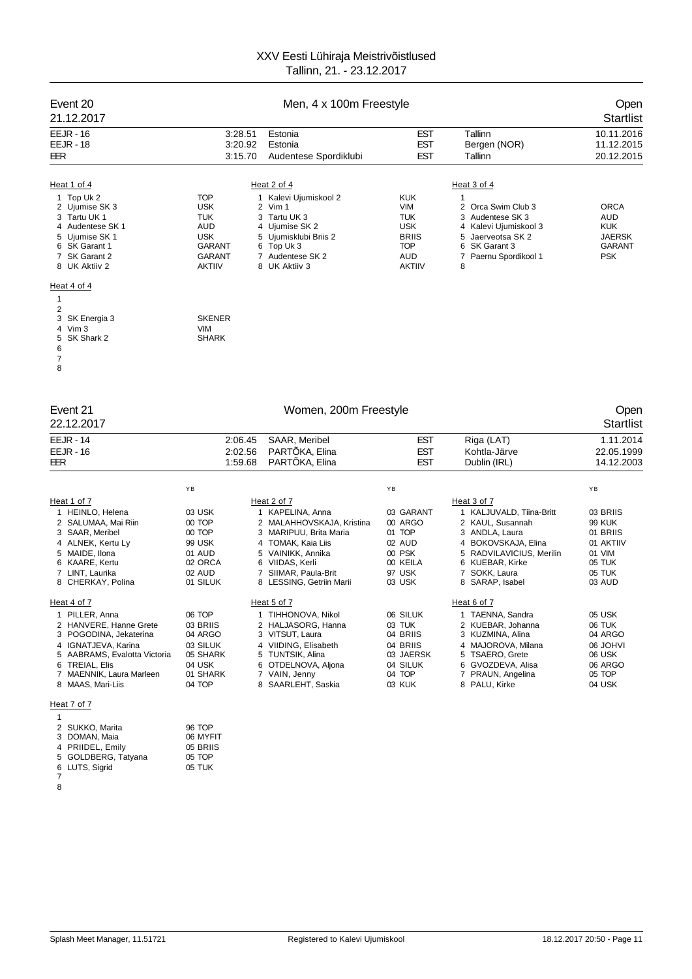| Event 20<br>Men, 4 x 100m Freestyle<br>21.12.2017                                                                                                                                                                                                                                       |                                                                                                                         |                                                                                                                                                                                                          |                                                                                                                   |                                                                                                                                                                                         | Open<br><b>Startlist</b>                                                                         |
|-----------------------------------------------------------------------------------------------------------------------------------------------------------------------------------------------------------------------------------------------------------------------------------------|-------------------------------------------------------------------------------------------------------------------------|----------------------------------------------------------------------------------------------------------------------------------------------------------------------------------------------------------|-------------------------------------------------------------------------------------------------------------------|-----------------------------------------------------------------------------------------------------------------------------------------------------------------------------------------|--------------------------------------------------------------------------------------------------|
| <b>EEJR - 16</b><br><b>EEJR - 18</b><br>EER                                                                                                                                                                                                                                             | 3:28.51<br>3:20.92<br>3:15.70                                                                                           | Estonia<br>Estonia<br>Audentese Spordiklubi                                                                                                                                                              | <b>EST</b><br><b>EST</b><br>EST                                                                                   | Tallinn<br>Bergen (NOR)<br>Tallinn                                                                                                                                                      | 10.11.2016<br>11.12.2015<br>20.12.2015                                                           |
| Heat 1 of 4<br>1 Top Uk 2<br>2 Ujumise SK 3<br>3 Tartu UK 1<br>4 Audentese SK 1<br>5 Ujumise SK 1<br>6 SK Garant 1<br>7 SK Garant 2<br>8 UK Aktiiv 2                                                                                                                                    | <b>TOP</b><br><b>USK</b><br><b>TUK</b><br>AUD<br><b>USK</b><br><b>GARANT</b><br><b>GARANT</b><br><b>AKTIIV</b>          | Heat 2 of 4<br>1 Kalevi Ujumiskool 2<br>2 Vim 1<br>3 Tartu UK 3<br>4 Ujumise SK 2<br>5 Ujumisklubi Briis 2<br>6 Top Uk 3<br>7 Audentese SK 2<br>8 UK Aktiiv 3                                            | <b>KUK</b><br><b>VIM</b><br><b>TUK</b><br><b>USK</b><br><b>BRIIS</b><br><b>TOP</b><br><b>AUD</b><br><b>AKTIIV</b> | Heat 3 of 4<br>1<br>2 Orca Swim Club 3<br>3 Audentese SK 3<br>4 Kalevi Ujumiskool 3<br>5 Jaerveotsa SK 2<br>6<br>SK Garant 3<br>Paernu Spordikool 1<br>7<br>8                           | <b>ORCA</b><br>AUD<br><b>KUK</b><br><b>JAERSK</b><br><b>GARANT</b><br><b>PSK</b>                 |
| Heat 4 of 4<br>1<br>2<br>3<br>SK Energia 3<br>4 Vim 3<br>5<br>SK Shark 2<br>6<br>7<br>8                                                                                                                                                                                                 | <b>SKENER</b><br><b>VIM</b><br><b>SHARK</b>                                                                             |                                                                                                                                                                                                          |                                                                                                                   |                                                                                                                                                                                         |                                                                                                  |
| Event 21<br>22.12.2017                                                                                                                                                                                                                                                                  |                                                                                                                         | Women, 200m Freestyle                                                                                                                                                                                    |                                                                                                                   |                                                                                                                                                                                         | Open<br><b>Startlist</b>                                                                         |
| <b>EEJR - 14</b><br><b>EEJR - 16</b><br>EER                                                                                                                                                                                                                                             | 2:06.45<br>2:02.56<br>1:59.68                                                                                           | SAAR, Meribel<br>PARTÕKA, Elina<br>PARTÕKA, Elina                                                                                                                                                        | <b>EST</b><br><b>EST</b><br><b>EST</b>                                                                            | Riga (LAT)<br>Kohtla-Järve<br>Dublin (IRL)                                                                                                                                              | 1.11.2014<br>22.05.1999<br>14.12.2003                                                            |
| Heat 1 of 7<br>1 HEINLO, Helena<br>2 SALUMAA, Mai Riin<br>3 SAAR, Meribel<br>4 ALNEK, Kertu Ly<br>5 MAIDE, Ilona<br>6 KAARE, Kertu<br>7 LINT, Laurika<br>8 CHERKAY, Polina                                                                                                              | YB<br>03 USK<br>00 TOP<br>00 TOP<br>99 USK<br>01 AUD<br>02 ORCA<br>02 AUD<br>01 SILUK                                   | Heat 2 of 7<br>1 KAPELINA, Anna<br>2 MALAHHOVSKAJA, Kristina<br>3 MARIPUU, Brita Maria<br>4 TOMAK, Kaia Liis<br>5 VAINIKK, Annika<br>6 VIIDAS, Kerli<br>7 SIIMAR, Paula-Brit<br>8 LESSING, Getriin Marii | ΥB<br>03 GARANT<br>00 ARGO<br>01 TOP<br>02 AUD<br>00 PSK<br>00 KEILA<br>97 USK<br>03 USK                          | Heat 3 of 7<br>1 KALJUVALD, Tiina-Britt<br>2 KAUL, Susannah<br>3 ANDLA, Laura<br>4 BOKOVSKAJA, Elina<br>5 RADVILAVICIUS, Merilin<br>6 KUEBAR, Kirke<br>7 SOKK, Laura<br>8 SARAP, Isabel | YB<br>03 BRIIS<br><b>99 KUK</b><br>01 BRIIS<br>01 AKTIIV<br>01 VIM<br>05 TUK<br>05 TUK<br>03 AUD |
| Heat 4 of 7<br>1 PILLER, Anna<br>2 HANVERE, Hanne Grete<br>3 POGODINA, Jekaterina<br>4 IGNATJEVA, Karina<br>5 AABRAMS, Evalotta Victoria<br>6 TREIAL, Elis<br>7 MAENNIK, Laura Marleen<br>8 MAAS, Mari-Liis<br>Heat 7 of 7<br>1<br>2 SUKKO, Marita<br>3 DOMAN, Maia<br>4 PRIIDEL, Emily | 06 TOP<br>03 BRIIS<br>04 ARGO<br>03 SILUK<br>05 SHARK<br>04 USK<br>01 SHARK<br>04 TOP<br>96 TOP<br>06 MYFIT<br>05 BRIIS | Heat 5 of 7<br>1 TIHHONOVA, Nikol<br>2 HALJASORG, Hanna<br>3 VITSUT, Laura<br>4 VIIDING, Elisabeth<br>5 TUNTSIK, Alina<br>6 OTDELNOVA, Aljona<br>7 VAIN, Jenny<br>8 SAARLEHT, Saskia                     | 06 SILUK<br>03 TUK<br>04 BRIIS<br>04 BRIIS<br>03 JAERSK<br>04 SILUK<br>04 TOP<br>03 KUK                           | Heat 6 of 7<br>1 TAENNA, Sandra<br>2 KUEBAR, Johanna<br>3 KUZMINA, Alina<br>4 MAJOROVA, Milana<br>5 TSAERO, Grete<br>6 GVOZDEVA, Alisa<br>7 PRAUN, Angelina<br>8 PALU, Kirke            | 05 USK<br>06 TUK<br>04 ARGO<br><b>IVHOL 90</b><br>06 USK<br>06 ARGO<br>05 TOP<br>04 USK          |

 

 GOLDBERG, Tatyana 05 TOP LUTS, Sigrid 05 TUK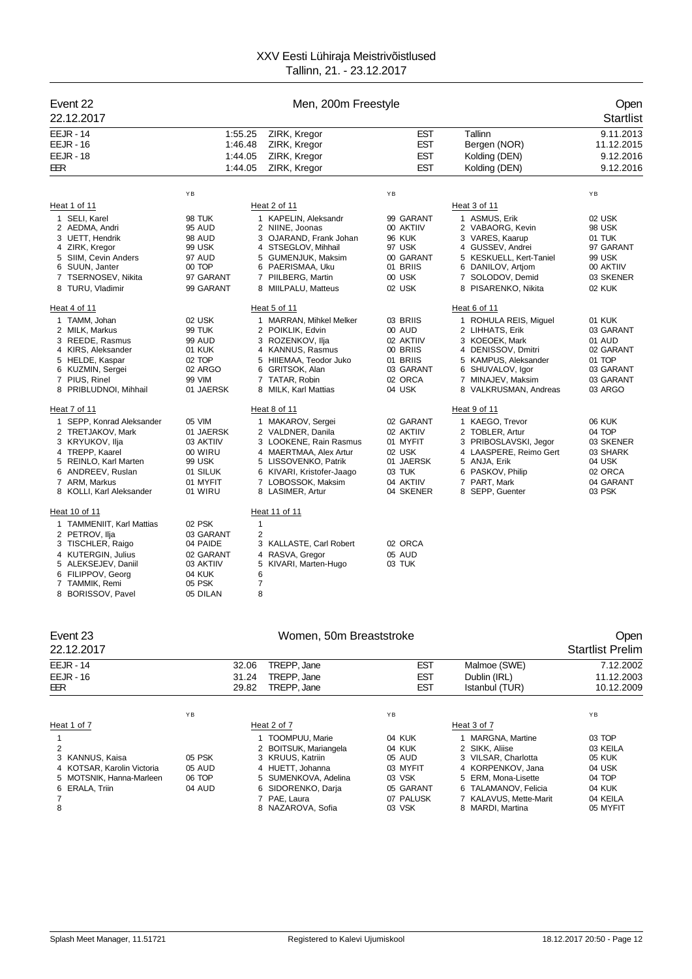| Event 22<br>22.12.2017                                                                                                                                                                           |                                                                                           |                                                      | Men, 200m Freestyle                                                                                                                                                                             | Open<br><b>Startlist</b>                                                                      |                                                                                                                                                                                     |                                                                                              |
|--------------------------------------------------------------------------------------------------------------------------------------------------------------------------------------------------|-------------------------------------------------------------------------------------------|------------------------------------------------------|-------------------------------------------------------------------------------------------------------------------------------------------------------------------------------------------------|-----------------------------------------------------------------------------------------------|-------------------------------------------------------------------------------------------------------------------------------------------------------------------------------------|----------------------------------------------------------------------------------------------|
| <b>EEJR - 14</b><br><b>EEJR - 16</b><br><b>EEJR - 18</b><br>EER                                                                                                                                  | 1:55.25<br>1:46.48<br>1:44.05<br>1:44.05                                                  |                                                      | ZIRK, Kregor<br>ZIRK, Kregor<br>ZIRK, Kregor<br>ZIRK, Kregor                                                                                                                                    | <b>EST</b><br><b>EST</b><br><b>EST</b><br><b>EST</b>                                          | Tallinn<br>Bergen (NOR)<br>Kolding (DEN)<br>Kolding (DEN)                                                                                                                           | 9.11.2013<br>11.12.2015<br>9.12.2016<br>9.12.2016                                            |
|                                                                                                                                                                                                  | YB                                                                                        |                                                      |                                                                                                                                                                                                 | YB                                                                                            |                                                                                                                                                                                     | YB                                                                                           |
| Heat 1 of 11                                                                                                                                                                                     |                                                                                           |                                                      | Heat 2 of 11                                                                                                                                                                                    |                                                                                               | Heat 3 of 11                                                                                                                                                                        |                                                                                              |
| 1 SELI, Karel<br>2 AEDMA, Andri<br>3 UETT, Hendrik<br>4 ZIRK, Kregor<br>5 SIIM, Cevin Anders<br>6 SUUN, Janter<br>$\overline{7}$<br><b>TSERNOSEV, Nikita</b><br>8 TURU, Vladimir<br>Heat 4 of 11 | 98 TUK<br>95 AUD<br><b>98 AUD</b><br>99 USK<br>97 AUD<br>00 TOP<br>97 GARANT<br>99 GARANT |                                                      | 1 KAPELIN, Aleksandr<br>2 NIINE, Joonas<br>3 OJARAND, Frank Johan<br>4 STSEGLOV, Mihhail<br>5 GUMENJUK, Maksim<br>6 PAERISMAA, Uku<br>7 PIILBERG, Martin<br>8 MIILPALU, Matteus<br>Heat 5 of 11 | 99 GARANT<br>00 AKTIIV<br>96 KUK<br>97 USK<br>00 GARANT<br>01 BRIIS<br>00 USK<br>02 USK       | 1 ASMUS, Erik<br>2 VABAORG, Kevin<br>3 VARES, Kaarup<br>4 GUSSEV, Andrei<br>5 KESKUELL, Kert-Taniel<br>6 DANILOV, Artjom<br>7 SOLODOV, Demid<br>8 PISARENKO, Nikita<br>Heat 6 of 11 | 02 USK<br>98 USK<br>01 TUK<br>97 GARANT<br>99 USK<br>00 AKTIIV<br>03 SKENER<br><b>02 KUK</b> |
| 1 TAMM, Johan<br>2 MILK, Markus<br>3 REEDE, Rasmus<br>4 KIRS, Aleksander<br>5 HELDE, Kaspar<br>6 KUZMIN, Sergei<br>PIUS, Rinel<br>$\overline{7}$<br>8 PRIBLUDNOI, Mihhail                        | 02 USK<br>99 TUK<br><b>99 AUD</b><br>01 KUK<br>02 TOP<br>02 ARGO<br>99 VIM<br>01 JAERSK   |                                                      | 1 MARRAN, Mihkel Melker<br>2 POIKLIK, Edvin<br>3 ROZENKOV, Ilja<br>4 KANNUS, Rasmus<br>5 HIIEMAA, Teodor Juko<br>6 GRITSOK, Alan<br>7 TATAR, Robin<br>8 MILK, Karl Mattias                      | 03 BRIIS<br>00 AUD<br>02 AKTIIV<br>00 BRIIS<br>01 BRIIS<br>03 GARANT<br>02 ORCA<br>04 USK     | 1 ROHULA REIS, Miquel<br>2 LIHHATS, Erik<br>3 KOEOEK, Mark<br>4 DENISSOV, Dmitri<br>5 KAMPUS, Aleksander<br>6 SHUVALOV, Igor<br>7 MINAJEV, Maksim<br>8 VALKRUSMAN, Andreas          | 01 KUK<br>03 GARANT<br>01 AUD<br>02 GARANT<br>01 TOP<br>03 GARANT<br>03 GARANT<br>03 ARGO    |
| Heat 7 of 11                                                                                                                                                                                     |                                                                                           |                                                      | Heat 8 of 11                                                                                                                                                                                    |                                                                                               | Heat 9 of 11                                                                                                                                                                        |                                                                                              |
| 1 SEPP, Konrad Aleksander<br>2 TRETJAKOV, Mark<br>3 KRYUKOV, Ilja<br>4 TREPP, Kaarel<br>5 REINLO, Karl Marten<br>6 ANDREEV, Ruslan<br>7 ARM. Markus<br>8 KOLLI, Karl Aleksander                  | 05 VIM<br>01 JAERSK<br>03 AKTIIV<br>00 WIRU<br>99 USK<br>01 SILUK<br>01 MYFIT<br>01 WIRU  |                                                      | 1 MAKAROV, Sergei<br>2 VALDNER, Danila<br>3 LOOKENE, Rain Rasmus<br>4 MAERTMAA, Alex Artur<br>5 LISSOVENKO, Patrik<br>6 KIVARI, Kristofer-Jaago<br>7 LOBOSSOK, Maksim<br>8 LASIMER, Artur       | 02 GARANT<br>02 AKTIIV<br>01 MYFIT<br>02 USK<br>01 JAERSK<br>03 TUK<br>04 AKTIIV<br>04 SKENER | 1 KAEGO, Trevor<br>2 TOBLER, Artur<br>3 PRIBOSLAVSKI, Jegor<br>4 LAASPERE, Reimo Gert<br>5 ANJA, Erik<br>6 PASKOV, Philip<br>7 PART, Mark<br>8 SEPP, Guenter                        | <b>06 KUK</b><br>04 TOP<br>03 SKENER<br>03 SHARK<br>04 USK<br>02 ORCA<br>04 GARANT<br>03 PSK |
| Heat 10 of 11<br>1 TAMMENIIT, Karl Mattias<br>2 PETROV, Ilja<br>3 TISCHLER, Raigo<br>4 KUTERGIN, Julius<br>5 ALEKSEJEV, Daniil<br>6 FILIPPOV, Georg<br>7 TAMMIK, Remi<br>8 BORISSOV, Pavel       | 02 PSK<br>03 GARANT<br>04 PAIDE<br>02 GARANT<br>03 AKTIIV<br>04 KUK<br>05 PSK<br>05 DILAN | 1<br>$\overline{2}$<br>5<br>6<br>$\overline{7}$<br>8 | Heat 11 of 11<br>3 KALLASTE, Carl Robert<br>4 RASVA, Gregor<br>KIVARI, Marten-Hugo                                                                                                              | 02 ORCA<br>05 AUD<br>03 TUK                                                                   |                                                                                                                                                                                     |                                                                                              |

| Event 23<br>22.12.2017                                                                                |                                      | Women, 50m Breaststroke                                                                                                                                          | Open<br><b>Startlist Prelim</b>                                                      |                                                                                                                                                                              |                                                                                    |  |
|-------------------------------------------------------------------------------------------------------|--------------------------------------|------------------------------------------------------------------------------------------------------------------------------------------------------------------|--------------------------------------------------------------------------------------|------------------------------------------------------------------------------------------------------------------------------------------------------------------------------|------------------------------------------------------------------------------------|--|
| <b>EEJR - 14</b><br><b>EEJR - 16</b><br>EER                                                           |                                      | 32.06<br>TREPP, Jane<br>31.24<br>TREPP. Jane<br>TREPP. Jane<br>29.82                                                                                             | <b>EST</b><br><b>EST</b><br><b>EST</b>                                               | Malmoe (SWE)<br>Dublin (IRL)<br>Istanbul (TUR)                                                                                                                               | 7.12.2002<br>11.12.2003<br>10.12.2009                                              |  |
| Heat 1 of 7                                                                                           | YB                                   | Heat 2 of 7                                                                                                                                                      | YB                                                                                   | Heat 3 of 7                                                                                                                                                                  | YB                                                                                 |  |
| 2<br>3 KANNUS, Kaisa<br>4 KOTSAR, Karolin Victoria<br>5 MOTSNIK, Hanna-Marleen<br>6 ERALA, Triin<br>8 | 05 PSK<br>05 AUD<br>06 TOP<br>04 AUD | 1 TOOMPUU, Marie<br>2 BOITSUK, Mariangela<br>3 KRUUS, Katriin<br>4 HUETT, Johanna<br>5 SUMENKOVA, Adelina<br>6 SIDORENKO, Darja<br>PAE, Laura<br>NAZAROVA, Sofia | 04 KUK<br>04 KUK<br>05 AUD<br>03 MYFIT<br>03 VSK<br>05 GARANT<br>07 PALUSK<br>03 VSK | 1 MARGNA, Martine<br>2 SIKK, Aliise<br>3 VILSAR, Charlotta<br>4 KORPENKOV, Jana<br>5 ERM, Mona-Lisette<br>6 TALAMANOV, Felicia<br>7 KALAVUS, Mette-Marit<br>8 MARDI, Martina | 03 TOP<br>03 KEILA<br>05 KUK<br>04 USK<br>04 TOP<br>04 KUK<br>04 KEILA<br>05 MYFIT |  |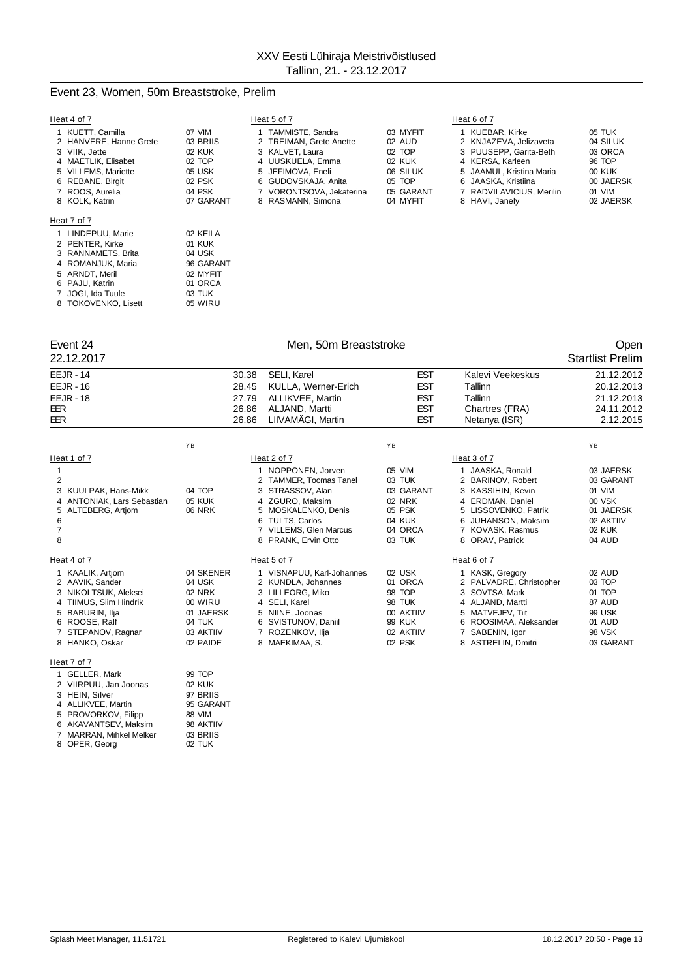## Event 23, Women, 50m Breaststroke, Prelim

 PENTER, Kirke 01 KUK RANNAMETS, Brita 04 USK ROMANJUK, Maria 96 GARANT 5 ARNDT, Meril 02 MYFIT<br>6 PAJU, Katrin 01 ORCA PAJU, Katrin 01 ORCA JOGI, Ida Tuule 03 TUK 8 TOKOVENKO, Lisett 05 WIRU

| Heat 4 of 7                                                 |                              | Heat 5 of 7                                                      |                              | Heat 6 of 7                                                       |                               |
|-------------------------------------------------------------|------------------------------|------------------------------------------------------------------|------------------------------|-------------------------------------------------------------------|-------------------------------|
| 1 KUETT, Camilla<br>2 HANVERE, Hanne Grete<br>3 VIIK. Jette | 07 VIM<br>03 BRIIS<br>02 KUK | 1 TAMMISTE, Sandra<br>2 TREIMAN, Grete Anette<br>3 KALVET, Laura | 03 MYFIT<br>02 AUD<br>02 TOP | KUEBAR, Kirke<br>2 KNJAZEVA, Jelizaveta<br>3 PUUSEPP. Garita-Beth | 05 TUK<br>04 SILUK<br>03 ORCA |
| 4 MAETLIK, Elisabet                                         | 02 TOP                       | 4 UUSKUELA, Emma                                                 | 02 KUK                       | 4 KERSA, Karleen                                                  | 96 TOP                        |
| 5 VILLEMS, Mariette<br>6 REBANE, Birgit                     | 05 USK<br>02 PSK             | 5 JEFIMOVA, Eneli<br>6 GUDOVSKAJA, Anita                         | 06 SILUK<br>05 TOP           | 5 JAAMUL, Kristina Maria<br>6 JAASKA, Kristiina                   | 00 KUK<br>00 JAERSK           |
| 7 ROOS, Aurelia                                             | 04 PSK                       | 7 VORONTSOVA, Jekaterina                                         | 05 GARANT                    | 7 RADVILAVICIUS, Merilin                                          | 01 VIM                        |
| 8 KOLK, Katrin                                              | 07 GARANT                    | 8 RASMANN, Simona                                                | 04 MYFIT                     | 8 HAVI, Janely                                                    | 02 JAERSK                     |
| Heat 7 of 7                                                 |                              |                                                                  |                              |                                                                   |                               |
| 1 LINDEPUU, Marie                                           | 02 KEILA                     |                                                                  |                              |                                                                   |                               |

| Event 24 |  |
|----------|--|
|----------|--|

Event 24 Communication of the Men, 50m Breaststroke Communication of the Open Communication of the Men, 50m Breaststroke Communication of the Communication of the Communication of the Open 22.12.2017 Startlist Prelim

| EEJR - 14                                                                                                                                                         | 30.38                                                                                    | SELI, Karel                                                                                                                                                                    | <b>EST</b>                                                                                 | Kalevi Veekeskus                                                                                                                                                              | 21.12.2012                                                                                      |
|-------------------------------------------------------------------------------------------------------------------------------------------------------------------|------------------------------------------------------------------------------------------|--------------------------------------------------------------------------------------------------------------------------------------------------------------------------------|--------------------------------------------------------------------------------------------|-------------------------------------------------------------------------------------------------------------------------------------------------------------------------------|-------------------------------------------------------------------------------------------------|
| <b>EEJR - 16</b>                                                                                                                                                  | 28.45                                                                                    | KULLA, Werner-Erich                                                                                                                                                            | <b>EST</b>                                                                                 | Tallinn                                                                                                                                                                       | 20.12.2013                                                                                      |
| <b>EEJR - 18</b>                                                                                                                                                  | 27.79                                                                                    | ALLIKVEE, Martin                                                                                                                                                               | EST                                                                                        | Tallinn                                                                                                                                                                       | 21.12.2013                                                                                      |
| EER                                                                                                                                                               | 26.86                                                                                    | ALJAND, Martti                                                                                                                                                                 | <b>EST</b>                                                                                 | Chartres (FRA)                                                                                                                                                                | 24.11.2012                                                                                      |
| EER                                                                                                                                                               | 26.86                                                                                    | LIIVAMÄGI, Martin                                                                                                                                                              | <b>EST</b>                                                                                 | Netanya (ISR)                                                                                                                                                                 | 2.12.2015                                                                                       |
|                                                                                                                                                                   | YB                                                                                       |                                                                                                                                                                                | YB                                                                                         |                                                                                                                                                                               | YB                                                                                              |
| Heat 1 of 7                                                                                                                                                       |                                                                                          | Heat 2 of 7                                                                                                                                                                    |                                                                                            | Heat 3 of 7                                                                                                                                                                   |                                                                                                 |
| 2<br>3 KUULPAK, Hans-Mikk<br>4 ANTONIAK, Lars Sebastian<br>5 ALTEBERG, Artjom<br>6<br>$\overline{7}$<br>8                                                         | 04 TOP<br><b>05 KUK</b><br><b>06 NRK</b>                                                 | 1 NOPPONEN, Jorven<br>2 TAMMER, Toomas Tanel<br>3 STRASSOV, Alan<br>4 ZGURO. Maksim<br>5 MOSKALENKO, Denis<br>6 TULTS, Carlos<br>7 VILLEMS, Glen Marcus<br>8 PRANK, Ervin Otto | 05 VIM<br>03 TUK<br>03 GARANT<br>02 NRK<br>05 PSK<br>04 KUK<br>04 ORCA<br>03 TUK           | 1 JAASKA, Ronald<br>2 BARINOV, Robert<br>3 KASSIHIN, Kevin<br><b>ERDMAN, Daniel</b><br>4<br>5 LISSOVENKO, Patrik<br>6 JUHANSON, Maksim<br>7 KOVASK, Rasmus<br>8 ORAV, Patrick | 03 JAERSK<br>03 GARANT<br>01 VIM<br>00 VSK<br>01 JAERSK<br>02 AKTIIV<br><b>02 KUK</b><br>04 AUD |
| Heat 4 of 7                                                                                                                                                       |                                                                                          | Heat 5 of 7                                                                                                                                                                    |                                                                                            | Heat 6 of 7                                                                                                                                                                   |                                                                                                 |
| 1 KAALIK, Artiom<br>2 AAVIK, Sander<br>3 NIKOLTSUK, Aleksei<br>4 TIIMUS, Siim Hindrik<br>5 BABURIN, Ilja<br>6 ROOSE, Ralf<br>7 STEPANOV, Ragnar<br>8 HANKO, Oskar | 04 SKENER<br>04 USK<br>02 NRK<br>00 WIRU<br>01 JAERSK<br>04 TUK<br>03 AKTIIV<br>02 PAIDE | 1 VISNAPUU, Karl-Johannes<br>2 KUNDLA, Johannes<br>3 LILLEORG. Miko<br>4 SELI, Karel<br>5 NIINE, Joonas<br>6 SVISTUNOV, Daniil<br>7 ROZENKOV, Ilja<br>8 MAEKIMAA, S.           | 02 USK<br>01 ORCA<br>98 TOP<br>98 TUK<br>00 AKTIIV<br><b>99 KUK</b><br>02 AKTIIV<br>02 PSK | 1 KASK, Gregory<br>2 PALVADRE, Christopher<br>3 SOVTSA, Mark<br>4 ALJAND, Martti<br>5 MATVEJEV, Tiit<br>ROOSIMAA, Aleksander<br>SABENIN, Igor<br>8 ASTRELIN, Dmitri           | 02 AUD<br>03 TOP<br>01 TOP<br>87 AUD<br>99 USK<br>01 AUD<br><b>98 VSK</b><br>03 GARANT          |

| 1 GELLER, Mark          | 99 TOP    |
|-------------------------|-----------|
| 2 VIIRPUU, Jan Joonas   | 02 KUK    |
| 3 HEIN, Silver          | 97 BRIIS  |
| 4 ALLIKVEE, Martin      | 95 GARANT |
| 5 PROVORKOV, Filipp     | 88 VIM    |
| 6 AKAVANTSEV, Maksim    | 98 AKTIIV |
| 7 MARRAN, Mihkel Melker | 03 BRIIS  |
| 8 OPER, Georg           | 02 TUK    |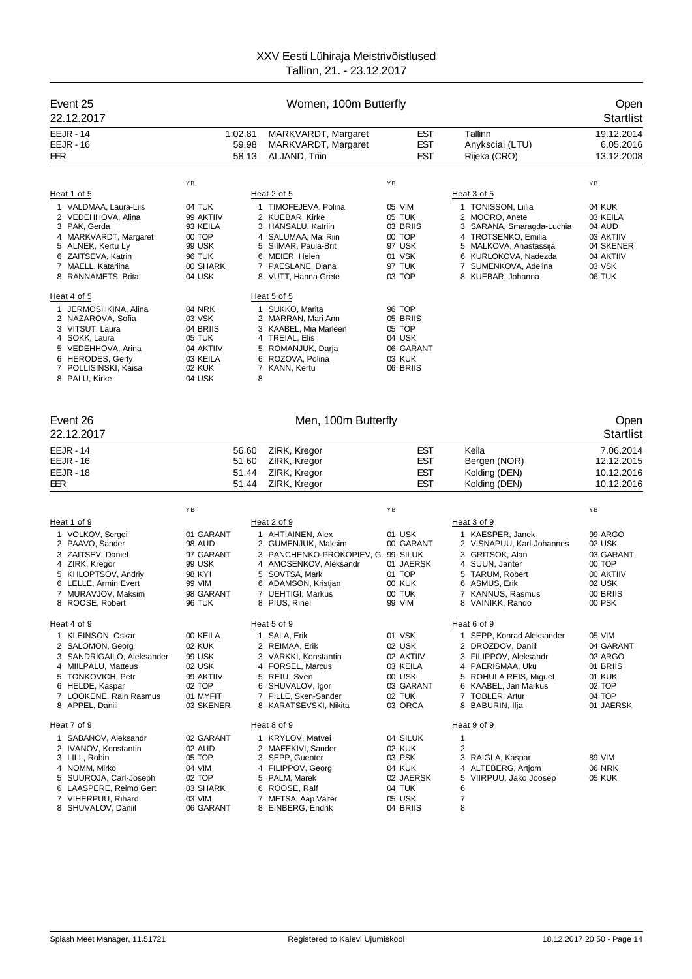| Event 25<br>22.12.2017                   | Women, 100m Butterfly |       |                                          |                    |                                                |                          |
|------------------------------------------|-----------------------|-------|------------------------------------------|--------------------|------------------------------------------------|--------------------------|
| <b>EEJR - 14</b>                         | 1:02.81               |       | MARKVARDT, Margaret                      | EST                | Tallinn                                        | 19.12.2014               |
| <b>EEJR - 16</b>                         |                       | 59.98 | MARKVARDT, Margaret                      | EST                | Anyksciai (LTU)                                | 6.05.2016                |
| EER                                      |                       | 58.13 | ALJAND, Triin                            | <b>EST</b>         | Rijeka (CRO)                                   | 13.12.2008               |
|                                          | ΥB                    |       |                                          | ΥB                 |                                                | YB                       |
| Heat 1 of 5                              |                       |       | Heat 2 of 5                              |                    | Heat 3 of 5                                    |                          |
| 1 VALDMAA, Laura-Liis                    | 04 TUK                |       | 1 TIMOFEJEVA, Polina                     | 05 VIM             | 1 TONISSON, Liilia                             | 04 KUK                   |
| 2 VEDEHHOVA, Alina                       | 99 AKTIIV             |       | 2 KUEBAR, Kirke                          | 05 TUK             | 2 MOORO, Anete                                 | 03 KEILA                 |
| 3 PAK, Gerda                             | 93 KEILA              |       | 3 HANSALU, Katriin                       | 03 BRIIS           | 3 SARANA, Smaragda-Luchia                      | 04 AUD                   |
| 4 MARKVARDT, Margaret                    | 00 TOP                |       | 4 SALUMAA, Mai Riin                      | 00 TOP<br>97 USK   | 4 TROTSENKO, Emilia                            | 03 AKTIIV<br>04 SKENER   |
| 5 ALNEK, Kertu Ly<br>6 ZAITSEVA, Katrin  | 99 USK<br>96 TUK      |       | 5 SIIMAR, Paula-Brit<br>6 MEIER, Helen   | 01 VSK             | 5 MALKOVA, Anastassija<br>6 KURLOKOVA, Nadezda | 04 AKTIIV                |
| 7 MAELL, Katariina                       | 00 SHARK              |       | 7 PAESLANE, Diana                        | 97 TUK             | 7 SUMENKOVA, Adelina                           | 03 VSK                   |
| 8 RANNAMETS, Brita                       | 04 USK                |       | 8 VUTT, Hanna Grete                      | 03 TOP             | 8 KUEBAR, Johanna                              | 06 TUK                   |
| Heat 4 of 5                              |                       |       | Heat $5$ of $5$                          |                    |                                                |                          |
| 1 JERMOSHKINA, Alina                     | 04 NRK                |       | 1 SUKKO, Marita                          | 96 TOP             |                                                |                          |
| 2 NAZAROVA, Sofia                        | 03 VSK<br>04 BRIIS    |       | 2 MARRAN, Mari Ann                       | 05 BRIIS<br>05 TOP |                                                |                          |
| 3 VITSUT, Laura<br>4 SOKK, Laura         | 05 TUK                |       | 3 KAABEL, Mia Marleen<br>4 TREIAL, Elis  | 04 USK             |                                                |                          |
| 5 VEDEHHOVA, Arina                       | 04 AKTIIV             |       | 5 ROMANJUK, Darja                        | 06 GARANT          |                                                |                          |
| 6 HERODES, Gerly                         | 03 KEILA              |       | 6 ROZOVA, Polina                         | 03 KUK             |                                                |                          |
| 7 POLLISINSKI, Kaisa                     | 02 KUK                |       | 7 KANN, Kertu                            | 06 BRIIS           |                                                |                          |
| 8 PALU, Kirke                            | 04 USK                | 8     |                                          |                    |                                                |                          |
| Event 26<br>22.12.2017                   |                       |       | Men, 100m Butterfly                      |                    |                                                | Open<br><b>Startlist</b> |
| <b>EEJR - 14</b>                         |                       | 56.60 | ZIRK, Kregor                             | <b>EST</b>         | Keila                                          | 7.06.2014                |
| <b>EEJR - 16</b>                         |                       | 51.60 | ZIRK, Kregor                             | <b>EST</b>         | Bergen (NOR)                                   | 12.12.2015               |
| <b>EEJR - 18</b>                         |                       | 51.44 | ZIRK, Kregor                             | <b>EST</b>         | Kolding (DEN)                                  | 10.12.2016               |
| EER                                      |                       | 51.44 | ZIRK, Kregor                             | <b>EST</b>         | Kolding (DEN)                                  | 10.12.2016               |
|                                          | YB                    |       |                                          | ΥB                 |                                                | YB                       |
| Heat 1 of 9                              |                       |       | Heat 2 of 9                              |                    | Heat 3 of 9                                    |                          |
| 1 VOLKOV, Sergei                         | 01 GARANT             |       | 1 AHTIAINEN, Alex                        | 01 USK             | 1 KAESPER, Janek                               | 99 ARGO                  |
| 2 PAAVO, Sander                          | 98 AUD                |       | 2 GUMENJUK, Maksim                       | 00 GARANT          | 2 VISNAPUU, Karl-Johannes                      | 02 USK                   |
| 3 ZAITSEV, Daniel                        | 97 GARANT<br>99 USK   |       | 3 PANCHENKO-PROKOPIEV, G. 99 SILUK       | 01 JAERSK          | 3 GRITSOK, Alan                                | 03 GARANT<br>00 TOP      |
| 4 ZIRK, Kregor<br>5 KHLOPTSOV, Andriy    | 98 KYI                |       | 4 AMOSENKOV, Aleksandr<br>5 SOVTSA, Mark | 01 TOP             | 4 SUUN, Janter<br>5 TARUM, Robert              | 00 AKTIIV                |
| 6 LELLE, Armin Evert                     | 99 VIM                |       | 6 ADAMSON, Kristjan                      | 00 KUK             | 6 ASMUS, Erik                                  | 02 USK                   |
| 7 MURAVJOV, Maksim                       | 98 GARANT             |       | 7 UEHTIGI, Markus                        | 00 TUK             | 7 KANNUS, Rasmus                               | 00 BRIIS                 |
| ROOSE, Robert<br>8                       | 96 TUK                |       | 8 PIUS, Rinel                            | 99 VIM             | 8 VAINIKK, Rando                               | 00 PSK                   |
| Heat 4 of 9                              |                       |       | Heat 5 of 9                              |                    | Heat 6 of 9                                    |                          |
| 1 KLEINSON, Oskar                        | 00 KEILA              |       | 1 SALA, Erik                             | 01 VSK             | 1 SEPP, Konrad Aleksander                      | 05 VIM                   |
| 2 SALOMON, Georg                         | <b>02 KUK</b>         |       | 2 REIMAA, Erik                           | 02 USK             | 2 DROZDOV, Daniil                              | 04 GARANT                |
| 3 SANDRIGAILO, Aleksander                | 99 USK                |       | 3 VARKKI, Konstantin                     | 02 AKTIIV          | 3 FILIPPOV, Aleksandr                          | 02 ARGO                  |
| 4 MIILPALU, Matteus<br>5 TONKOVICH, Petr | 02 USK<br>99 AKTIIV   |       | 4 FORSEL, Marcus<br>5 REIU, Sven         | 03 KEILA<br>00 USK | 4 PAERISMAA, Uku<br>5 ROHULA REIS, Miguel      | 01 BRIIS<br>01 KUK       |
| 6 HELDE, Kaspar                          | 02 TOP                |       | 6 SHUVALOV, Igor                         | 03 GARANT          | 6 KAABEL, Jan Markus                           | 02 TOP                   |
| 7 LOOKENE, Rain Rasmus                   | 01 MYFIT              |       | 7 PILLE, Sken-Sander                     | 02 TUK             | 7 TOBLER, Artur                                | 04 TOP                   |
| 8 APPEL, Daniil                          | 03 SKENER             |       | 8 KARATSEVSKI, Nikita                    | 03 ORCA            | 8 BABURIN, Ilja                                | 01 JAERSK                |
| Heat 7 of 9                              |                       |       | Heat 8 of 9                              |                    | Heat 9 of 9                                    |                          |
| 1 SABANOV, Aleksandr                     | 02 GARANT             |       | 1 KRYLOV, Matvei                         | 04 SILUK           | 1                                              |                          |
| 2 IVANOV, Konstantin                     | 02 AUD                |       | 2 MAEEKIVI, Sander                       | 02 KUK             | $\overline{c}$                                 |                          |
| 3 LILL, Robin<br>4 NOMM, Mirko           | 05 TOP<br>04 VIM      |       | 3 SEPP, Guenter<br>4 FILIPPOV, Georg     | 03 PSK<br>04 KUK   | 3 RAIGLA, Kaspar<br>4 ALTEBERG, Artiom         | 89 VIM<br><b>06 NRK</b>  |
| 5 SUUROJA, Carl-Joseph                   | 02 TOP                |       | 5 PALM, Marek                            | 02 JAERSK          | 5 VIIRPUU, Jako Joosep                         | <b>05 KUK</b>            |
| 6 LAASPERE, Reimo Gert                   | 03 SHARK              |       | 6 ROOSE, Ralf                            | 04 TUK             | 6                                              |                          |
| 7 VIHERPUU, Rihard                       | 03 VIM                |       | 7 METSA, Aap Valter                      | 05 USK             | 7<br>8                                         |                          |
| 8 SHUVALOV, Daniil                       | 06 GARANT             |       | 8 EINBERG, Endrik                        | 04 BRIIS           |                                                |                          |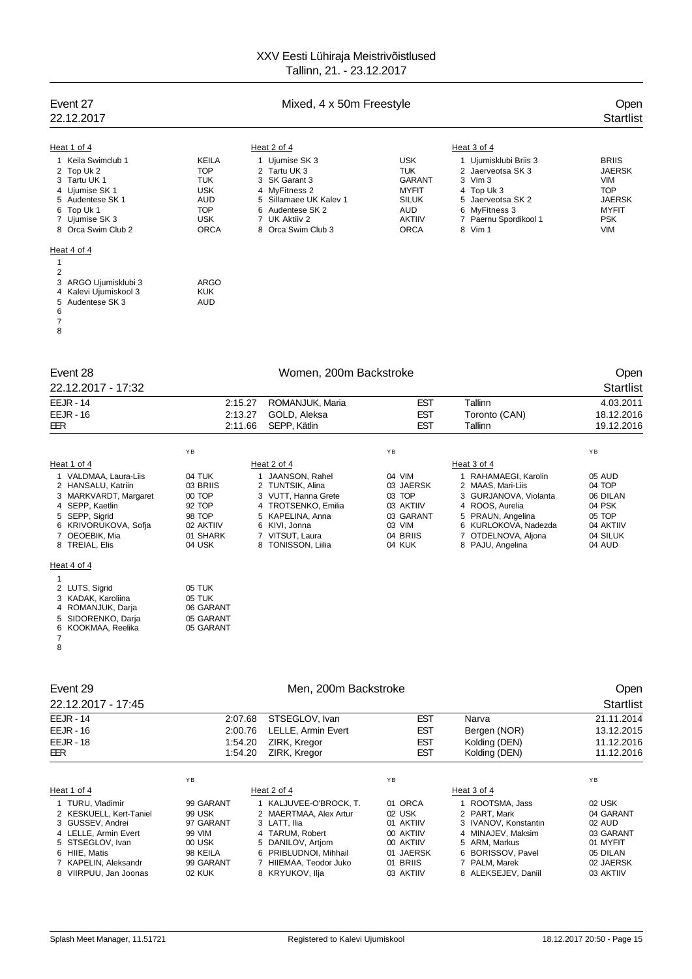| Event 27<br>22.12.2017 | Mixed, 4 x 50m Freestyle |                        |               |                       |               |
|------------------------|--------------------------|------------------------|---------------|-----------------------|---------------|
| Heat 1 of 4            |                          | Heat 2 of 4            |               | Heat 3 of 4           |               |
| 1 Keila Swimclub 1     | <b>KEILA</b>             | 1 Ujumise SK 3         | <b>USK</b>    | 1 Ujumisklubi Briis 3 | <b>BRIIS</b>  |
| 2 Top Uk 2             | <b>TOP</b>               | 2 Tartu UK 3           | <b>TUK</b>    | 2 Jaerveotsa SK 3     | <b>JAERSK</b> |
| 3 Tartu UK 1           | <b>TUK</b>               | 3 SK Garant 3          | <b>GARANT</b> | 3 Vim 3               | <b>VIM</b>    |
| 4 Ujumise SK 1         | <b>USK</b>               | 4 MyFitness 2          | <b>MYFIT</b>  | 4 Top Uk 3            | <b>TOP</b>    |
| 5 Audentese SK 1       | <b>AUD</b>               | 5 Sillamaee UK Kalev 1 | <b>SILUK</b>  | 5 Jaerveotsa SK 2     | <b>JAERSK</b> |
| 6 Top Uk 1             | <b>TOP</b>               | 6 Audentese SK 2       | <b>AUD</b>    | 6 MyFitness 3         | <b>MYFIT</b>  |
| 7 Ujumise SK 3         | <b>USK</b>               | 7 UK Aktiiv 2          | <b>AKTIIV</b> | 7 Paernu Spordikool 1 | <b>PSK</b>    |
| 8 Orca Swim Club 2     | <b>ORCA</b>              | 8 Orca Swim Club 3     | <b>ORCA</b>   | 8 Vim 1               | <b>VIM</b>    |
| Heat 4 of 4            |                          |                        |               |                       |               |

### $H\epsilon$  $\overline{1}$

| 3 ARGO Ujumisklubi 3  | ARGO |
|-----------------------|------|
| 4 Kalevi Ujumiskool 3 | KUK  |
| 5 Audentese SK 3      | AUD  |
|                       |      |
|                       |      |
|                       |      |
|                       |      |

| Event 28           |    | Women, 200m Backstroke |                 |    |            |               | Open             |
|--------------------|----|------------------------|-----------------|----|------------|---------------|------------------|
| 22.12.2017 - 17:32 |    |                        |                 |    |            |               | <b>Startlist</b> |
| $EEJR - 14$        |    | 2:15.27                | ROMANJUK, Maria |    | <b>EST</b> | Tallinn       | 4.03.2011        |
| $EEJR - 16$        |    | 2:13.27                | GOLD, Aleksa    |    | <b>EST</b> | Toronto (CAN) | 18.12.2016       |
| EER                |    | 2:11.66                | SEPP. Kätlin    |    | <b>EST</b> | Tallinn       | 19.12.2016       |
|                    | YB |                        |                 | YB |            |               | YB               |
| Heat 1 of 4        |    |                        | Heat 2 of 4     |    |            | Heat 3 of 4   |                  |

### VALDMAA, Laura-Liis 04 TUK 1 JAANSON, Rahel 04 VIM 1 RAHAMAEGI, Karolin 05 AUD

| 2 HANSALU, Katriin    | 03 BRIIS  | 2 TUNTSIK, Alina    | 03 JAERSK | 2 MAAS, Mari-Liis     | 04 TOP    |
|-----------------------|-----------|---------------------|-----------|-----------------------|-----------|
| 3 MARKVARDT, Margaret | 00 TOP    | 3 VUTT. Hanna Grete | 03 TOP    | 3 GURJANOVA, Violanta | 06 DILAN  |
| 4 SEPP. Kaetlin       | 92 TOP    | 4 TROTSENKO, Emilia | 03 AKTIIV | 4 ROOS, Aurelia       | 04 PSK    |
| 5 SEPP, Sigrid        | 98 TOP    | 5 KAPELINA, Anna    | 03 GARANT | 5 PRAUN, Angelina     | 05 TOP    |
| 6 KRIVORUKOVA, Sofja  | 02 AKTIIV | 6 KIVI, Jonna       | 03 VIM    | 6 KURLOKOVA, Nadezda  | 04 AKTIIV |
| 7 OEOEBIK, Mia        | 01 SHARK  | 7 VITSUT, Laura     | 04 BRIIS  | 7 OTDELNOVA, Aliona   | 04 SILUK  |
| 8 TREIAL, Elis        | 04 USK    | 8 TONISSON, Liilia  | 04 KUK    | 8 PAJU, Angelina      | 04 AUD    |
| Heat 4 of 4           |           |                     |           |                       |           |
|                       |           |                     |           |                       |           |
| 2 LUTS, Sigrid        | 05 TUK    |                     |           |                       |           |
| 3 KADAK, Karoliina    | 05 TUK    |                     |           |                       |           |
| 4 ROMANJUK, Darja     | 06 GARANT |                     |           |                       |           |
| 5 SIDORENKO, Daria    | 05 GARANT |                     |           |                       |           |
| 6 KOOKMAA, Reelika    | 05 GARANT |                     |           |                       |           |
|                       |           |                     |           |                       |           |

| Event 29<br>22.12.2017 - 17:45                                                                                                                                                |                                                                                                                  | Men. 200m Backstroke                                                                                                                                                           |                                                                                                |                                                                                                                                                            | Open<br><b>Startlist</b>                                                                     |
|-------------------------------------------------------------------------------------------------------------------------------------------------------------------------------|------------------------------------------------------------------------------------------------------------------|--------------------------------------------------------------------------------------------------------------------------------------------------------------------------------|------------------------------------------------------------------------------------------------|------------------------------------------------------------------------------------------------------------------------------------------------------------|----------------------------------------------------------------------------------------------|
| <b>EEJR - 14</b><br>$EEJR - 16$<br><b>EEJR - 18</b><br>EER                                                                                                                    | 2:07.68<br>STSEGLOV, Ivan<br>2:00.76<br>LELLE, Armin Evert<br>1:54.20<br>ZIRK, Kregor<br>ZIRK, Kregor<br>1:54.20 |                                                                                                                                                                                | <b>EST</b><br><b>EST</b><br><b>EST</b><br><b>EST</b>                                           | Narva<br>Bergen (NOR)<br>Kolding (DEN)<br>Kolding (DEN)                                                                                                    | 21.11.2014<br>13.12.2015<br>11.12.2016<br>11.12.2016                                         |
| Heat 1 of 4                                                                                                                                                                   | YB                                                                                                               | Heat 2 of 4                                                                                                                                                                    | YB                                                                                             | Heat 3 of 4                                                                                                                                                | YB                                                                                           |
| 1 TURU, Vladimir<br>2 KESKUELL, Kert-Taniel<br>3 GUSSEV, Andrei<br>4 LELLE, Armin Evert<br>5 STSEGLOV, Ivan<br>6 HIIE, Matis<br>7 KAPELIN, Aleksandr<br>8 VIIRPUU, Jan Joonas | 99 GARANT<br>99 USK<br>97 GARANT<br>99 VIM<br>00 USK<br>98 KEILA<br>99 GARANT<br>02 KUK                          | 1 KALJUVEE-O'BROCK, T.<br>2 MAERTMAA, Alex Artur<br>3 LATT. Ilia<br>4 TARUM, Robert<br>5 DANILOV, Artiom<br>6 PRIBLUDNOI, Mihhail<br>7 HIIEMAA, Teodor Juko<br>8 KRYUKOV, Ilja | 01 ORCA<br>02 USK<br>01 AKTIIV<br>00 AKTIIV<br>00 AKTIIV<br>01 JAERSK<br>01 BRIIS<br>03 AKTIIV | 1 ROOTSMA, Jass<br>2 PART, Mark<br>3 IVANOV, Konstantin<br>4 MINAJEV, Maksim<br>5 ARM, Markus<br>6 BORISSOV, Pavel<br>7 PALM, Marek<br>8 ALEKSEJEV, Daniil | 02 USK<br>04 GARANT<br>02 AUD<br>03 GARANT<br>01 MYFIT<br>05 DILAN<br>02 JAERSK<br>03 AKTIIV |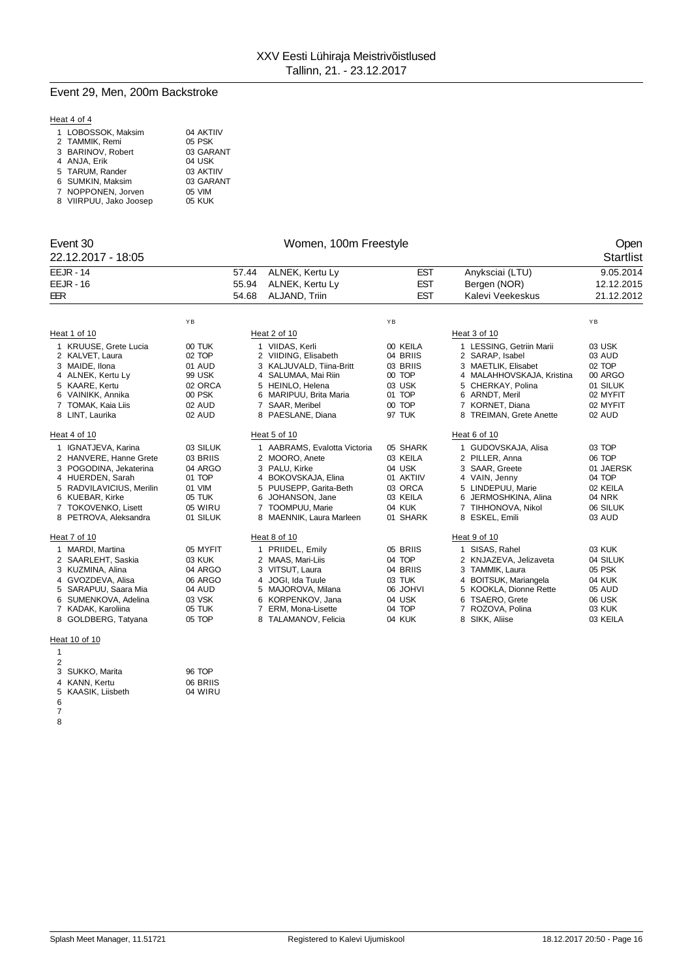## Event 29, Men, 200m Backstroke

## Heat 4 of 4

| 1 LOBOSSOK, Maksim     | 04 AKTIIV |
|------------------------|-----------|
| 2 TAMMIK. Remi         | 05 PSK    |
| 3 BARINOV. Robert      | 03 GARANT |
| 4 ANJA, Erik           | 04 USK    |
| 5 TARUM. Rander        | 03 AKTIIV |
| 6 SUMKIN, Maksim       | 03 GARANT |
| 7 NOPPONEN, Jorven     | 05 VIM    |
| 8 VIIRPUU, Jako Joosep | 05 KUK    |
|                        |           |

| Event 30           | Women, 100m Freestyle | <b>Open</b> |
|--------------------|-----------------------|-------------|
| 22.12.2017 - 18:05 |                       | Startlist   |

| WUITCH, TUUTT LICCOLYIC |  |
|-------------------------|--|
|                         |  |

|     | <b>EEJR - 14</b>         |          | 57.44 | ALNEK, Kertu Ly              | <b>EST</b>      | Anyksciai (LTU)           | 9.05.2014  |
|-----|--------------------------|----------|-------|------------------------------|-----------------|---------------------------|------------|
|     | <b>EEJR - 16</b>         |          | 55.94 | ALNEK, Kertu Ly              | <b>EST</b>      | Bergen (NOR)              | 12.12.2015 |
| EER |                          |          | 54.68 | ALJAND, Triin                | <b>EST</b>      | Kalevi Veekeskus          | 21.12.2012 |
|     |                          |          |       |                              |                 |                           |            |
|     |                          | YB       |       |                              | YB              |                           | YB         |
|     | Heat 1 of 10             |          |       | Heat 2 of 10                 |                 | Heat 3 of 10              |            |
|     | 1 KRUUSE, Grete Lucia    | 00 TUK   |       | 1 VIIDAS, Kerli              | 00 KEILA        | 1 LESSING, Getriin Marii  | 03 USK     |
|     | 2 KALVET, Laura          | 02 TOP   |       | 2 VIIDING, Elisabeth         | 04 BRIIS        | 2 SARAP, Isabel           | 03 AUD     |
|     | 3 MAIDE. Ilona           | 01 AUD   |       | 3 KALJUVALD, Tiina-Britt     | 03 BRIIS        | 3 MAETLIK. Elisabet       | 02 TOP     |
|     | 4 ALNEK, Kertu Ly        | 99 USK   |       | 4 SALUMAA, Mai Riin          | 00 TOP          | 4 MALAHHOVSKAJA, Kristina | 00 ARGO    |
|     | 5 KAARE, Kertu           | 02 ORCA  |       | 5 HEINLO. Helena             | 03 USK          | 5 CHERKAY, Polina         | 01 SILUK   |
|     | 6 VAINIKK, Annika        | 00 PSK   |       | 6 MARIPUU, Brita Maria       | 01 TOP          | 6 ARNDT, Meril            | 02 MYFIT   |
|     | 7 TOMAK, Kaia Liis       | 02 AUD   |       | 7 SAAR, Meribel              | 00 TOP          | 7 KORNET, Diana           | 02 MYFIT   |
|     | 8 LINT, Laurika          | 02 AUD   |       | 8 PAESLANE, Diana            | 97 TUK          | 8 TREIMAN, Grete Anette   | 02 AUD     |
|     | Heat 4 of 10             |          |       | Heat 5 of 10                 |                 | Heat 6 of 10              |            |
|     | 1 IGNATJEVA, Karina      | 03 SILUK |       | 1 AABRAMS, Evalotta Victoria | 05 SHARK        | 1 GUDOVSKAJA, Alisa       | 03 TOP     |
|     | 2 HANVERE, Hanne Grete   | 03 BRIIS |       | 2 MOORO, Anete               | 03 KEILA        | 2 PILLER, Anna            | 06 TOP     |
|     | 3 POGODINA, Jekaterina   | 04 ARGO  |       | 3 PALU, Kirke                | 04 USK          | 3 SAAR, Greete            | 01 JAERSK  |
|     | 4 HUERDEN, Sarah         | 01 TOP   |       | 4 BOKOVSKAJA, Elina          | 01 AKTIIV       | 4 VAIN, Jenny             | 04 TOP     |
|     | 5 RADVILAVICIUS, Merilin | 01 VIM   |       | 5 PUUSEPP, Garita-Beth       | 03 ORCA         | 5 LINDEPUU. Marie         | 02 KEILA   |
|     | 6 KUEBAR, Kirke          | 05 TUK   |       | 6 JOHANSON, Jane             | 03 KEILA        | 6 JERMOSHKINA, Alina      | 04 NRK     |
|     | 7 TOKOVENKO, Lisett      | 05 WIRU  |       | 7 TOOMPUU, Marie             | 04 KUK          | 7 TIHHONOVA, Nikol        | 06 SILUK   |
|     | 8 PETROVA, Aleksandra    | 01 SILUK |       | 8 MAENNIK, Laura Marleen     | 01 SHARK        | 8 ESKEL, Emili            | 03 AUD     |
|     | Heat 7 of 10             |          |       | Heat 8 of 10                 |                 | Heat 9 of 10              |            |
|     | 1 MARDI, Martina         | 05 MYFIT |       | 1 PRIIDEL, Emily             | 05 BRIIS        | 1 SISAS, Rahel            | 03 KUK     |
|     | 2 SAARLEHT, Saskia       | 03 KUK   |       | 2 MAAS, Mari-Liis            | 04 TOP          | 2 KNJAZEVA, Jelizaveta    | 04 SILUK   |
|     | 3 KUZMINA, Alina         | 04 ARGO  |       | 3 VITSUT, Laura              | 04 BRIIS        | 3 TAMMIK, Laura           | 05 PSK     |
|     | 4 GVOZDEVA, Alisa        | 06 ARGO  |       | 4 JOGI, Ida Tuule            | 03 TUK          | 4 BOITSUK, Mariangela     | 04 KUK     |
|     | 5 SARAPUU, Saara Mia     | 04 AUD   |       | 5 MAJOROVA, Milana           | <b>06 JOHVI</b> | 5 KOOKLA, Dionne Rette    | 05 AUD     |
|     | 6 SUMENKOVA, Adelina     | 03 VSK   |       | 6 KORPENKOV, Jana            | 04 USK          | 6 TSAERO, Grete           | 06 USK     |
|     | 7 KADAK, Karoliina       | 05 TUK   | 7     | ERM, Mona-Lisette            | 04 TOP          | 7 ROZOVA, Polina          | 03 KUK     |
|     | 8 GOLDBERG, Tatyana      | 05 TOP   |       | 8 TALAMANOV, Felicia         | 04 KUK          | 8 SIKK, Aliise            | 03 KEILA   |

**Heat 10 of 10** 

| 1 |                    |          |
|---|--------------------|----------|
| 2 |                    |          |
|   | 3 SUKKO, Marita    | 96 TOP   |
|   | 4 KANN, Kertu      | 06 BRIIS |
|   | 5 KAASIK, Liisbeth | 04 WIRU  |
| 6 |                    |          |
|   |                    |          |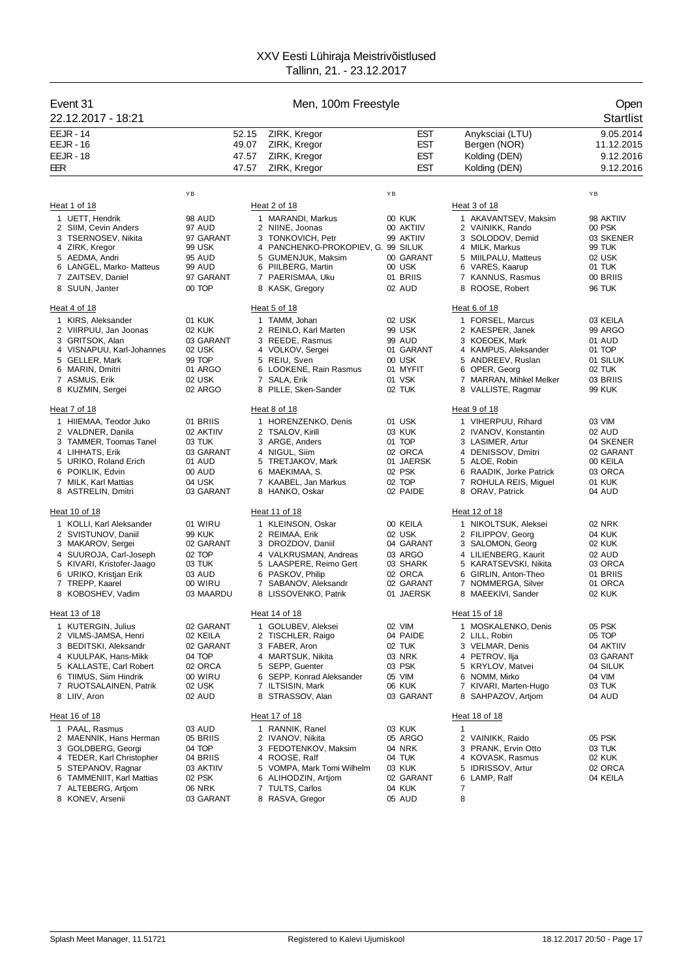| Event 31<br>22.12.2017 - 18:21                                                                                                                                                                |                                                                                           | Men, 100m Freestyle              |                                                                                                                                                                                                    |                                                                                             |                                                                                                                                                                                    | Open<br><b>Startlist</b>                                                                       |  |
|-----------------------------------------------------------------------------------------------------------------------------------------------------------------------------------------------|-------------------------------------------------------------------------------------------|----------------------------------|----------------------------------------------------------------------------------------------------------------------------------------------------------------------------------------------------|---------------------------------------------------------------------------------------------|------------------------------------------------------------------------------------------------------------------------------------------------------------------------------------|------------------------------------------------------------------------------------------------|--|
| <b>EEJR - 14</b><br><b>EEJR - 16</b><br><b>EEJR - 18</b><br>EER                                                                                                                               |                                                                                           | 52.15<br>49.07<br>47.57<br>47.57 | ZIRK, Kregor<br>ZIRK, Kregor<br>ZIRK, Kregor<br>ZIRK, Kregor                                                                                                                                       | <b>EST</b><br>EST<br><b>EST</b><br><b>EST</b>                                               | Anyksciai (LTU)<br>Bergen (NOR)<br>Kolding (DEN)<br>Kolding (DEN)                                                                                                                  | 9.05.2014<br>11.12.2015<br>9.12.2016<br>9.12.2016                                              |  |
|                                                                                                                                                                                               | YB                                                                                        |                                  |                                                                                                                                                                                                    | YB                                                                                          |                                                                                                                                                                                    | YB                                                                                             |  |
| Heat 1 of 18                                                                                                                                                                                  |                                                                                           |                                  | Heat 2 of 18                                                                                                                                                                                       |                                                                                             | Heat 3 of 18                                                                                                                                                                       |                                                                                                |  |
| 1 UETT, Hendrik<br>2 SIIM, Cevin Anders<br>3 TSERNOSEV, Nikita<br>4 ZIRK, Kregor<br>5 AEDMA, Andri<br>6 LANGEL, Marko- Matteus<br>7 ZAITSEV, Daniel<br>8 SUUN, Janter<br>Heat 4 of 18         | 98 AUD<br>97 AUD<br>97 GARANT<br>99 USK<br><b>95 AUD</b><br>99 AUD<br>97 GARANT<br>00 TOP |                                  | 1 MARANDI, Markus<br>2 NIINE, Joonas<br>3 TONKOVICH, Petr<br>4 PANCHENKO-PROKOPIEV, G. 99 SILUK<br>5 GUMENJUK, Maksim<br>6 PIILBERG, Martin<br>7 PAERISMAA, Uku<br>8 KASK, Gregory<br>Heat 5 of 18 | 00 KUK<br>00 AKTIIV<br>99 AKTIIV<br>00 GARANT<br>00 USK<br>01 BRIIS<br>02 AUD               | 1 AKAVANTSEV, Maksim<br>2 VAINIKK, Rando<br>3 SOLODOV, Demid<br>4 MILK, Markus<br>5 MIILPALU, Matteus<br>6 VARES, Kaarup<br>7 KANNUS, Rasmus<br>8 ROOSE, Robert<br>Heat 6 of 18    | 98 AKTIIV<br>00 PSK<br>03 SKENER<br>99 TUK<br>02 USK<br>01 TUK<br>00 BRIIS<br><b>96 TUK</b>    |  |
| 1 KIRS, Aleksander                                                                                                                                                                            | 01 KUK                                                                                    |                                  | 1 TAMM, Johan                                                                                                                                                                                      | 02 USK                                                                                      | 1 FORSEL, Marcus                                                                                                                                                                   | 03 KEILA                                                                                       |  |
| 2 VIIRPUU, Jan Joonas<br>3 GRITSOK, Alan<br>4 VISNAPUU, Karl-Johannes<br>5 GELLER, Mark<br>6 MARIN, Dmitri<br>7 ASMUS, Erik<br>8 KUZMIN, Sergei                                               | 02 KUK<br>03 GARANT<br>02 USK<br>99 TOP<br>01 ARGO<br>02 USK<br>02 ARGO                   |                                  | 2 REINLO, Karl Marten<br>3 REEDE, Rasmus<br>4 VOLKOV, Sergei<br>5 REIU, Sven<br>6 LOOKENE, Rain Rasmus<br>7 SALA, Erik<br>8 PILLE, Sken-Sander                                                     | 99 USK<br>99 AUD<br>01 GARANT<br>00 USK<br>01 MYFIT<br>01 VSK<br>02 TUK                     | 2 KAESPER, Janek<br>3 KOEOEK, Mark<br>4 KAMPUS, Aleksander<br>5 ANDREEV, Ruslan<br>6 OPER, Georg<br>7 MARRAN, Mihkel Melker<br>8 VALLISTE, Ragmar                                  | 99 ARGO<br>01 AUD<br>01 TOP<br>01 SILUK<br>02 TUK<br>03 BRIIS<br><b>99 KUK</b>                 |  |
| Heat 7 of 18                                                                                                                                                                                  |                                                                                           |                                  | Heat 8 of 18                                                                                                                                                                                       |                                                                                             | Heat 9 of 18                                                                                                                                                                       |                                                                                                |  |
| 1 HIIEMAA, Teodor Juko<br>2 VALDNER, Danila<br>3 TAMMER, Toomas Tanel<br>4 LIHHATS, Erik<br>5 URIKO, Roland Erich<br>6 POIKLIK, Edvin<br>7 MILK, Karl Mattias<br>8 ASTRELIN, Dmitri           | 01 BRIIS<br>02 AKTIIV<br>03 TUK<br>03 GARANT<br>01 AUD<br>00 AUD<br>04 USK<br>03 GARANT   |                                  | 1 HORENZENKO, Denis<br>2 TSALOV, Kirill<br>3 ARGE, Anders<br>4 NIGUL, Siim<br>5 TRETJAKOV, Mark<br>6 MAEKIMAA, S.<br>7 KAABEL, Jan Markus<br>8 HANKO, Oskar                                        | 01 USK<br>03 KUK<br>01 TOP<br>02 ORCA<br>01 JAERSK<br>02 PSK<br>02 TOP<br>02 PAIDE          | 1 VIHERPUU, Rihard<br>2 IVANOV, Konstantin<br>3 LASIMER, Artur<br>4 DENISSOV, Dmitri<br>5 ALOE, Robin<br>6 RAADIK, Jorke Patrick<br>7 ROHULA REIS, Miguel<br>8 ORAV, Patrick       | 03 VIM<br>02 AUD<br>04 SKENER<br>02 GARANT<br>00 KEILA<br>03 ORCA<br>01 KUK<br>04 AUD          |  |
| Heat 10 of 18                                                                                                                                                                                 |                                                                                           |                                  | Heat 11 of 18                                                                                                                                                                                      |                                                                                             | Heat 12 of 18                                                                                                                                                                      |                                                                                                |  |
| 1 KOLLI, Karl Aleksander<br>2 SVISTUNOV, Daniil<br>3 MAKAROV, Sergei<br>4 SUUROJA, Carl-Joseph<br>5 KIVARI, Kristofer-Jaago<br>6 URIKO, Kristjan Erik<br>7 TREPP, Kaarel<br>8 KOBOSHEV, Vadim | 01 WIRU<br>99 KUK<br>02 GARANT<br>02 TOP<br>03 TUK<br>03 AUD<br>00 WIRU<br>03 MAARDU      |                                  | 1 KLEINSON, Oskar<br>2 REIMAA, Erik<br>3 DROZDOV, Daniil<br>4 VALKRUSMAN, Andreas<br>5 LAASPERE, Reimo Gert<br>6 PASKOV, Philip<br>7 SABANOV, Aleksandr<br>8 LISSOVENKO, Patrik                    | 00 KEILA<br>02 USK<br>04 GARANT<br>03 ARGO<br>03 SHARK<br>02 ORCA<br>02 GARANT<br>01 JAERSK | 1 NIKOLTSUK, Aleksei<br>2 FILIPPOV, Georg<br>3 SALOMON, Georg<br>4 LILIENBERG, Kaurit<br>5 KARATSEVSKI, Nikita<br>6 GIRLIN, Anton-Theo<br>7 NOMMERGA, Silver<br>8 MAEEKIVI, Sander | 02 NRK<br>04 KUK<br><b>02 KUK</b><br>02 AUD<br>03 ORCA<br>01 BRIIS<br>01 ORCA<br><b>02 KUK</b> |  |
| Heat 13 of 18                                                                                                                                                                                 |                                                                                           |                                  | Heat 14 of 18                                                                                                                                                                                      |                                                                                             | Heat 15 of 18                                                                                                                                                                      |                                                                                                |  |
| 1 KUTERGIN, Julius<br>2 VILMS-JAMSA, Henri<br>3 BEDITSKI, Aleksandr<br>4 KUULPAK, Hans-Mikk<br>5 KALLASTE, Carl Robert<br>6 TIIMUS, Siim Hindrik<br>7 RUOTSALAINEN, Patrik<br>8 LIIV, Aron    | 02 GARANT<br>02 KEILA<br>02 GARANT<br>04 TOP<br>02 ORCA<br>00 WIRU<br>02 USK<br>02 AUD    |                                  | 1 GOLUBEV, Aleksei<br>2 TISCHLER, Raigo<br>3 FABER, Aron<br>4 MARTSUK, Nikita<br>5 SEPP, Guenter<br>6 SEPP, Konrad Aleksander<br>7 ILTSISIN, Mark<br>8 STRASSOV, Alan                              | 02 VIM<br>04 PAIDE<br>02 TUK<br>03 NRK<br>03 PSK<br>05 VIM<br>06 KUK<br>03 GARANT           | 1 MOSKALENKO, Denis<br>2 LILL, Robin<br>3 VELMAR, Denis<br>4 PETROV, Ilja<br>5 KRYLOV, Matvei<br>6 NOMM, Mirko<br>7 KIVARI, Marten-Hugo<br>8 SAHPAZOV, Artiom                      | 05 PSK<br>05 TOP<br>04 AKTIIV<br>03 GARANT<br>04 SILUK<br>04 VIM<br>03 TUK<br>04 AUD           |  |
| <u>Heat 16 of 18</u>                                                                                                                                                                          |                                                                                           |                                  | Heat 17 of 18                                                                                                                                                                                      |                                                                                             | Heat 18 of 18                                                                                                                                                                      |                                                                                                |  |
| 1 PAAL, Rasmus<br>2 MAENNIK, Hans Herman<br>3 GOLDBERG, Georgi<br>4 TEDER, Karl Christopher<br>5 STEPANOV, Ragnar<br>6 TAMMENIIT, Karl Mattias<br>7 ALTEBERG, Artjom<br>8 KONEV, Arsenii      | 03 AUD<br>05 BRIIS<br>04 TOP<br>04 BRIIS<br>03 AKTIIV<br>02 PSK<br>06 NRK<br>03 GARANT    | 6                                | 1 RANNIK, Ranel<br>2 IVANOV, Nikita<br>3 FEDOTENKOV, Maksim<br>4 ROOSE, Ralf<br>5 VOMPA, Mark Tomi Wilhelm<br>ALIHODZIN, Artjom<br>7 TULTS, Carlos<br>8 RASVA, Gregor                              | 03 KUK<br>05 ARGO<br>04 NRK<br>04 TUK<br>03 KUK<br>02 GARANT<br>04 KUK<br>05 AUD            | $\mathbf{1}$<br>2 VAINIKK, Raido<br>PRANK, Ervin Otto<br>3<br>4 KOVASK, Rasmus<br>5 IDRISSOV, Artur<br>6 LAMP, Ralf<br>7<br>8                                                      | 05 PSK<br>03 TUK<br>02 KUK<br>02 ORCA<br>04 KEILA                                              |  |
|                                                                                                                                                                                               |                                                                                           |                                  |                                                                                                                                                                                                    |                                                                                             |                                                                                                                                                                                    |                                                                                                |  |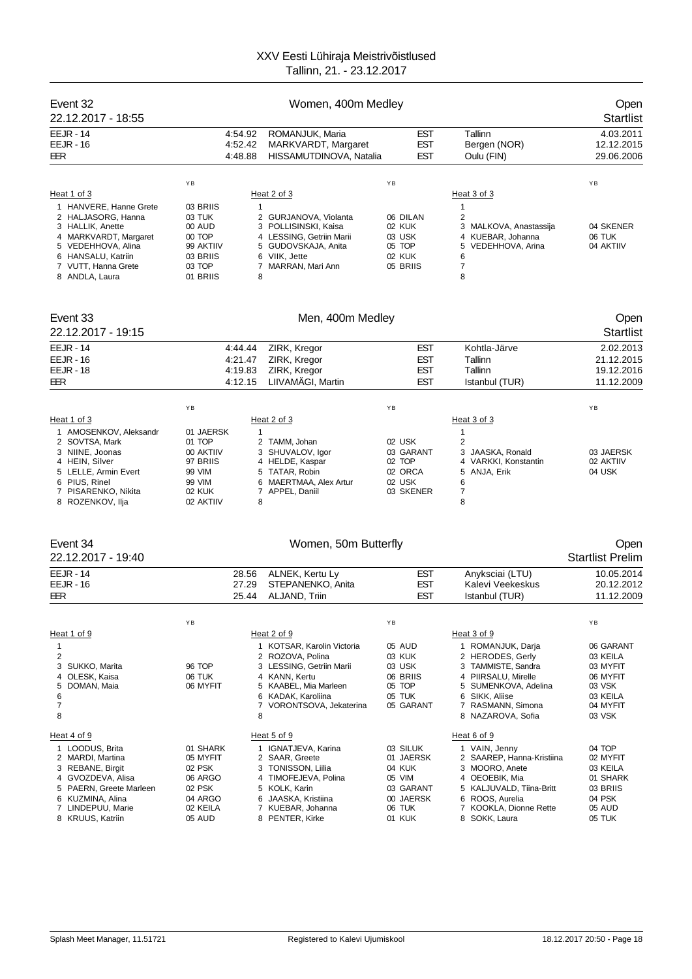| Event 32<br>22.12.2017 - 18:55                                                                                                                                                      |                                                                                         | Women, 400m Medley                       |                                                                                                                                                                                       |                                                                                         |                                                                                                                                                                                          | Open<br><b>Startlist</b>                                                                        |  |
|-------------------------------------------------------------------------------------------------------------------------------------------------------------------------------------|-----------------------------------------------------------------------------------------|------------------------------------------|---------------------------------------------------------------------------------------------------------------------------------------------------------------------------------------|-----------------------------------------------------------------------------------------|------------------------------------------------------------------------------------------------------------------------------------------------------------------------------------------|-------------------------------------------------------------------------------------------------|--|
| <b>EEJR - 14</b><br><b>EEJR - 16</b><br>EER                                                                                                                                         |                                                                                         | 4:54.92<br>4:52.42<br>4:48.88            | ROMANJUK, Maria<br>MARKVARDT, Margaret<br>HISSAMUTDINOVA, Natalia                                                                                                                     | EST<br><b>EST</b><br><b>EST</b>                                                         | Tallinn<br>Bergen (NOR)<br>Oulu (FIN)                                                                                                                                                    | 4.03.2011<br>12.12.2015<br>29.06.2006                                                           |  |
| Heat 1 of 3                                                                                                                                                                         | YB                                                                                      |                                          | Heat 2 of 3                                                                                                                                                                           | YB                                                                                      | Heat 3 of 3                                                                                                                                                                              | YB                                                                                              |  |
| 1 HANVERE, Hanne Grete<br>2 HALJASORG, Hanna<br>3 HALLIK, Anette<br>4 MARKVARDT, Margaret<br>5 VEDEHHOVA, Alina<br>6 HANSALU, Katriin<br>7 VUTT, Hanna Grete<br>8 ANDLA, Laura      | 03 BRIIS<br>03 TUK<br>00 AUD<br>00 TOP<br>99 AKTIIV<br>03 BRIIS<br>03 TOP<br>01 BRIIS   | 1<br>8                                   | 2 GURJANOVA, Violanta<br>3 POLLISINSKI, Kaisa<br>4 LESSING, Getriin Marii<br>5 GUDOVSKAJA, Anita<br>6 VIIK, Jette<br>7 MARRAN, Mari Ann                                               | 06 DILAN<br>02 KUK<br>03 USK<br>05 TOP<br>02 KUK<br>05 BRIIS                            | 1<br>2<br>3 MALKOVA, Anastassija<br>4 KUEBAR, Johanna<br>5 VEDEHHOVA, Arina<br>6<br>$\overline{7}$<br>8                                                                                  | 04 SKENER<br>06 TUK<br>04 AKTIIV                                                                |  |
| Event 33<br>22.12.2017 - 19:15                                                                                                                                                      |                                                                                         |                                          | Men, 400m Medley                                                                                                                                                                      |                                                                                         |                                                                                                                                                                                          | Open<br><b>Startlist</b>                                                                        |  |
| <b>EEJR - 14</b><br><b>EEJR - 16</b><br><b>EEJR - 18</b><br>EER                                                                                                                     |                                                                                         | 4.44.44<br>4:21.47<br>4:19.83<br>4:12.15 | ZIRK, Kregor<br>ZIRK, Kregor<br>ZIRK, Kregor<br>LIIVAMÄGI, Martin                                                                                                                     | EST<br><b>EST</b><br>EST<br><b>EST</b>                                                  | Kohtla-Järve<br>Tallinn<br>Tallinn<br>Istanbul (TUR)                                                                                                                                     | 2.02.2013<br>21.12.2015<br>19.12.2016<br>11.12.2009                                             |  |
|                                                                                                                                                                                     | YB                                                                                      |                                          |                                                                                                                                                                                       | YB                                                                                      |                                                                                                                                                                                          | YB                                                                                              |  |
| Heat 1 of 3<br>1 AMOSENKOV, Aleksandr<br>2 SOVTSA, Mark<br>3 NIINE, Joonas<br>4 HEIN, Silver<br>5 LELLE, Armin Evert<br>6 PIUS, Rinel<br>7 PISARENKO, Nikita<br>8 ROZENKOV, Ilja    | 01 JAERSK<br>01 TOP<br>00 AKTIIV<br>97 BRIIS<br>99 VIM<br>99 VIM<br>02 KUK<br>02 AKTIIV | $\mathbf{1}$<br>7<br>8                   | Heat 2 of 3<br>2 TAMM, Johan<br>3 SHUVALOV, Igor<br>4 HELDE, Kaspar<br>5 TATAR, Robin<br>6 MAERTMAA, Alex Artur<br>APPEL, Daniil                                                      | 02 USK<br>03 GARANT<br>02 TOP<br>02 ORCA<br>02 USK<br>03 SKENER                         | Heat 3 of 3<br>$\mathbf{1}$<br>2<br>3<br>JAASKA, Ronald<br>VARKKI, Konstantin<br>4<br>5 ANJA, Erik<br>6<br>7<br>8                                                                        | 03 JAERSK<br>02 AKTIIV<br>04 USK                                                                |  |
| Event 34<br>22.12.2017 - 19:40                                                                                                                                                      |                                                                                         |                                          | Women, 50m Butterfly                                                                                                                                                                  |                                                                                         |                                                                                                                                                                                          | Open<br><b>Startlist Prelim</b>                                                                 |  |
| <b>EEJR - 14</b><br><b>EEJR - 16</b><br>EER                                                                                                                                         |                                                                                         | 28.56<br>27.29<br>25.44                  | ALNEK, Kertu Ly<br>STEPANENKO, Anita<br>ALJAND, Triin                                                                                                                                 | <b>EST</b><br><b>EST</b><br><b>EST</b>                                                  | Anyksciai (LTU)<br>Kalevi Veekeskus<br>Istanbul (TUR)                                                                                                                                    | 10.05.2014<br>20.12.2012<br>11.12.2009                                                          |  |
| Heat 1 of 9<br>1<br>2<br>SUKKO, Marita<br>3<br>OLESK, Kaisa<br>4<br>5<br>DOMAN, Maia<br>6<br>7<br>8                                                                                 | ΥB<br>96 TOP<br>06 TUK<br>06 MYFIT                                                      | 8                                        | Heat 2 of 9<br>1 KOTSAR, Karolin Victoria<br>2 ROZOVA, Polina<br>3 LESSING, Getriin Marii<br>4 KANN, Kertu<br>5 KAABEL, Mia Marleen<br>6 KADAK, Karoliina<br>7 VORONTSOVA, Jekaterina | YB<br>05 AUD<br>03 KUK<br>03 USK<br>06 BRIIS<br>05 TOP<br>05 TUK<br>05 GARANT           | Heat 3 of 9<br>1 ROMANJUK, Darja<br>2 HERODES, Gerly<br>3 TAMMISTE, Sandra<br>4 PIIRSALU, Mirelle<br>5<br>SUMENKOVA, Adelina<br>6 SIKK, Aliise<br>7 RASMANN, Simona<br>8 NAZAROVA, Sofia | ΥB<br>06 GARANT<br>03 KEILA<br>03 MYFIT<br>06 MYFIT<br>03 VSK<br>03 KEILA<br>04 MYFIT<br>03 VSK |  |
| Heat 4 of 9<br>1 LOODUS, Brita<br>2 MARDI, Martina<br>3 REBANE, Birgit<br>4 GVOZDEVA, Alisa<br>5 PAERN, Greete Marleen<br>6 KUZMINA, Alina<br>7 LINDEPUU, Marie<br>8 KRUUS, Katriin | 01 SHARK<br>05 MYFIT<br>02 PSK<br>06 ARGO<br>02 PSK<br>04 ARGO<br>02 KEILA<br>05 AUD    |                                          | Heat 5 of 9<br>1 IGNATJEVA, Karina<br>2 SAAR, Greete<br>3 TONISSON, Liilia<br>4 TIMOFEJEVA, Polina<br>5 KOLK, Karin<br>6 JAASKA, Kristiina<br>7 KUEBAR, Johanna<br>8 PENTER, Kirke    | 03 SILUK<br>01 JAERSK<br>04 KUK<br>05 VIM<br>03 GARANT<br>00 JAERSK<br>06 TUK<br>01 KUK | Heat 6 of 9<br>1 VAIN, Jenny<br>2 SAAREP, Hanna-Kristiina<br>3 MOORO, Anete<br>4 OEOEBIK, Mia<br>5 KALJUVALD, Tiina-Britt<br>6 ROOS, Aurelia<br>7 KOOKLA, Dionne Rette<br>8 SOKK, Laura  | 04 TOP<br>02 MYFIT<br>03 KEILA<br>01 SHARK<br>03 BRIIS<br>04 PSK<br>05 AUD<br>05 TUK            |  |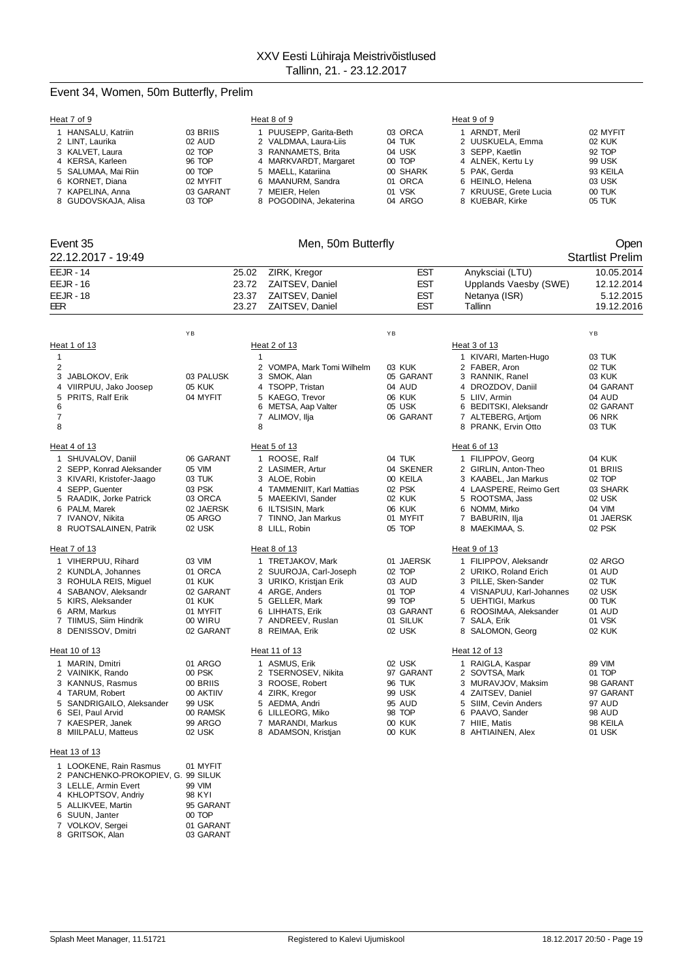## Event 34, Women, 50m Butterfly, Prelim

| Heat 7 of 9                                                                                                                                                                                |                                                                                        | Heat 8 of 9                                                                                                                                                         |                                                                                      | Heat 9 of 9                                                                                                                                                                            |                                                                                      |
|--------------------------------------------------------------------------------------------------------------------------------------------------------------------------------------------|----------------------------------------------------------------------------------------|---------------------------------------------------------------------------------------------------------------------------------------------------------------------|--------------------------------------------------------------------------------------|----------------------------------------------------------------------------------------------------------------------------------------------------------------------------------------|--------------------------------------------------------------------------------------|
| 1 HANSALU, Katriin<br>2 LINT, Laurika<br>3 KALVET, Laura<br>4 KERSA, Karleen                                                                                                               | 03 BRIIS<br>02 AUD<br>02 TOP<br>96 TOP                                                 | 1 PUUSEPP, Garita-Beth<br>2 VALDMAA, Laura-Liis<br>3 RANNAMETS, Brita<br>4 MARKVARDT, Margaret                                                                      | 03 ORCA<br>04 TUK<br>04 USK<br>00 TOP                                                | 1 ARNDT, Meril<br>2 UUSKUELA, Emma<br>3 SEPP, Kaetlin<br>4 ALNEK, Kertu Ly                                                                                                             | 02 MYFIT<br>02 KUK<br>92 TOP<br>99 USK                                               |
| 5 SALUMAA, Mai Riin<br>6 KORNET, Diana<br>7 KAPELINA, Anna<br>8 GUDOVSKAJA, Alisa                                                                                                          | 00 TOP<br>02 MYFIT<br>03 GARANT<br>03 TOP                                              | 5 MAELL, Katariina<br>6 MAANURM, Sandra<br>7 MEIER, Helen<br>8 POGODINA, Jekaterina                                                                                 | 00 SHARK<br>01 ORCA<br>01 VSK<br>04 ARGO                                             | 5 PAK, Gerda<br>6 HEINLO, Helena<br>7 KRUUSE, Grete Lucia<br>8 KUEBAR, Kirke                                                                                                           | 93 KEILA<br>03 USK<br>00 TUK<br>05 TUK                                               |
| Event 35<br>22.12.2017 - 19:49                                                                                                                                                             |                                                                                        | Men, 50m Butterfly                                                                                                                                                  |                                                                                      |                                                                                                                                                                                        | Open<br><b>Startlist Prelim</b>                                                      |
| <b>EEJR - 14</b><br><b>EEJR - 16</b><br><b>EEJR - 18</b><br>EER                                                                                                                            | 25.02<br>23.72<br>23.37<br>23.27                                                       | ZIRK, Kregor<br>ZAITSEV, Daniel<br>ZAITSEV, Daniel<br>ZAITSEV, Daniel                                                                                               | <b>EST</b><br>EST<br>EST<br><b>EST</b>                                               | Anyksciai (LTU)<br>Upplands Vaesby (SWE)<br>Netanya (ISR)<br>Tallinn                                                                                                                   | 10.05.2014<br>12.12.2014<br>5.12.2015<br>19.12.2016                                  |
|                                                                                                                                                                                            | YB                                                                                     |                                                                                                                                                                     | YB                                                                                   |                                                                                                                                                                                        | ΥB                                                                                   |
| Heat 1 of 13<br>1<br>2                                                                                                                                                                     |                                                                                        | Heat 2 of 13<br>$\mathbf{1}$<br>2 VOMPA, Mark Tomi Wilhelm                                                                                                          | 03 KUK                                                                               | Heat 3 of 13<br>1 KIVARI, Marten-Hugo<br>2 FABER, Aron                                                                                                                                 | 03 TUK<br>02 TUK                                                                     |
| 3<br>JABLOKOV, Erik<br>4 VIIRPUU, Jako Joosep<br>5 PRITS, Ralf Erik<br>6<br>7<br>8                                                                                                         | 03 PALUSK<br><b>05 KUK</b><br>04 MYFIT                                                 | 3 SMOK, Alan<br>4 TSOPP, Tristan<br>5 KAEGO. Trevor<br>6 METSA, Aap Valter<br>7 ALIMOV, Ilja<br>8                                                                   | 05 GARANT<br>04 AUD<br>06 KUK<br>05 USK<br>06 GARANT                                 | 3 RANNIK, Ranel<br>4 DROZDOV, Daniil<br>5 LIIV, Armin<br>6 BEDITSKI, Aleksandr<br>7 ALTEBERG, Artjom<br>8 PRANK, Ervin Otto                                                            | 03 KUK<br>04 GARANT<br>04 AUD<br>02 GARANT<br><b>06 NRK</b><br>03 TUK                |
| Heat 4 of 13                                                                                                                                                                               |                                                                                        | Heat 5 of 13                                                                                                                                                        |                                                                                      | Heat 6 of 13                                                                                                                                                                           |                                                                                      |
| 1 SHUVALOV, Daniil<br>2 SEPP, Konrad Aleksander<br>3 KIVARI, Kristofer-Jaago<br>4 SEPP, Guenter<br>5 RAADIK, Jorke Patrick<br>6 PALM, Marek<br>7 IVANOV, Nikita<br>8 RUOTSALAINEN, Patrik  | 06 GARANT<br>05 VIM<br>03 TUK<br>03 PSK<br>03 ORCA<br>02 JAERSK<br>05 ARGO<br>02 USK   | 1 ROOSE, Ralf<br>2 LASIMER, Artur<br>3 ALOE, Robin<br>4 TAMMENIIT, Karl Mattias<br>5 MAEEKIVI, Sander<br>6 ILTSISIN, Mark<br>7 TINNO, Jan Markus<br>8 LILL, Robin   | 04 TUK<br>04 SKENER<br>00 KEILA<br>02 PSK<br>02 KUK<br>06 KUK<br>01 MYFIT<br>05 TOP  | 1 FILIPPOV, Georg<br>2 GIRLIN, Anton-Theo<br>3 KAABEL, Jan Markus<br>4 LAASPERE, Reimo Gert<br>5 ROOTSMA, Jass<br>6 NOMM, Mirko<br>7 BABURIN, Ilja<br>8 MAEKIMAA, S.                   | 04 KUK<br>01 BRIIS<br>02 TOP<br>03 SHARK<br>02 USK<br>04 VIM<br>01 JAERSK<br>02 PSK  |
| Heat 7 of 13                                                                                                                                                                               |                                                                                        | Heat 8 of 13                                                                                                                                                        |                                                                                      | Heat 9 of 13                                                                                                                                                                           |                                                                                      |
| 1 VIHERPUU, Rihard<br>2 KUNDLA, Johannes<br>3 ROHULA REIS, Miguel<br>4 SABANOV, Aleksandr<br>5 KIRS, Aleksander<br>6 ARM, Markus<br>7 TIIMUS, Siim Hindrik<br>8 DENISSOV, Dmitri           | 03 VIM<br>01 ORCA<br>01 KUK<br>02 GARANT<br>01 KUK<br>01 MYFIT<br>00 WIRU<br>02 GARANT | 1 TRETJAKOV, Mark<br>2 SUUROJA, Carl-Joseph<br>3 URIKO, Kristjan Erik<br>4 ARGE, Anders<br>5 GELLER, Mark<br>6 LIHHATS, Erik<br>7 ANDREEV, Ruslan<br>8 REIMAA, Erik | 01 JAERSK<br>02 TOP<br>03 AUD<br>01 TOP<br>99 TOP<br>03 GARANT<br>01 SILUK<br>02 USK | 1 FILIPPOV, Aleksandr<br>2 URIKO, Roland Erich<br>3 PILLE, Sken-Sander<br>4 VISNAPUU, Karl-Johannes<br>5 UEHTIGI, Markus<br>6 ROOSIMAA, Aleksander<br>7 SALA, Erik<br>8 SALOMON, Georg | 02 ARGO<br>01 AUD<br>02 TUK<br>02 USK<br>00 TUK<br>01 AUD<br>01 VSK<br><b>02 KUK</b> |
| Heat 10 of 13                                                                                                                                                                              |                                                                                        | Heat 11 of 13                                                                                                                                                       |                                                                                      | Heat 12 of 13                                                                                                                                                                          |                                                                                      |
| 1 MARIN, Dmitri<br>2 VAINIKK, Rando<br>3 KANNUS, Rasmus<br>4 TARUM, Robert<br>5 SANDRIGAILO, Aleksander<br>6 SEI, Paul Arvid<br>7 KAESPER, Janek<br>8 MIILPALU, Matteus                    | 01 ARGO<br>00 PSK<br>00 BRIIS<br>00 AKTIIV<br>99 USK<br>00 RAMSK<br>99 ARGO<br>02 USK  | 1 ASMUS, Erik<br>2<br>TSERNOSEV, Nikita<br>3 ROOSE, Robert<br>4 ZIRK, Kregor<br>5 AEDMA, Andri<br>6 LILLEORG, Miko<br>7 MARANDI, Markus<br>8 ADAMSON, Kristjan      | 02 USK<br>97 GARANT<br>96 TUK<br>99 USK<br>95 AUD<br>98 TOP<br>00 KUK<br>00 KUK      | 1 RAIGLA, Kaspar<br>2 SOVTSA, Mark<br>3 MURAVJOV, Maksim<br>4 ZAITSEV, Daniel<br>5 SIIM, Cevin Anders<br>6 PAAVO, Sander<br>7 HIIE, Matis<br>8 AHTIAINEN, Alex                         | 89 VIM<br>01 TOP<br>98 GARANT<br>97 GARANT<br>97 AUD<br>98 AUD<br>98 KEILA<br>01 USK |
| Heat 13 of 13                                                                                                                                                                              |                                                                                        |                                                                                                                                                                     |                                                                                      |                                                                                                                                                                                        |                                                                                      |
| 1 LOOKENE, Rain Rasmus<br>2 PANCHENKO-PROKOPIEV, G. 99 SILUK<br>3 LELLE, Armin Evert<br>4 KHLOPTSOV, Andriy<br>5 ALLIKVEE, Martin<br>6 SUUN, Janter<br>7 VOLKOV, Sergei<br>8 GRITSOK, Alan | 01 MYFIT<br>99 VIM<br>98 KYI<br>95 GARANT<br>00 TOP<br>01 GARANT<br>03 GARANT          |                                                                                                                                                                     |                                                                                      |                                                                                                                                                                                        |                                                                                      |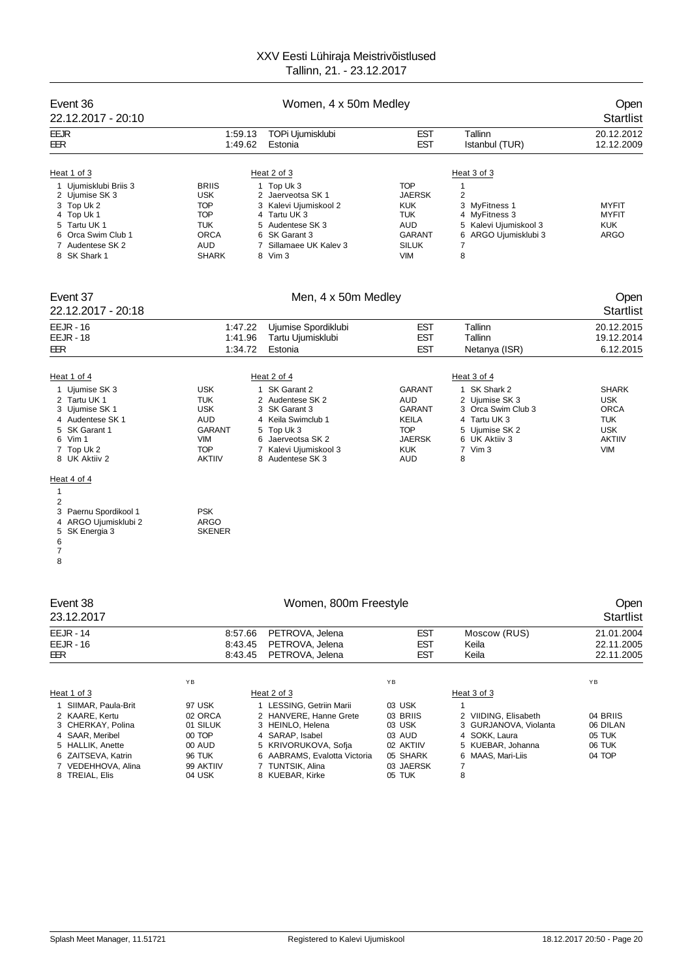| 22.12.2017 - 20:10<br>Tallinn<br><b>EEJR</b><br>1:59.13<br>TOPi Ujumisklubi<br>EST                                                                        | <b>Startlist</b><br>20.12.2012<br>12.12.2009 |
|-----------------------------------------------------------------------------------------------------------------------------------------------------------|----------------------------------------------|
|                                                                                                                                                           |                                              |
| <b>EST</b><br>1:49.62<br>Estonia<br>Istanbul (TUR)<br>EER                                                                                                 |                                              |
|                                                                                                                                                           |                                              |
| Heat 2 of 3<br>Heat 1 of 3<br>Heat 3 of 3<br>1<br>1 Ujumisklubi Briis 3<br><b>BRIIS</b><br>1 Top Uk 3<br><b>TOP</b>                                       |                                              |
| 2 Ujumise SK 3<br><b>USK</b><br>2 Jaerveotsa SK 1<br>JAERSK<br>2                                                                                          |                                              |
| 3 Top Uk 2<br><b>TOP</b><br>3 Kalevi Ujumiskool 2<br><b>KUK</b><br>3 MyFitness 1                                                                          | <b>MYFIT</b>                                 |
| 4 Top Uk 1<br><b>TOP</b><br>4 Tartu UK 3<br>TUK<br>4 MyFitness 3<br><b>TUK</b><br>AUD<br>5 Tartu UK 1<br>5 Audentese SK 3<br>5 Kalevi Ujumiskool 3        | <b>MYFIT</b><br><b>KUK</b>                   |
| ORCA<br>6 SK Garant 3<br>GARANT<br>ARGO Ujumisklubi 3<br>6 Orca Swim Club 1<br>6                                                                          | <b>ARGO</b>                                  |
| <b>AUD</b><br>Sillamaee UK Kalev 3<br>7<br>Audentese SK 2<br>7<br><b>SILUK</b><br>7                                                                       |                                              |
| 8 Vim 3<br><b>VIM</b><br>8<br>8 SK Shark 1<br><b>SHARK</b>                                                                                                |                                              |
| Event 37<br>Men, 4 x 50m Medley                                                                                                                           | Open                                         |
| 22.12.2017 - 20:18                                                                                                                                        | <b>Startlist</b>                             |
| <b>EEJR - 16</b><br>Tallinn<br>1:47.22<br>Ujumise Spordiklubi<br><b>EST</b>                                                                               | 20.12.2015                                   |
| <b>EST</b><br><b>EEJR - 18</b><br>1:41.96<br>Tallinn<br>Tartu Ujumisklubi<br><b>EST</b>                                                                   | 19.12.2014<br>6.12.2015                      |
| EER<br>1:34.72<br>Estonia<br>Netanya (ISR)                                                                                                                |                                              |
| Heat 2 of 4<br>Heat 3 of 4<br>Heat 1 of 4                                                                                                                 |                                              |
| <b>USK</b><br>1 SK Garant 2<br><b>GARANT</b><br>1 SK Shark 2<br>1 Ujumise SK 3                                                                            | <b>SHARK</b>                                 |
| <b>TUK</b><br><b>AUD</b><br>2 Tartu UK 1<br>2 Audentese SK 2<br>2 Ujumise SK 3                                                                            | <b>USK</b>                                   |
| <b>USK</b><br>3 SK Garant 3<br>GARANT<br>3 Ujumise SK 1<br>3 Orca Swim Club 3                                                                             | <b>ORCA</b>                                  |
| 4 Keila Swimclub 1<br>4 Audentese SK 1<br>AUD<br>KEILA<br>4 Tartu UK 3<br><b>TOP</b><br>5 SK Garant 1<br><b>GARANT</b><br>5 Top Uk 3<br>5<br>Ujumise SK 2 | <b>TUK</b><br><b>USK</b>                     |
| VIM<br>Jaerveotsa SK 2<br>JAERSK<br>6 UK Aktiiv 3<br>6 Vim 1<br>6                                                                                         | <b>AKTIIV</b>                                |
| <b>TOP</b><br>7 Top Uk 2<br>7 Kalevi Ujumiskool 3<br>KUK<br>7 Vim 3<br><b>AKTIIV</b><br>8 UK Aktiiv 2<br>AUD<br>8<br>8 Audentese SK 3                     | <b>VIM</b>                                   |
| Heat 4 of 4                                                                                                                                               |                                              |
| $\mathbf{1}$                                                                                                                                              |                                              |
| 2<br><b>PSK</b><br>3 Paernu Spordikool 1                                                                                                                  |                                              |
| ARGO Ujumisklubi 2<br><b>ARGO</b><br>4                                                                                                                    |                                              |
| <b>SKENER</b><br>5<br>SK Energia 3                                                                                                                        |                                              |
| 6<br>7                                                                                                                                                    |                                              |
| 8                                                                                                                                                         |                                              |
|                                                                                                                                                           |                                              |
| Event 38<br>Women, 800m Freestyle                                                                                                                         | Open                                         |
| 23.12.2017                                                                                                                                                | <b>Startlist</b>                             |
| <b>EEJR - 14</b><br>8:57.66<br>PETROVA, Jelena<br><b>EST</b><br>Moscow (RUS)                                                                              | 21.01.2004                                   |
| <b>EST</b><br>PETROVA, Jelena<br><b>EEJR - 16</b><br>8:43.45<br>Keila                                                                                     | 22.11.2005                                   |
| EST<br>8:43.45<br>PETROVA, Jelena<br>Keila<br>EER                                                                                                         | 22.11.2005                                   |
|                                                                                                                                                           |                                              |
| ΥB<br>YB<br>Heat 2 of 3<br>Heat 1 of 3<br>Heat 3 of 3                                                                                                     | YB                                           |
| $\mathbf{1}$<br>1 SIIMAR, Paula-Brit<br>97 USK<br>1 LESSING, Getriin Marii<br>03 USK                                                                      |                                              |
| 2 KAARE, Kertu<br>02 ORCA<br>2 HANVERE, Hanne Grete<br>03 BRIIS<br>2 VIIDING, Elisabeth                                                                   | 04 BRIIS                                     |
| 3 CHERKAY, Polina<br>3 HEINLO, Helena<br>03 USK<br>01 SILUK<br>3<br>GURJANOVA, Violanta<br>4 SAAR, Meribel<br>4 SARAP, Isabel<br>4 SOKK. Laura            | 06 DILAN                                     |
| 00 TOP<br>03 AUD<br>5 HALLIK, Anette<br>00 AUD<br>5 KRIVORUKOVA, Sofja<br>02 AKTIIV<br>5 KUEBAR, Johanna                                                  | 05 TUK<br>06 TUK                             |
| 6 ZAITSEVA, Katrin<br>6 AABRAMS, Evalotta Victoria<br>6 MAAS, Mari-Liis<br>96 TUK<br>05 SHARK                                                             | 04 TOP                                       |
| 7 TUNTSIK, Alina<br>03 JAERSK<br>$\overline{7}$<br>7 VEDEHHOVA, Alina<br>99 AKTIIV<br>8 TREIAL, Elis<br>04 USK<br>8 KUEBAR, Kirke<br>05 TUK<br>8          |                                              |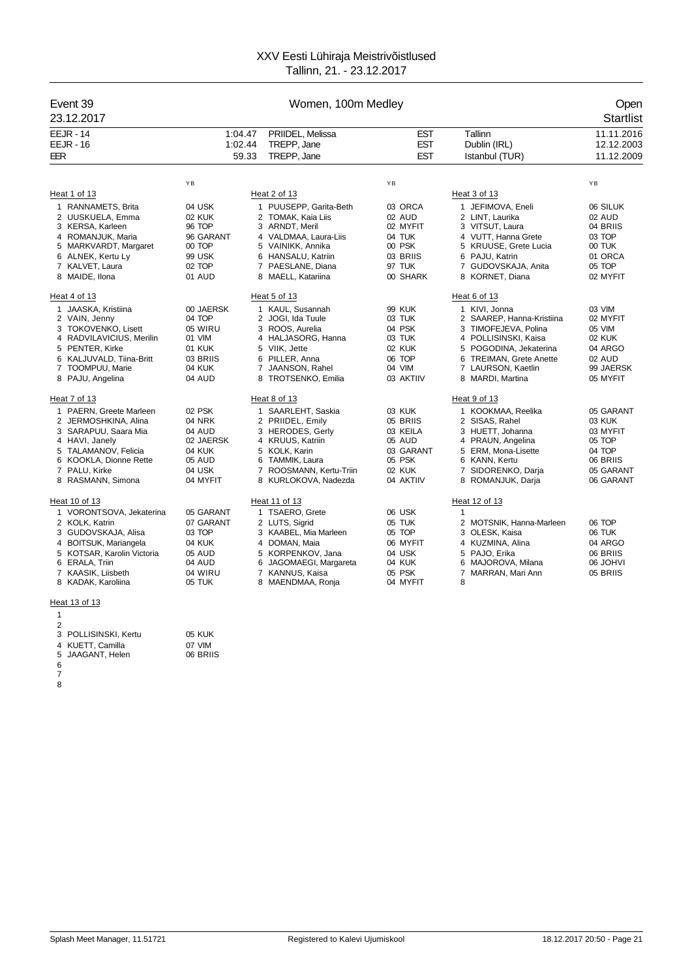| Event 39<br>23.12.2017                                                                                                                                                                                                                                                                                                                                                                              | Women, 100m Medley                                                                                                                                                      |                                                                                                                                                                                                                                                                                                                                                                       |                                                                                                                                                                                  |                                                                                                                                                                                                                                                                                                                                                                                                         |                                                                                                                                                                                          |
|-----------------------------------------------------------------------------------------------------------------------------------------------------------------------------------------------------------------------------------------------------------------------------------------------------------------------------------------------------------------------------------------------------|-------------------------------------------------------------------------------------------------------------------------------------------------------------------------|-----------------------------------------------------------------------------------------------------------------------------------------------------------------------------------------------------------------------------------------------------------------------------------------------------------------------------------------------------------------------|----------------------------------------------------------------------------------------------------------------------------------------------------------------------------------|---------------------------------------------------------------------------------------------------------------------------------------------------------------------------------------------------------------------------------------------------------------------------------------------------------------------------------------------------------------------------------------------------------|------------------------------------------------------------------------------------------------------------------------------------------------------------------------------------------|
| <b>EEJR - 14</b><br>$EEJR - 16$<br><b>EER</b>                                                                                                                                                                                                                                                                                                                                                       | 1:04.47<br>1:02.44                                                                                                                                                      | PRIIDEL, Melissa<br>TREPP, Jane<br>59.33<br>TREPP, Jane                                                                                                                                                                                                                                                                                                               | <b>EST</b><br><b>EST</b><br><b>EST</b>                                                                                                                                           | Tallinn<br>Dublin (IRL)<br>Istanbul (TUR)                                                                                                                                                                                                                                                                                                                                                               | 11.11.2016<br>12.12.2003<br>11.12.2009                                                                                                                                                   |
|                                                                                                                                                                                                                                                                                                                                                                                                     | YB                                                                                                                                                                      |                                                                                                                                                                                                                                                                                                                                                                       | ΥB                                                                                                                                                                               |                                                                                                                                                                                                                                                                                                                                                                                                         | YB                                                                                                                                                                                       |
| Heat 1 of 13                                                                                                                                                                                                                                                                                                                                                                                        |                                                                                                                                                                         | Heat 2 of 13                                                                                                                                                                                                                                                                                                                                                          |                                                                                                                                                                                  | Heat 3 of 13                                                                                                                                                                                                                                                                                                                                                                                            |                                                                                                                                                                                          |
| 1 RANNAMETS, Brita<br>2 UUSKUELA, Emma<br>3 KERSA, Karleen<br>4 ROMANJUK, Maria<br>5 MARKVARDT, Margaret<br>6 ALNEK, Kertu Ly<br>7 KALVET, Laura                                                                                                                                                                                                                                                    | 04 USK<br>02 KUK<br>96 TOP<br>96 GARANT<br>00 TOP<br>99 USK<br>02 TOP                                                                                                   | 1 PUUSEPP, Garita-Beth<br>2 TOMAK, Kaia Liis<br>3 ARNDT, Meril<br>4 VALDMAA, Laura-Liis<br>5 VAINIKK, Annika<br>6 HANSALU, Katriin<br>7 PAESLANE, Diana                                                                                                                                                                                                               | 03 ORCA<br>02 AUD<br>02 MYFIT<br>04 TUK<br>00 PSK<br>03 BRIIS<br>97 TUK                                                                                                          | 1 JEFIMOVA, Eneli<br>2 LINT. Laurika<br>3 VITSUT, Laura<br>4 VUTT, Hanna Grete<br>5 KRUUSE, Grete Lucia<br>6 PAJU, Katrin<br>7 GUDOVSKAJA, Anita                                                                                                                                                                                                                                                        | 06 SILUK<br>02 AUD<br>04 BRIIS<br>03 TOP<br>00 TUK<br>01 ORCA<br>05 TOP                                                                                                                  |
| 8 MAIDE, Ilona                                                                                                                                                                                                                                                                                                                                                                                      | 01 AUD                                                                                                                                                                  | 8 MAELL, Katariina                                                                                                                                                                                                                                                                                                                                                    | 00 SHARK                                                                                                                                                                         | 8 KORNET, Diana                                                                                                                                                                                                                                                                                                                                                                                         | 02 MYFIT                                                                                                                                                                                 |
| Heat 4 of 13<br>1 JAASKA, Kristiina<br>2 VAIN, Jenny<br>3 TOKOVENKO, Lisett<br>4 RADVILAVICIUS, Merilin<br>5 PENTER, Kirke<br>6 KALJUVALD, Tiina-Britt<br>7 TOOMPUU, Marie<br>8 PAJU, Angelina<br>Heat 7 of 13<br>1 PAERN. Greete Marleen<br>2 JERMOSHKINA, Alina<br>3 SARAPUU, Saara Mia<br>4 HAVI, Janely<br>5 TALAMANOV, Felicia<br>6 KOOKLA, Dionne Rette<br>7 PALU, Kirke<br>8 RASMANN, Simona | 00 JAERSK<br>04 TOP<br>05 WIRU<br>01 VIM<br>01 KUK<br>03 BRIIS<br>04 KUK<br>04 AUD<br>02 PSK<br>04 NRK<br>04 AUD<br>02 JAERSK<br>04 KUK<br>05 AUD<br>04 USK<br>04 MYFIT | Heat 5 of 13<br>1 KAUL, Susannah<br>2 JOGI, Ida Tuule<br>3 ROOS, Aurelia<br>4 HALJASORG, Hanna<br>5 VIIK, Jette<br>6 PILLER, Anna<br>7 JAANSON, Rahel<br>8 TROTSENKO, Emilia<br>Heat 8 of 13<br>1 SAARLEHT, Saskia<br>2 PRIIDEL, Emily<br>3 HERODES, Gerly<br>4 KRUUS, Katriin<br>5 KOLK, Karin<br>6 TAMMIK, Laura<br>7 ROOSMANN, Kertu-Triin<br>8 KURLOKOVA, Nadezda | <b>99 KUK</b><br>03 TUK<br>04 PSK<br>03 TUK<br>02 KUK<br>06 TOP<br>04 VIM<br>03 AKTIIV<br>03 KUK<br>05 BRIIS<br>03 KEILA<br>05 AUD<br>03 GARANT<br>05 PSK<br>02 KUK<br>04 AKTIIV | Heat 6 of 13<br>1 KIVI, Jonna<br>2 SAAREP, Hanna-Kristiina<br>3 TIMOFEJEVA, Polina<br>4 POLLISINSKI, Kaisa<br>5 POGODINA, Jekaterina<br><b>TREIMAN.</b> Grete Anette<br>6<br>7 LAURSON, Kaetlin<br>8 MARDI, Martina<br>Heat 9 of 13<br>1 KOOKMAA, Reelika<br>2 SISAS, Rahel<br>3 HUETT, Johanna<br>4 PRAUN, Angelina<br>5 ERM, Mona-Lisette<br>6 KANN, Kertu<br>7 SIDORENKO, Darja<br>8 ROMANJUK, Darja | 03 VIM<br>02 MYFIT<br>05 VIM<br><b>02 KUK</b><br>04 ARGO<br>02 AUD<br>99 JAERSK<br>05 MYFIT<br>05 GARANT<br>03 KUK<br>03 MYFIT<br>05 TOP<br>04 TOP<br>06 BRIIS<br>05 GARANT<br>06 GARANT |
| Heat 10 of 13<br>1 VORONTSOVA, Jekaterina<br>2 KOLK. Katrin<br>3 GUDOVSKAJA, Alisa<br>4 BOITSUK, Mariangela<br>5 KOTSAR, Karolin Victoria<br>6 ERALA, Triin<br>7 KAASIK, Liisbeth<br>8 KADAK, Karoliina                                                                                                                                                                                             | 05 GARANT<br>07 GARANT<br>03 TOP<br>04 KUK<br>05 AUD<br>04 AUD<br>04 WIRU<br>05 TUK                                                                                     | Heat 11 of 13<br>1 TSAERO, Grete<br>2 LUTS, Sigrid<br>3 KAABEL, Mia Marleen<br>4 DOMAN, Maia<br>5 KORPENKOV, Jana<br>6 JAGOMAEGI, Margareta<br>7 KANNUS, Kaisa<br>8 MAENDMAA, Ronja                                                                                                                                                                                   | 06 USK<br>05 TUK<br>05 TOP<br>06 MYFIT<br>04 USK<br>04 KUK<br>05 PSK<br>04 MYFIT                                                                                                 | Heat 12 of 13<br>$\mathbf{1}$<br>2 MOTSNIK, Hanna-Marleen<br>3 OLESK, Kaisa<br>4 KUZMINA, Alina<br>5 PAJO, Erika<br>6 MAJOROVA, Milana<br>7 MARRAN, Mari Ann<br>8                                                                                                                                                                                                                                       | 06 TOP<br>06 TUK<br>04 ARGO<br>06 BRIIS<br>06 JOHVI<br>05 BRIIS                                                                                                                          |
| Heat 13 of 13                                                                                                                                                                                                                                                                                                                                                                                       |                                                                                                                                                                         |                                                                                                                                                                                                                                                                                                                                                                       |                                                                                                                                                                                  |                                                                                                                                                                                                                                                                                                                                                                                                         |                                                                                                                                                                                          |

 POLLISINSKI, Kertu 05 KUK KUETT, Camilla 07 VIM JAAGANT, Helen 06 BRIIS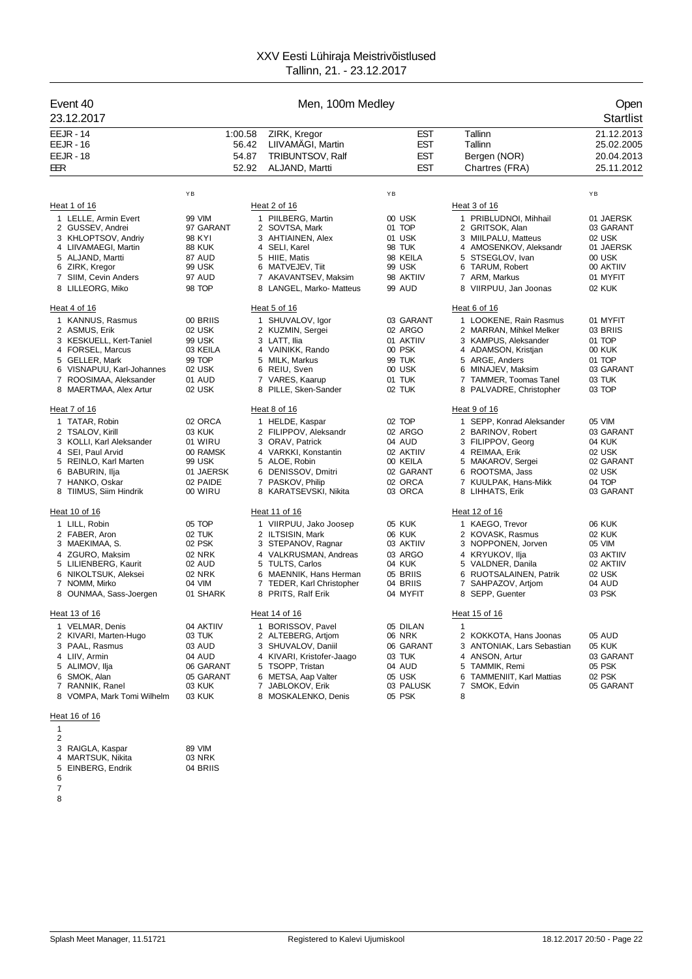| Event 40<br>23.12.2017                                                                                                                                                              | Men, 100m Medley                                                                             |                                                                                                                                                                                                            |                                                                                         |                                                                                                                                                                                              | Open<br><b>Startlist</b>                                                                   |  |
|-------------------------------------------------------------------------------------------------------------------------------------------------------------------------------------|----------------------------------------------------------------------------------------------|------------------------------------------------------------------------------------------------------------------------------------------------------------------------------------------------------------|-----------------------------------------------------------------------------------------|----------------------------------------------------------------------------------------------------------------------------------------------------------------------------------------------|--------------------------------------------------------------------------------------------|--|
| <b>EEJR - 14</b><br><b>EEJR - 16</b><br><b>EEJR - 18</b><br>EER                                                                                                                     | 1:00.58                                                                                      | ZIRK, Kregor<br>LIIVAMÄGI, Martin<br>56.42<br>54.87<br>TRIBUNTSOV, Ralf<br>52.92<br>ALJAND, Martti                                                                                                         | <b>EST</b><br>EST<br><b>EST</b><br><b>EST</b>                                           | Tallinn<br>Tallinn<br>Bergen (NOR)<br>Chartres (FRA)                                                                                                                                         | 21.12.2013<br>25.02.2005<br>20.04.2013<br>25.11.2012                                       |  |
|                                                                                                                                                                                     | ΥB                                                                                           |                                                                                                                                                                                                            | YB                                                                                      |                                                                                                                                                                                              | ΥB                                                                                         |  |
| Heat 1 of 16                                                                                                                                                                        |                                                                                              | Heat 2 of 16                                                                                                                                                                                               |                                                                                         | Heat 3 of 16                                                                                                                                                                                 |                                                                                            |  |
| 1 LELLE, Armin Evert<br>2 GUSSEV, Andrei<br>3 KHLOPTSOV, Andriy<br>4 LIIVAMAEGI, Martin<br>5 ALJAND, Martti<br>6 ZIRK, Kregor                                                       | 99 VIM<br>97 GARANT<br>98 KYI<br><b>88 KUK</b><br>87 AUD<br>99 USK                           | 1 PIILBERG, Martin<br>2 SOVTSA, Mark<br>3 AHTIAINEN, Alex<br>4 SELI, Karel<br>5 HIIE, Matis<br>6 MATVEJEV, Tiit                                                                                            | 00 USK<br>01 TOP<br>01 USK<br>98 TUK<br>98 KEILA<br>99 USK                              | 1 PRIBLUDNOI, Mihhail<br>2 GRITSOK, Alan<br>3 MIILPALU, Matteus<br>4 AMOSENKOV, Aleksandr<br>5 STSEGLOV, Ivan<br>6 TARUM, Robert                                                             | 01 JAERSK<br>03 GARANT<br>02 USK<br>01 JAERSK<br>00 USK<br>00 AKTIIV                       |  |
| 7 SIIM, Cevin Anders<br>8 LILLEORG, Miko                                                                                                                                            | 97 AUD<br>98 TOP                                                                             | 7 AKAVANTSEV, Maksim<br>8 LANGEL, Marko- Matteus                                                                                                                                                           | 98 AKTIIV<br>99 AUD                                                                     | 7 ARM, Markus<br>8 VIIRPUU, Jan Joonas                                                                                                                                                       | 01 MYFIT<br>02 KUK                                                                         |  |
| Heat 4 of 16                                                                                                                                                                        |                                                                                              | Heat 5 of 16                                                                                                                                                                                               |                                                                                         | Heat 6 of 16                                                                                                                                                                                 |                                                                                            |  |
| 1 KANNUS, Rasmus<br>2 ASMUS, Erik<br>3 KESKUELL, Kert-Taniel<br>4 FORSEL, Marcus<br>5 GELLER, Mark<br>6 VISNAPUU, Karl-Johannes<br>7 ROOSIMAA, Aleksander<br>8 MAERTMAA, Alex Artur | 00 BRIIS<br>02 USK<br><b>99 USK</b><br>03 KEILA<br>99 TOP<br>02 USK<br>01 AUD<br>02 USK      | 1 SHUVALOV, Igor<br>2 KUZMIN, Sergei<br>3 LATT, Ilia<br>4 VAINIKK, Rando<br>5 MILK, Markus<br>6 REIU, Sven<br>7 VARES, Kaarup<br>8 PILLE, Sken-Sander                                                      | 03 GARANT<br>02 ARGO<br>01 AKTIIV<br>00 PSK<br>99 TUK<br>00 USK<br>01 TUK<br>02 TUK     | 1 LOOKENE, Rain Rasmus<br>2 MARRAN, Mihkel Melker<br>3 KAMPUS, Aleksander<br>4 ADAMSON, Kristjan<br>5 ARGE, Anders<br>6 MINAJEV, Maksim<br>7 TAMMER, Toomas Tanel<br>8 PALVADRE, Christopher | 01 MYFIT<br>03 BRIIS<br>01 TOP<br><b>00 KUK</b><br>01 TOP<br>03 GARANT<br>03 TUK<br>03 TOP |  |
| Heat 7 of 16                                                                                                                                                                        |                                                                                              | Heat 8 of 16                                                                                                                                                                                               |                                                                                         | Heat 9 of 16                                                                                                                                                                                 |                                                                                            |  |
| 1 TATAR, Robin<br>2 TSALOV, Kirill<br>3 KOLLI, Karl Aleksander<br>4 SEI, Paul Arvid<br>5 REINLO, Karl Marten<br>6 BABURIN, Ilja<br>7 HANKO, Oskar<br>8 TIIMUS, Siim Hindrik         | 02 ORCA<br>03 KUK<br>01 WIRU<br>00 RAMSK<br>99 USK<br>01 JAERSK<br>02 PAIDE<br>00 WIRU       | 1 HELDE, Kaspar<br>2 FILIPPOV, Aleksandr<br>3 ORAV, Patrick<br>4 VARKKI, Konstantin<br>5 ALOE, Robin<br>6 DENISSOV, Dmitri<br>7 PASKOV, Philip<br>8 KARATSEVSKI, Nikita                                    | 02 TOP<br>02 ARGO<br>04 AUD<br>02 AKTIIV<br>00 KEILA<br>02 GARANT<br>02 ORCA<br>03 ORCA | 1 SEPP, Konrad Aleksander<br>2 BARINOV, Robert<br>3 FILIPPOV, Georg<br>4 REIMAA, Erik<br>5 MAKAROV, Sergei<br>6 ROOTSMA, Jass<br>7 KUULPAK, Hans-Mikk<br>8 LIHHATS, Erik                     | 05 VIM<br>03 GARANT<br>04 KUK<br>02 USK<br>02 GARANT<br>02 USK<br>04 TOP<br>03 GARANT      |  |
|                                                                                                                                                                                     |                                                                                              |                                                                                                                                                                                                            |                                                                                         |                                                                                                                                                                                              |                                                                                            |  |
| Heat 10 of 16<br>1 LILL, Robin<br>2 FABER, Aron<br>3 MAEKIMAA, S.<br>4 ZGURO. Maksim<br>5 LILIENBERG, Kaurit<br>6 NIKOLTSUK, Aleksei<br>7 NOMM, Mirko<br>8 OUNMAA, Sass-Joergen     | 05 TOP<br>02 TUK<br>02 PSK<br><b>02 NRK</b><br>02 AUD<br><b>02 NRK</b><br>04 VIM<br>01 SHARK | Heat 11 of 16<br>1 VIIRPUU, Jako Joosep<br>2 ILTSISIN, Mark<br>3 STEPANOV, Ragnar<br>4 VALKRUSMAN, Andreas<br>5 TULTS, Carlos<br>6 MAENNIK, Hans Herman<br>7 TEDER, Karl Christopher<br>8 PRITS, Ralf Erik | 05 KUK<br>06 KUK<br>03 AKTIIV<br>03 ARGO<br>04 KUK<br>05 BRIIS<br>04 BRIIS<br>04 MYFIT  | Heat 12 of 16<br>1 KAEGO, Trevor<br>2 KOVASK, Rasmus<br>3 NOPPONEN, Jorven<br>4 KRYUKOV, Ilja<br>5 VALDNER, Danila<br>6 RUOTSALAINEN, Patrik<br>7 SAHPAZOV, Artjom<br>8 SEPP, Guenter        | 06 KUK<br>02 KUK<br>05 VIM<br>03 AKTIIV<br>02 AKTIIV<br>02 USK<br>04 AUD<br>03 PSK         |  |
| Heat 13 of 16<br>1 VELMAR, Denis<br>2 KIVARI, Marten-Hugo<br>3 PAAL, Rasmus<br>4 LIIV, Armin<br>5 ALIMOV, Ilja<br>6 SMOK, Alan<br>7 RANNIK, Ranel<br>8 VOMPA, Mark Tomi Wilhelm     | 04 AKTIIV<br>03 TUK<br>03 AUD<br>04 AUD<br>06 GARANT<br>05 GARANT<br>03 KUK<br>03 KUK        | Heat 14 of 16<br>1 BORISSOV, Pavel<br>2 ALTEBERG, Artjom<br>3 SHUVALOV, Daniil<br>4 KIVARI, Kristofer-Jaago<br>5 TSOPP, Tristan<br>6 METSA, Aap Valter<br>7 JABLOKOV, Erik<br>8 MOSKALENKO, Denis          | 05 DILAN<br>06 NRK<br>06 GARANT<br>03 TUK<br>04 AUD<br>05 USK<br>03 PALUSK<br>05 PSK    | Heat 15 of 16<br>$\mathbf{1}$<br>2 KOKKOTA, Hans Joonas<br>3 ANTONIAK, Lars Sebastian<br>4 ANSON, Artur<br>TAMMIK, Remi<br>5<br>6 TAMMENIIT, Karl Mattias<br>SMOK, Edvin<br>7<br>8           | 05 AUD<br>05 KUK<br>03 GARANT<br>05 PSK<br>02 PSK<br>05 GARANT                             |  |
| Heat 16 of 16                                                                                                                                                                       |                                                                                              |                                                                                                                                                                                                            |                                                                                         |                                                                                                                                                                                              |                                                                                            |  |

| 89 VIM   |
|----------|
|          |
| 03 NRK   |
| 04 BRIIS |
|          |
|          |

- 
-